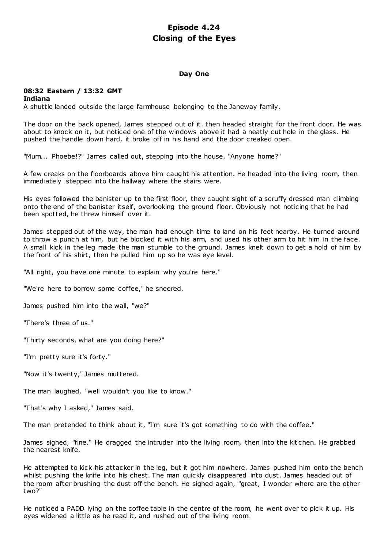# **Episode 4.24 Closing of the Eyes**

### **Day One**

# **08:32 Eastern / 13:32 GMT**

### **Indiana**

A shuttle landed outside the large farmhouse belonging to the Janeway family.

The door on the back opened, James stepped out of it. then headed straight for the front door. He was about to knock on it, but noticed one of the windows above it had a neatly cut hole in the glass. He pushed the handle down hard, it broke off in his hand and the door creaked open.

"Mum... Phoebe!?" James called out, stepping into the house. "Anyone home?"

A few creaks on the floorboards above him caught his attention. He headed into the living room, then immediately stepped into the hallway where the stairs were.

His eyes followed the banister up to the first floor, they caught sight of a scruffy dressed man climbing onto the end of the banister itself, overlooking the ground floor. Obviously not noticing that he had been spotted, he threw himself over it.

James stepped out of the way, the man had enough time to land on his feet nearby. He turned around to throw a punch at him, but he blocked it with his arm, and used his other arm to hit him in the face. A small kick in the leg made the man stumble to the ground. James knelt down to get a hold of him by the front of his shirt, then he pulled him up so he was eye level.

"All right, you have one minute to explain why you're here."

"We're here to borrow some coffee," he sneered.

James pushed him into the wall, "we?"

"There's three of us."

"Thirty seconds, what are you doing here?"

"I'm pretty sure it's forty."

"Now it's twenty," James muttered.

The man laughed, "well wouldn't you like to know."

"That's why I asked," James said.

The man pretended to think about it, "I'm sure it's got something to do with the coffee."

James sighed, "fine." He dragged the intruder into the living room, then into the kit chen. He grabbed the nearest knife.

He attempted to kick his attacker in the leg, but it got him nowhere. James pushed him onto the bench whilst pushing the knife into his chest. The man quickly disappeared into dust. James headed out of the room after brushing the dust off the bench. He sighed again, "great, I wonder where are the other two?"

He noticed a PADD lying on the coffee table in the centre of the room, he went over to pick it up. His eyes widened a little as he read it, and rushed out of the living room.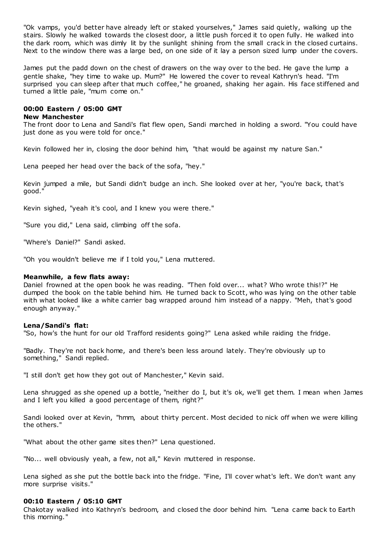"Ok vamps, you'd better have already left or staked yourselves," James said quietly, walking up the stairs. Slowly he walked towards the closest door, a little push forced it to open fully. He walked into the dark room, which was dimly lit by the sunlight shining from the small crack in the closed curtains. Next to the window there was a large bed, on one side of it lay a person sized lump under the covers.

James put the padd down on the chest of drawers on the way over to the bed. He gave the lump a gentle shake, "hey time to wake up. Mum?" He lowered the cover to reveal Kathryn's head. "I'm surprised you can sleep after that much coffee," he groaned, shaking her again. His face stiffened and turned a little pale, "mum come on."

# **00:00 Eastern / 05:00 GMT**

### **New Manchester**

The front door to Lena and Sandi's flat flew open, Sandi marched in holding a sword. "You could have just done as you were told for once."

Kevin followed her in, closing the door behind him, "that would be against my nature San."

Lena peeped her head over the back of the sofa, "hey."

Kevin jumped a mile, but Sandi didn't budge an inch. She looked over at her, "you're back, that's good."

Kevin sighed, "yeah it's cool, and I knew you were there."

"Sure you did," Lena said, climbing off the sofa.

"Where's Daniel?" Sandi asked.

"Oh you wouldn't believe me if I told you," Lena muttered.

### **Meanwhile, a few flats away:**

Daniel frowned at the open book he was reading. "Then fold over... what? Who wrote this!?" He dumped the book on the table behind him. He turned back to Scott, who was lying on the other table with what looked like a white carrier bag wrapped around him instead of a nappy. "Meh, that's good enough anyway."

## **Lena/Sandi's flat:**

"So, how's the hunt for our old Trafford residents going?" Lena asked while raiding the fridge.

"Badly. They're not back home, and there's been less around lately. They're obviously up to something," Sandi replied.

"I still don't get how they got out of Manchester," Kevin said.

Lena shrugged as she opened up a bottle, "neither do I, but it's ok, we'll get them. I mean when James and I left you killed a good percentage of them, right?"

Sandi looked over at Kevin, "hmm, about thirty percent. Most decided to nick off when we were killing the others."

"What about the other game sites then?" Lena questioned.

"No... well obviously yeah, a few, not all," Kevin muttered in response.

Lena sighed as she put the bottle back into the fridge. "Fine, I'll cover what's left. We don't want any more surprise visits."

### **00:10 Eastern / 05:10 GMT**

Chakotay walked into Kathryn's bedroom, and closed the door behind him. "Lena came back to Earth this morning."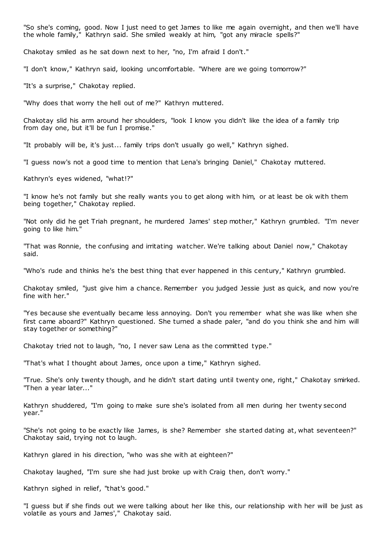"So she's coming, good. Now I just need to get James to like me again overnight, and then we'll have the whole family," Kathryn said. She smiled weakly at him, "got any miracle spells?"

Chakotay smiled as he sat down next to her, "no, I'm afraid I don't."

"I don't know," Kathryn said, looking uncomfortable. "Where are we going tomorrow?"

"It's a surprise," Chakotay replied.

"Why does that worry the hell out of me?" Kathryn muttered.

Chakotay slid his arm around her shoulders, "look I know you didn't like the idea of a family trip from day one, but it'll be fun I promise."

"It probably will be, it's just... family trips don't usually go well," Kathryn sighed.

"I guess now's not a good time to mention that Lena's bringing Daniel," Chakotay muttered.

Kathryn's eyes widened, "what!?"

"I know he's not family but she really wants you to get along with him, or at least be ok with them being together," Chakotay replied.

"Not only did he get Triah pregnant, he murdered James' step mother," Kathryn grumbled. "I'm never going to like him."

"That was Ronnie, the confusing and irritating watcher. We're talking about Daniel now," Chakotay said.

"Who's rude and thinks he's the best thing that ever happened in this century," Kathryn grumbled.

Chakotay smiled, "just give him a chance. Remember you judged Jessie just as quick, and now you're fine with her."

"Yes because she eventually became less annoying. Don't you remember what she was like when she first came aboard?" Kathryn questioned. She turned a shade paler, "and do you think she and him will stay together or something?"

Chakotay tried not to laugh, "no, I never saw Lena as the committed type."

"That's what I thought about James, once upon a time," Kathryn sighed.

"True. She's only twenty though, and he didn't start dating until twenty one, right," Chakotay smirked. "Then a year later..."

Kathryn shuddered, "I'm going to make sure she's isolated from all men during her twenty second year."

"She's not going to be exactly like James, is she? Remember she started dating at, what seventeen?" Chakotay said, trying not to laugh.

Kathryn glared in his direction, "who was she with at eighteen?"

Chakotay laughed, "I'm sure she had just broke up with Craig then, don't worry."

Kathryn sighed in relief, "that's good."

"I guess but if she finds out we were talking about her like this, our relationship with her will be just as volatile as yours and James'," Chakotay said.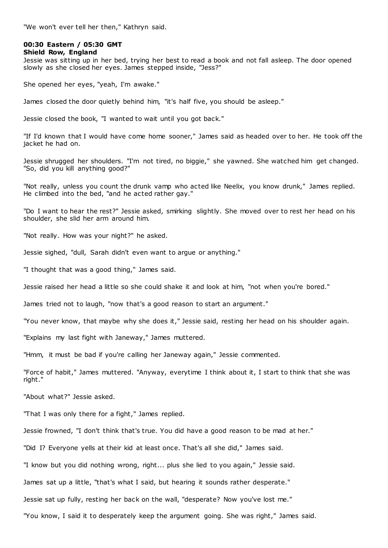"We won't ever tell her then," Kathryn said.

# **00:30 Eastern / 05:30 GMT**

### **Shield Row, England**

Jessie was sitting up in her bed, trying her best to read a book and not fall asleep. The door opened slowly as she closed her eyes. James stepped inside, "Jess?"

She opened her eyes, "yeah, I'm awake."

James closed the door quietly behind him, "it's half five, you should be asleep."

Jessie closed the book, "I wanted to wait until you got back."

"If I'd known that I would have come home sooner," James said as headed over to her. He took off the jacket he had on.

Jessie shrugged her shoulders. "I'm not tired, no biggie," she yawned. She watched him get changed. "So, did you kill anything good?"

"Not really, unless you count the drunk vamp who acted like Neelix, you know drunk," James replied. He climbed into the bed, "and he acted rather gay."

"Do I want to hear the rest?" Jessie asked, smirking slightly. She moved over to rest her head on his shoulder, she slid her arm around him.

"Not really. How was your night?" he asked.

Jessie sighed, "dull, Sarah didn't even want to argue or anything."

"I thought that was a good thing," James said.

Jessie raised her head a little so she could shake it and look at him, "not when you're bored."

James tried not to laugh, "now that's a good reason to start an argument."

"You never know, that maybe why she does it," Jessie said, resting her head on his shoulder again.

"Explains my last fight with Janeway," James muttered.

"Hmm, it must be bad if you're calling her Janeway again," Jessie commented.

"Force of habit," James muttered. "Anyway, everytime I think about it, I start to think that she was right."

"About what?" Jessie asked.

"That I was only there for a fight," James replied.

Jessie frowned, "I don't think that's true. You did have a good reason to be mad at her."

"Did I? Everyone yells at their kid at least once. That's all she did," James said.

"I know but you did nothing wrong, right... plus she lied to you again," Jessie said.

James sat up a little, "that's what I said, but hearing it sounds rather desperate."

Jessie sat up fully, resting her back on the wall, "desperate? Now you've lost me."

"You know, I said it to desperately keep the argument going. She was right," James said.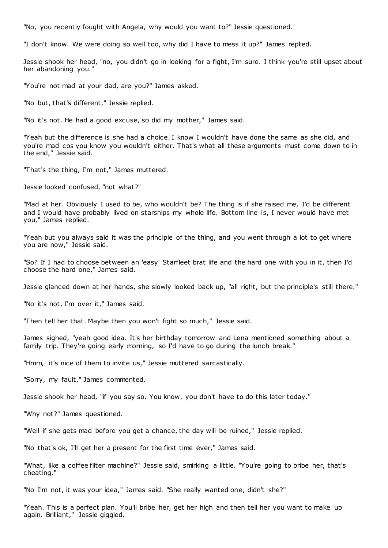"No, you recently fought with Angela, why would you want to?" Jessie questioned.

"I don't know. We were doing so well too, why did I have to mess it up?" James replied.

Jessie shook her head, "no, you didn't go in looking for a fight, I'm sure. I think you're still upset about her abandoning you."

"You're not mad at your dad, are you?" James asked.

"No but, that's different," Jessie replied.

"No it's not. He had a good excuse, so did my mother," James said.

"Yeah but the difference is she had a choice. I know I wouldn't have done the same as she did, and you're mad cos you know you wouldn't either. That's what all these arguments must come down to in the end," Jessie said.

"That's the thing, I'm not," James muttered.

Jessie looked confused, "not what?"

"Mad at her. Obviously I used to be, who wouldn't be? The thing is if she raised me, I'd be different and I would have probably lived on starships my whole life. Bottom line is, I never would have met you," James replied.

"Yeah but you always said it was the principle of the thing, and you went through a lot to get where you are now," Jessie said.

"So? If I had to choose between an 'easy' Starfleet brat life and the hard one with you in it, then I'd choose the hard one," James said.

Jessie glanced down at her hands, she slowly looked back up, "all right, but the principle's still there."

"No it's not, I'm over it," James said.

"Then tell her that. Maybe then you won't fight so much," Jessie said.

James sighed, "yeah good idea. It's her birthday tomorrow and Lena mentioned something about a family trip. They're going early morning, so I'd have to go during the lunch break."

"Hmm, it's nice of them to invite us," Jessie muttered sarcastically.

"Sorry, my fault," James commented.

Jessie shook her head, "if you say so. You know, you don't have to do this later today."

"Why not?" James questioned.

"Well if she gets mad before you get a chance, the day will be ruined," Jessie replied.

"No that's ok, I'll get her a present for the first time ever," James said.

"What, like a coffee filter machine?" Jessie said, smirking a little. "You're going to bribe her, that's cheating."

"No I'm not, it was your idea," James said. "She really wanted one, didn't she?"

"Yeah. This is a perfect plan. You'll bribe her, get her high and then tell her you want to make up again. Brilliant," Jessie giggled.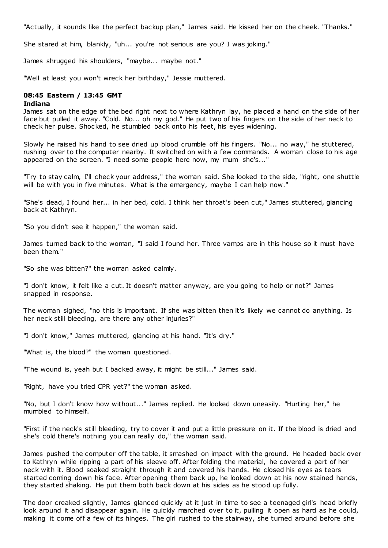"Actually, it sounds like the perfect backup plan," James said. He kissed her on the cheek. "Thanks."

She stared at him, blankly, "uh... you're not serious are you? I was joking."

James shrugged his shoulders, "maybe... maybe not."

"Well at least you won't wreck her birthday," Jessie muttered.

### **08:45 Eastern / 13:45 GMT**

### **Indiana**

James sat on the edge of the bed right next to where Kathryn lay, he placed a hand on the side of her face but pulled it away. "Cold. No... oh my god." He put two of his fingers on the side of her neck to check her pulse. Shocked, he stumbled back onto his feet, his eyes widening.

Slowly he raised his hand to see dried up blood crumble off his fingers. "No... no way," he stuttered, rushing over to the computer nearby. It switched on with a few commands. A woman close to his age appeared on the screen. "I need some people here now, my mum she's..."

"Try to stay calm, I'll check your address," the woman said. She looked to the side, "right, one shuttle will be with you in five minutes. What is the emergency, maybe I can help now."

"She's dead, I found her... in her bed, cold. I think her throat's been cut," James stuttered, glancing back at Kathryn.

"So you didn't see it happen," the woman said.

James turned back to the woman, "I said I found her. Three vamps are in this house so it must have been them."

"So she was bitten?" the woman asked calmly.

"I don't know, it felt like a cut. It doesn't matter anyway, are you going to help or not?" James snapped in response.

The woman sighed, "no this is important. If she was bitten then it's likely we cannot do anything. Is her neck still bleeding, are there any other injuries?"

"I don't know," James muttered, glancing at his hand. "It's dry."

"What is, the blood?" the woman questioned.

"The wound is, yeah but I backed away, it might be still..." James said.

"Right, have you tried CPR yet?" the woman asked.

"No, but I don't know how without..." James replied. He looked down uneasily. "Hurting her," he mumbled to himself.

"First if the neck's still bleeding, try to cover it and put a little pressure on it. If the blood is dried and she's cold there's nothing you can really do," the woman said.

James pushed the computer off the table, it smashed on impact with the ground. He headed back over to Kathryn while ripping a part of his sleeve off. After folding the material, he covered a part of her neck with it. Blood soaked straight through it and covered his hands. He closed his eyes as tears started coming down his face. After opening them back up, he looked down at his now stained hands, they started shaking. He put them both back down at his sides as he stood up fully.

The door creaked slightly, James glanced quickly at it just in time to see a teenaged girl's head briefly look around it and disappear again. He quickly marched over to it, pulling it open as hard as he could, making it come off a few of its hinges. The girl rushed to the stairway, she turned around before she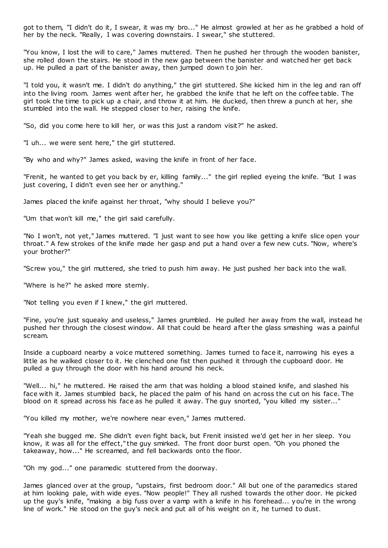got to them, "I didn't do it, I swear, it was my bro..." He almost growled at her as he grabbed a hold of her by the neck. "Really, I was covering downstairs. I swear," she stuttered.

"You know, I lost the will to care," James muttered. Then he pushed her through the wooden banister, she rolled down the stairs. He stood in the new gap between the banister and watched her get back up. He pulled a part of the banister away, then jumped down to join her.

"I told you, it wasn't me. I didn't do anything," the girl stuttered. She kicked him in the leg and ran off into the living room. James went after her, he grabbed the knife that he left on the coffee table. The girl took the time to pick up a chair, and throw it at him. He ducked, then threw a punch at her, she stumbled into the wall. He stepped closer to her, raising the knife.

"So, did you come here to kill her, or was this just a random visit?" he asked.

"I uh... we were sent here," the girl stuttered.

"By who and why?" James asked, waving the knife in front of her face.

"Frenit, he wanted to get you back by er, killing family..." the girl replied eyeing the knife. "But I was just covering, I didn't even see her or anything."

James placed the knife against her throat, "why should I believe you?"

"Um that won't kill me," the girl said carefully.

"No I won't, not yet," James muttered. "I just want to see how you like getting a knife slice open your throat." A few strokes of the knife made her gasp and put a hand over a few new cuts. "Now, where's your brother?"

"Screw you," the girl muttered, she tried to push him away. He just pushed her back into the wall.

"Where is he?" he asked more sternly.

"Not telling you even if I knew," the girl muttered.

"Fine, you're just squeaky and useless," James grumbled. He pulled her away from the wall, instead he pushed her through the closest window. All that could be heard after the glass smashing was a painful scream.

Inside a cupboard nearby a voice muttered something. James turned to face it, narrowing his eyes a little as he walked closer to it. He clenched one fist then pushed it through the cupboard door. He pulled a guy through the door with his hand around his neck.

"Well... hi," he muttered. He raised the arm that was holding a blood stained knife, and slashed his face with it. James stumbled back, he placed the palm of his hand on across the cut on his face. The blood on it spread across his face as he pulled it away. The guy snorted, "you killed my sister..."

"You killed my mother, we're nowhere near even," James muttered.

"Yeah she bugged me. She didn't even fight back, but Frenit insisted we'd get her in her sleep. You know, it was all for the effect," the guy smirked. The front door burst open. "Oh you phoned the takeaway, how..." He screamed, and fell backwards onto the floor.

"Oh my god..." one paramedic stuttered from the doorway.

James glanced over at the group, "upstairs, first bedroom door." All but one of the paramedics stared at him looking pale, with wide eyes. "Now people!" They all rushed towards the other door. He picked up the guy's knife, "making a big fuss over a vamp with a knife in his forehead... you're in the wrong line of work." He stood on the guy's neck and put all of his weight on it, he turned to dust.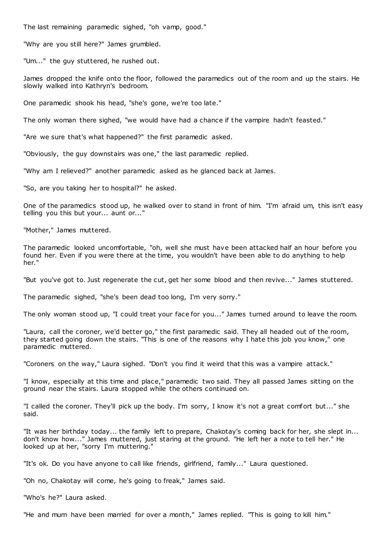The last remaining paramedic sighed, "oh vamp, good."

"Why are you still here?" James grumbled.

"Um..." the guy stuttered, he rushed out.

James dropped the knife onto the floor, followed the paramedics out of the room and up the stairs. He slowly walked into Kathryn's bedroom.

One paramedic shook his head, "she's gone, we're too late."

The only woman there sighed, "we would have had a chance if the vampire hadn't feasted."

"Are we sure that's what happened?" the first paramedic asked.

"Obviously, the guy downstairs was one," the last paramedic replied.

"Why am I relieved?" another paramedic asked as he glanced back at James.

"So, are you taking her to hospital?" he asked.

One of the paramedics stood up, he walked over to stand in front of him. "I'm afraid um, this isn't easy telling you this but your... aunt or..."

"Mother," James muttered.

The paramedic looked uncomfortable, "oh, well she must have been attacked half an hour before you found her. Even if you were there at the time, you wouldn't have been able to do anything to help her."

"But you've got to. Just regenerate the cut, get her some blood and then revive..." James stuttered.

The paramedic sighed, "she's been dead too long, I'm very sorry."

The only woman stood up, "I could treat your face for you..." James turned around to leave the room.

"Laura, call the coroner, we'd better go," the first paramedic said. They all headed out of the room, they started going down the stairs. "This is one of the reasons why I hate this job you know," one paramedic muttered.

"Coroners on the way," Laura sighed. "Don't you find it weird that this was a vampire attack."

"I know, especially at this time and place," paramedic two said. They all passed James sitting on the ground near the stairs. Laura stopped while the others continued on.

"I called the coroner. They'll pick up the body. I'm sorry, I know it's not a great comfort but..." she said.

"It was her birthday today... the family left to prepare, Chakotay's coming back for her, she slept in... don't know how..." James muttered, just staring at the ground. "He left her a note to tell her." He looked up at her, "sorry I'm muttering."

"It's ok. Do you have anyone to call like friends, girlfriend, family..." Laura questioned.

"Oh no, Chakotay will come, he's going to freak," James said.

"Who's he?" Laura asked.

"He and mum have been married for over a month," James replied. "This is going to kill him."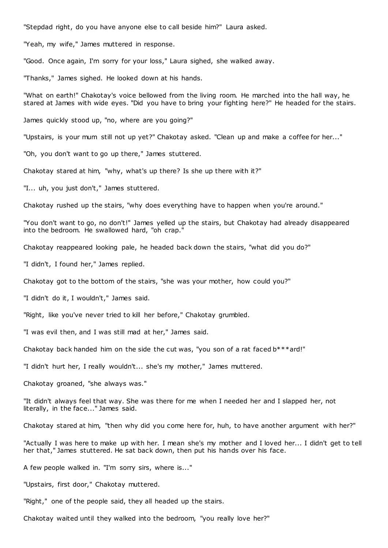"Stepdad right, do you have anyone else to call beside him?" Laura asked.

"Yeah, my wife," James muttered in response.

"Good. Once again, I'm sorry for your loss," Laura sighed, she walked away.

"Thanks," James sighed. He looked down at his hands.

"What on earth!" Chakotay's voice bellowed from the living room. He marched into the hall way, he stared at James with wide eyes. "Did you have to bring your fighting here?" He headed for the stairs.

James quickly stood up, "no, where are you going?"

"Upstairs, is your mum still not up yet?" Chakotay asked. "Clean up and make a coffee for her..."

"Oh, you don't want to go up there," James stuttered.

Chakotay stared at him, "why, what's up there? Is she up there with it?"

"I... uh, you just don't," James stuttered.

Chakotay rushed up the stairs, "why does everything have to happen when you're around."

"You don't want to go, no don't!" James yelled up the stairs, but Chakotay had already disappeared into the bedroom. He swallowed hard, "oh crap."

Chakotay reappeared looking pale, he headed back down the stairs, "what did you do?"

"I didn't, I found her," James replied.

Chakotay got to the bottom of the stairs, "she was your mother, how could you?"

"I didn't do it, I wouldn't," James said.

"Right, like you've never tried to kill her before," Chakotay grumbled.

"I was evil then, and I was still mad at her," James said.

Chakotay back handed him on the side the cut was, "you son of a rat faced b\*\*\*ard!"

"I didn't hurt her, I really wouldn't... she's my mother," James muttered.

Chakotay groaned, "she always was."

"It didn't always feel that way. She was there for me when I needed her and I slapped her, not literally, in the face..." James said.

Chakotay stared at him, "then why did you come here for, huh, to have another argument with her?"

"Actually I was here to make up with her. I mean she's my mother and I loved her... I didn't get to tell her that," James stuttered. He sat back down, then put his hands over his face.

A few people walked in. "I'm sorry sirs, where is..."

"Upstairs, first door," Chakotay muttered.

"Right," one of the people said, they all headed up the stairs.

Chakotay waited until they walked into the bedroom, "you really love her?"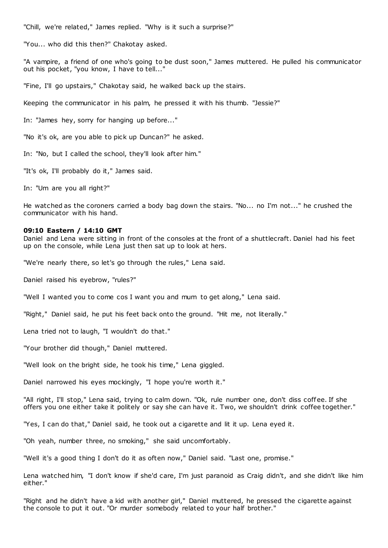"Chill, we're related," James replied. "Why is it such a surprise?"

"You... who did this then?" Chakotay asked.

"A vampire, a friend of one who's going to be dust soon," James muttered. He pulled his communicator out his pocket, "you know, I have to tell..."

"Fine, I'll go upstairs," Chakotay said, he walked back up the stairs.

Keeping the communicator in his palm, he pressed it with his thumb. "Jessie?"

In: "James hey, sorry for hanging up before..."

"No it's ok, are you able to pick up Duncan?" he asked.

In: "No, but I called the school, they'll look after him."

"It's ok, I'll probably do it," James said.

In: "Um are you all right?"

He watched as the coroners carried a body bag down the stairs. "No... no I'm not..." he crushed the communicator with his hand.

### **09:10 Eastern / 14:10 GMT**

Daniel and Lena were sitting in front of the consoles at the front of a shuttlecraft. Daniel had his feet up on the console, while Lena just then sat up to look at hers.

"We're nearly there, so let's go through the rules," Lena said.

Daniel raised his eyebrow, "rules?"

"Well I wanted you to come cos I want you and mum to get along," Lena said.

"Right," Daniel said, he put his feet back onto the ground. "Hit me, not literally."

Lena tried not to laugh, "I wouldn't do that."

"Your brother did though," Daniel muttered.

"Well look on the bright side, he took his time," Lena giggled.

Daniel narrowed his eyes mockingly, "I hope you're worth it."

"All right, I'll stop," Lena said, trying to calm down. "Ok, rule number one, don't diss coffee. If she offers you one either take it politely or say she can have it. Two, we shouldn't drink coffee together."

"Yes, I can do that," Daniel said, he took out a cigarette and lit it up. Lena eyed it.

"Oh yeah, number three, no smoking," she said uncomfortably.

"Well it's a good thing I don't do it as often now," Daniel said. "Last one, promise."

Lena watched him, "I don't know if she'd care, I'm just paranoid as Craig didn't, and she didn't like him either."

"Right and he didn't have a kid with another girl," Daniel muttered, he pressed the cigarette against the console to put it out. "Or murder somebody related to your half brother."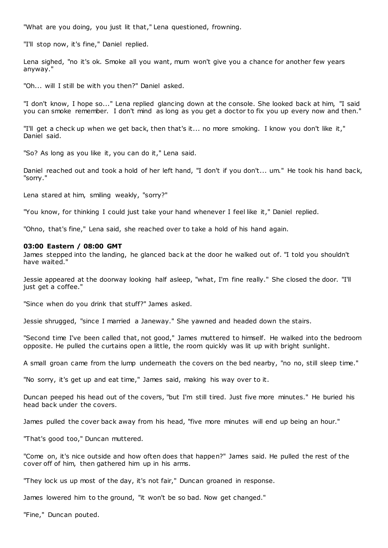"What are you doing, you just lit that," Lena questioned, frowning.

"I'll stop now, it's fine," Daniel replied.

Lena sighed, "no it's ok. Smoke all you want, mum won't give you a chance for another few years anyway."

"Oh... will I still be with you then?" Daniel asked.

"I don't know, I hope so..." Lena replied glancing down at the console. She looked back at him, "I said you can smoke remember. I don't mind as long as you get a doctor to fix you up every now and then."

"I'll get a check up when we get back, then that's it... no more smoking. I know you don't like it," Daniel said.

"So? As long as you like it, you can do it," Lena said.

Daniel reached out and took a hold of her left hand, "I don't if you don't... um." He took his hand back, "sorry."

Lena stared at him, smiling weakly, "sorry?"

"You know, for thinking I could just take your hand whenever I feel like it," Daniel replied.

"Ohno, that's fine," Lena said, she reached over to take a hold of his hand again.

#### **03:00 Eastern / 08:00 GMT**

James stepped into the landing, he glanced back at the door he walked out of. "I told you shouldn't have waited."

Jessie appeared at the doorway looking half asleep, "what, I'm fine really." She closed the door. "I'll just get a coffee."

"Since when do you drink that stuff?" James asked.

Jessie shrugged, "since I married a Janeway." She yawned and headed down the stairs.

"Second time I've been called that, not good," James muttered to himself. He walked into the bedroom opposite. He pulled the curtains open a little, the room quickly was lit up with bright sunlight.

A small groan came from the lump underneath the covers on the bed nearby, "no no, still sleep time."

"No sorry, it's get up and eat time," James said, making his way over to it.

Duncan peeped his head out of the covers, "but I'm still tired. Just five more minutes." He buried his head back under the covers.

James pulled the cover back away from his head, "five more minutes will end up being an hour."

"That's good too," Duncan muttered.

"Come on, it's nice outside and how often does that happen?" James said. He pulled the rest of the cover off of him, then gathered him up in his arms.

"They lock us up most of the day, it's not fair," Duncan groaned in response.

James lowered him to the ground, "it won't be so bad. Now get changed."

"Fine," Duncan pouted.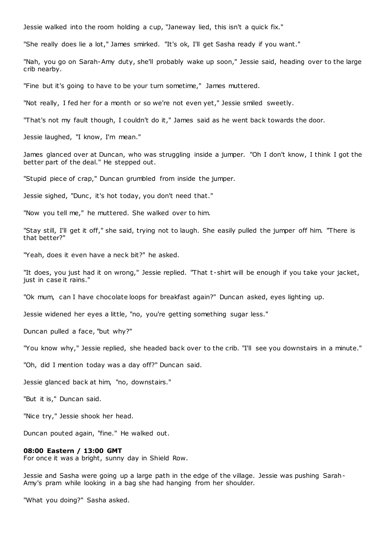Jessie walked into the room holding a cup, "Janeway lied, this isn't a quick fix."

"She really does lie a lot," James smirked. "It's ok, I'll get Sasha ready if you want."

"Nah, you go on Sarah-Amy duty, she'll probably wake up soon," Jessie said, heading over to the large crib nearby.

"Fine but it's going to have to be your turn sometime," James muttered.

"Not really, I fed her for a month or so we're not even yet," Jessie smiled sweetly.

"That's not my fault though, I couldn't do it," James said as he went back towards the door.

Jessie laughed, "I know, I'm mean."

James glanced over at Duncan, who was struggling inside a jumper. "Oh I don't know, I think I got the better part of the deal." He stepped out.

"Stupid piece of crap," Duncan grumbled from inside the jumper.

Jessie sighed, "Dunc, it's hot today, you don't need that."

"Now you tell me," he muttered. She walked over to him.

"Stay still, I'll get it off," she said, trying not to laugh. She easily pulled the jumper off him. "There is that better?"

"Yeah, does it even have a neck bit?" he asked.

"It does, you just had it on wrong," Jessie replied. "That t -shirt will be enough if you take your jacket, just in case it rains."

"Ok mum, can I have chocolate loops for breakfast again?" Duncan asked, eyes lighting up.

Jessie widened her eyes a little, "no, you're getting something sugar less."

Duncan pulled a face, "but why?"

"You know why," Jessie replied, she headed back over to the crib. "I'll see you downstairs in a minute."

"Oh, did I mention today was a day off?" Duncan said.

Jessie glanced back at him, "no, downstairs."

"But it is," Duncan said.

"Nice try," Jessie shook her head.

Duncan pouted again, "fine." He walked out.

#### **08:00 Eastern / 13:00 GMT**

For once it was a bright, sunny day in Shield Row.

Jessie and Sasha were going up a large path in the edge of the village. Jessie was pushing Sarah-Amy's pram while looking in a bag she had hanging from her shoulder.

"What you doing?" Sasha asked.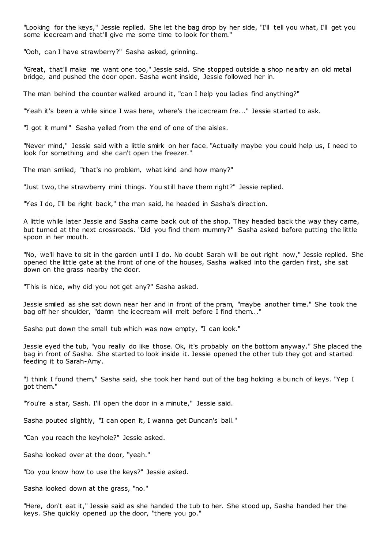"Looking for the keys," Jessie replied. She let the bag drop by her side, "I'll tell you what, I'll get you some icecream and that'll give me some time to look for them."

"Ooh, can I have strawberry?" Sasha asked, grinning.

"Great, that'll make me want one too," Jessie said. She stopped outside a shop nearby an old metal bridge, and pushed the door open. Sasha went inside, Jessie followed her in.

The man behind the counter walked around it, "can I help you ladies find anything?"

"Yeah it's been a while since I was here, where's the icecream fre..." Jessie started to ask.

"I got it mum!" Sasha yelled from the end of one of the aisles.

"Never mind," Jessie said with a little smirk on her face. "Actually maybe you could help us, I need to look for something and she can't open the freezer."

The man smiled, "that's no problem, what kind and how many?"

"Just two, the strawberry mini things. You still have them right?" Jessie replied.

"Yes I do, I'll be right back," the man said, he headed in Sasha's direction.

A little while later Jessie and Sasha came back out of the shop. They headed back the way they came, but turned at the next crossroads. "Did you find them mummy?" Sasha asked before putting the little spoon in her mouth.

"No, we'll have to sit in the garden until I do. No doubt Sarah will be out right now," Jessie replied. She opened the little gate at the front of one of the houses, Sasha walked into the garden first, she sat down on the grass nearby the door.

"This is nice, why did you not get any?" Sasha asked.

Jessie smiled as she sat down near her and in front of the pram, "maybe another time." She took the bag off her shoulder, "damn the icecream will melt before I find them..."

Sasha put down the small tub which was now empty, "I can look."

Jessie eyed the tub, "you really do like those. Ok, it's probably on the bottom anyway." She placed the bag in front of Sasha. She started to look inside it. Jessie opened the other tub they got and started feeding it to Sarah-Amy.

"I think I found them," Sasha said, she took her hand out of the bag holding a bunch of keys. "Yep I got them."

"You're a star, Sash. I'll open the door in a minute," Jessie said.

Sasha pouted slightly, "I can open it, I wanna get Duncan's ball."

"Can you reach the keyhole?" Jessie asked.

Sasha looked over at the door, "yeah."

"Do you know how to use the keys?" Jessie asked.

Sasha looked down at the grass, "no."

"Here, don't eat it," Jessie said as she handed the tub to her. She stood up, Sasha handed her the keys. She quickly opened up the door, "there you go."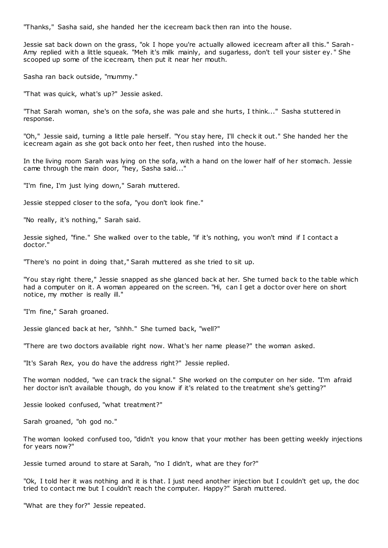"Thanks," Sasha said, she handed her the icecream back then ran into the house.

Jessie sat back down on the grass, "ok I hope you're actually allowed icecream after all this." Sarah-Amy replied with a little squeak. "Meh it's milk mainly, and sugarless, don't tell your sister ey. " She scooped up some of the icecream, then put it near her mouth.

Sasha ran back outside, "mummy."

"That was quick, what's up?" Jessie asked.

"That Sarah woman, she's on the sofa, she was pale and she hurts, I think..." Sasha stuttered in response.

"Oh," Jessie said, turning a little pale herself. "You stay here, I'll check it out." She handed her the icecream again as she got back onto her feet, then rushed into the house.

In the living room Sarah was lying on the sofa, with a hand on the lower half of her stomach. Jessie came through the main door, "hey, Sasha said..."

"I'm fine, I'm just lying down," Sarah muttered.

Jessie stepped closer to the sofa, "you don't look fine."

"No really, it's nothing," Sarah said.

Jessie sighed, "fine." She walked over to the table, "if it's nothing, you won't mind if I contact a doctor."

"There's no point in doing that," Sarah muttered as she tried to sit up.

"You stay right there," Jessie snapped as she glanced back at her. She turned back to the table which had a computer on it. A woman appeared on the screen. "Hi, can I get a doctor over here on short notice, my mother is really ill."

"I'm fine," Sarah groaned.

Jessie glanced back at her, "shhh." She turned back, "well?"

"There are two doctors available right now. What's her name please?" the woman asked.

"It's Sarah Rex, you do have the address right?" Jessie replied.

The woman nodded, "we can track the signal." She worked on the computer on her side. "I'm afraid her doctor isn't available though, do you know if it's related to the treatment she's getting?"

Jessie looked confused, "what treatment?"

Sarah groaned, "oh god no."

The woman looked confused too, "didn't you know that your mother has been getting weekly injections for years now?"

Jessie turned around to stare at Sarah, "no I didn't, what are they for?"

"Ok, I told her it was nothing and it is that. I just need another injection but I couldn't get up, the doc tried to contact me but I couldn't reach the computer. Happy?" Sarah muttered.

"What are they for?" Jessie repeated.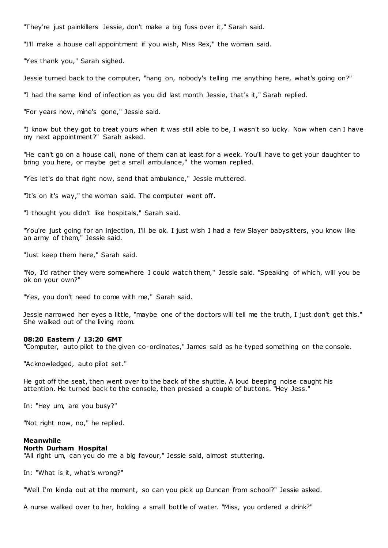"They're just painkillers Jessie, don't make a big fuss over it," Sarah said.

"I'll make a house call appointment if you wish, Miss Rex," the woman said.

"Yes thank you," Sarah sighed.

Jessie turned back to the computer, "hang on, nobody's telling me anything here, what's going on?"

"I had the same kind of infection as you did last month Jessie, that's it," Sarah replied.

"For years now, mine's gone," Jessie said.

"I know but they got to treat yours when it was still able to be, I wasn't so lucky. Now when can I have my next appointment?" Sarah asked.

"He can't go on a house call, none of them can at least for a week. You'll have to get your daughter to bring you here, or maybe get a small ambulance," the woman replied.

"Yes let's do that right now, send that ambulance," Jessie muttered.

"It's on it's way," the woman said. The computer went off.

"I thought you didn't like hospitals," Sarah said.

"You're just going for an injection, I'll be ok. I just wish I had a few Slayer babysitters, you know like an army of them," Jessie said.

"Just keep them here," Sarah said.

"No, I'd rather they were somewhere I could watch them," Jessie said. "Speaking of which, will you be ok on your own?"

"Yes, you don't need to come with me," Sarah said.

Jessie narrowed her eyes a little, "maybe one of the doctors will tell me the truth, I just don't get this." She walked out of the living room.

#### **08:20 Eastern / 13:20 GMT**

"Computer, auto pilot to the given co-ordinates," James said as he typed something on the console.

"Acknowledged, auto pilot set."

He got off the seat, then went over to the back of the shuttle. A loud beeping noise caught his attention. He turned back to the console, then pressed a couple of buttons. "Hey Jess."

In: "Hey um, are you busy?"

"Not right now, no," he replied.

### **Meanwhile**

#### **North Durham Hospital**

"All right um, can you do me a big favour," Jessie said, almost stuttering.

In: "What is it, what's wrong?"

"Well I'm kinda out at the moment, so can you pick up Duncan from school?" Jessie asked.

A nurse walked over to her, holding a small bottle of water. "Miss, you ordered a drink?"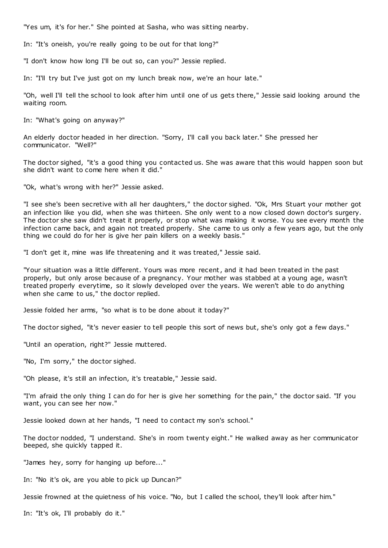"Yes um, it's for her." She pointed at Sasha, who was sitting nearby.

In: "It's oneish, you're really going to be out for that long?"

"I don't know how long I'll be out so, can you?" Jessie replied.

In: "I'll try but I've just got on my lunch break now, we're an hour late."

"Oh, well I'll tell the school to look after him until one of us gets there," Jessie said looking around the waiting room.

In: "What's going on anyway?"

An elderly doctor headed in her direction. "Sorry, I'll call you back later." She pressed her communicator. "Well?"

The doctor sighed, "it's a good thing you contacted us. She was aware that this would happen soon but she didn't want to come here when it did."

"Ok, what's wrong with her?" Jessie asked.

"I see she's been secretive with all her daughters," the doctor sighed. "Ok, Mrs Stuart your mother got an infection like you did, when she was thirteen. She only went to a now closed down doctor's surgery. The doctor she saw didn't treat it properly, or stop what was making it worse. You see every month the infection came back, and again not treated properly. She came to us only a few years ago, but the only thing we could do for her is give her pain killers on a weekly basis."

"I don't get it, mine was life threatening and it was treated," Jessie said.

"Your situation was a little different. Yours was more recent, and it had been treated in the past properly, but only arose because of a pregnancy. Your mother was stabbed at a young age, wasn't treated properly everytime, so it slowly developed over the years. We weren't able to do anything when she came to us," the doctor replied.

Jessie folded her arms, "so what is to be done about it today?"

The doctor sighed, "it's never easier to tell people this sort of news but, she's only got a few days."

"Until an operation, right?" Jessie muttered.

"No, I'm sorry," the doctor sighed.

"Oh please, it's still an infection, it's treatable," Jessie said.

"I'm afraid the only thing I can do for her is give her something for the pain," the doctor said. "If you want, you can see her now."

Jessie looked down at her hands, "I need to contact my son's school."

The doctor nodded, "I understand. She's in room twenty eight." He walked away as her communicator beeped, she quickly tapped it.

"James hey, sorry for hanging up before..."

In: "No it's ok, are you able to pick up Duncan?"

Jessie frowned at the quietness of his voice. "No, but I called the school, they'll look after him."

In: "It's ok, I'll probably do it."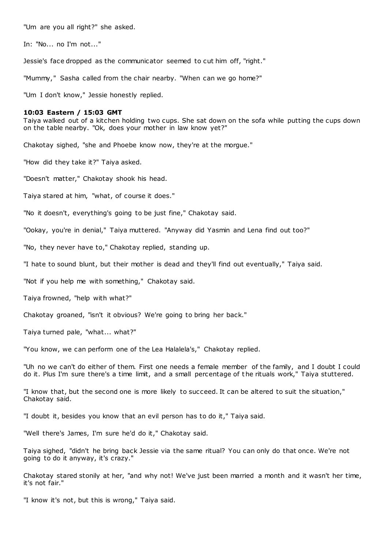"Um are you all right?" she asked.

In: "No... no I'm not..."

Jessie's face dropped as the communicator seemed to cut him off, "right."

"Mummy," Sasha called from the chair nearby. "When can we go home?"

"Um I don't know," Jessie honestly replied.

### **10:03 Eastern / 15:03 GMT**

Taiya walked out of a kitchen holding two cups. She sat down on the sofa while putting the cups down on the table nearby. "Ok, does your mother in law know yet?"

Chakotay sighed, "she and Phoebe know now, they're at the morgue."

"How did they take it?" Taiya asked.

"Doesn't matter," Chakotay shook his head.

Taiya stared at him, "what, of course it does."

"No it doesn't, everything's going to be just fine," Chakotay said.

"Ookay, you're in denial," Taiya muttered. "Anyway did Yasmin and Lena find out too?"

"No, they never have to," Chakotay replied, standing up.

"I hate to sound blunt, but their mother is dead and they'll find out eventually," Taiya said.

"Not if you help me with something," Chakotay said.

Taiya frowned, "help with what?"

Chakotay groaned, "isn't it obvious? We're going to bring her back."

Taiya turned pale, "what... what?"

"You know, we can perform one of the Lea Halalela's," Chakotay replied.

"Uh no we can't do either of them. First one needs a female member of the family, and I doubt I could do it. Plus I'm sure there's a time limit, and a small percentage of the rituals work," Taiya stuttered.

"I know that, but the second one is more likely to succeed. It can be altered to suit the situation," Chakotay said.

"I doubt it, besides you know that an evil person has to do it," Taiya said.

"Well there's James, I'm sure he'd do it," Chakotay said.

Taiya sighed, "didn't he bring back Jessie via the same ritual? You can only do that once. We're not going to do it anyway, it's crazy."

Chakotay stared stonily at her, "and why not! We've just been married a month and it wasn't her time, it's not fair."

"I know it's not, but this is wrong," Taiya said.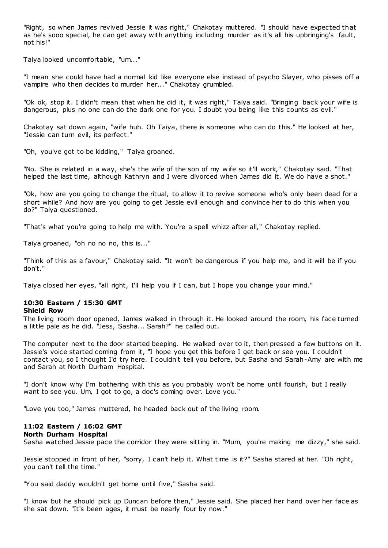"Right, so when James revived Jessie it was right," Chakotay muttered. "I should have expected that as he's sooo special, he can get away with anything including murder as it's all his upbringing's fault, not his!"

Taiya looked uncomfortable, "um..."

"I mean she could have had a normal kid like everyone else instead of psycho Slayer, who pisses off a vampire who then decides to murder her..." Chakotay grumbled.

"Ok ok, stop it. I didn't mean that when he did it, it was right," Taiya said. "Bringing back your wife is dangerous, plus no one can do the dark one for you. I doubt you being like this counts as evil."

Chakotay sat down again, "wife huh. Oh Taiya, there is someone who can do this." He looked at her, "Jessie can turn evil, its perfect."

"Oh, you've got to be kidding," Taiya groaned.

"No. She is related in a way, she's the wife of the son of my wife so it'll work," Chakotay said. "That helped the last time, although Kathryn and I were divorced when James did it. We do have a shot."

"Ok, how are you going to change the ritual, to allow it to revive someone who's only been dead for a short while? And how are you going to get Jessie evil enough and convince her to do this when you do?" Taiya questioned.

"That's what you're going to help me with. You're a spell whizz after all," Chakotay replied.

Taiya groaned, "oh no no no, this is..."

"Think of this as a favour," Chakotay said. "It won't be dangerous if you help me, and it will be if you don't."

Taiya closed her eyes, "all right, I'll help you if I can, but I hope you change your mind."

# **10:30 Eastern / 15:30 GMT**

# **Shield Row**

The living room door opened, James walked in through it. He looked around the room, his face turned a little pale as he did. "Jess, Sasha... Sarah?" he called out.

The computer next to the door started beeping. He walked over to it, then pressed a few buttons on it. Jessie's voice started coming from it, "I hope you get this before I get back or see you. I couldn't contact you, so I thought I'd try here. I couldn't tell you before, but Sasha and Sarah-Amy are with me and Sarah at North Durham Hospital.

"I don't know why I'm bothering with this as you probably won't be home until fourish, but I really want to see you. Um, I got to go, a doc's coming over. Love you."

"Love you too," James muttered, he headed back out of the living room.

# **11:02 Eastern / 16:02 GMT**

## **North Durham Hospital**

Sasha watched Jessie pace the corridor they were sitting in. "Mum, you're making me dizzy," she said.

Jessie stopped in front of her, "sorry, I can't help it. What time is it?" Sasha stared at her. "Oh right, you can't tell the time."

"You said daddy wouldn't get home until five," Sasha said.

"I know but he should pick up Duncan before then," Jessie said. She placed her hand over her face as she sat down. "It's been ages, it must be nearly four by now."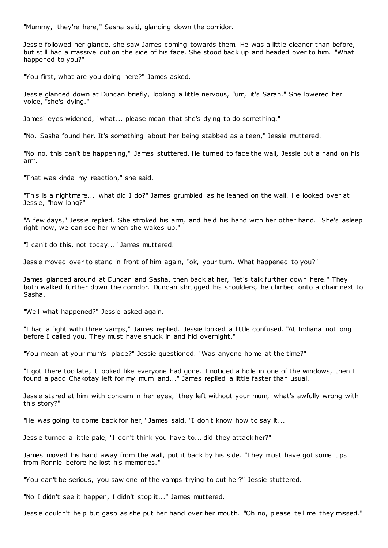"Mummy, they're here," Sasha said, glancing down the corridor.

Jessie followed her glance, she saw James coming towards them. He was a little cleaner than before, but still had a massive cut on the side of his face. She stood back up and headed over to him. "What happened to you?"

"You first, what are you doing here?" James asked.

Jessie glanced down at Duncan briefly, looking a little nervous, "um, it's Sarah." She lowered her voice, "she's dying."

James' eyes widened, "what... please mean that she's dying to do something."

"No, Sasha found her. It's something about her being stabbed as a teen," Jessie muttered.

"No no, this can't be happening," James stuttered. He turned to face the wall, Jessie put a hand on his arm.

"That was kinda my reaction," she said.

"This is a nightmare... what did I do?" James grumbled as he leaned on the wall. He looked over at Jessie, "how long?"

"A few days," Jessie replied. She stroked his arm, and held his hand with her other hand. "She's asleep right now, we can see her when she wakes up."

"I can't do this, not today..." James muttered.

Jessie moved over to stand in front of him again, "ok, your turn. What happened to you?"

James glanced around at Duncan and Sasha, then back at her, "let's talk further down here." They both walked further down the corridor. Duncan shrugged his shoulders, he climbed onto a chair next to Sasha.

"Well what happened?" Jessie asked again.

"I had a fight with three vamps," James replied. Jessie looked a little confused. "At Indiana not long before I called you. They must have snuck in and hid overnight."

"You mean at your mum's place?" Jessie questioned. "Was anyone home at the time?"

"I got there too late, it looked like everyone had gone. I noticed a hole in one of the windows, then I found a padd Chakotay left for my mum and..." James replied a little faster than usual.

Jessie stared at him with concern in her eyes, "they left without your mum, what's awfully wrong with this story?"

"He was going to come back for her," James said. "I don't know how to say it..."

Jessie turned a little pale, "I don't think you have to... did they attack her?"

James moved his hand away from the wall, put it back by his side. "They must have got some tips from Ronnie before he lost his memories."

"You can't be serious, you saw one of the vamps trying to cut her?" Jessie stuttered.

"No I didn't see it happen, I didn't stop it..." James muttered.

Jessie couldn't help but gasp as she put her hand over her mouth. "Oh no, please tell me they missed."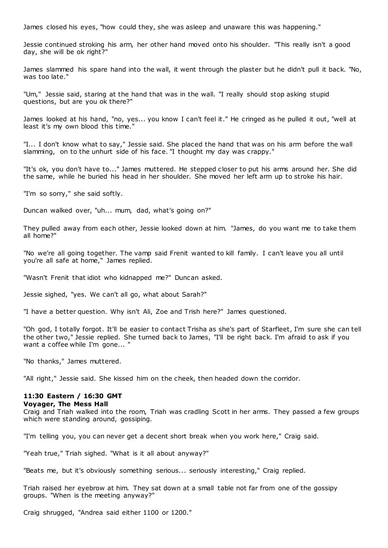James closed his eyes, "how could they, she was asleep and unaware this was happening."

Jessie continued stroking his arm, her other hand moved onto his shoulder. "This really isn't a good day, she will be ok right?"

James slammed his spare hand into the wall, it went through the plaster but he didn't pull it back. "No, was too late."

"Um," Jessie said, staring at the hand that was in the wall. "I really should stop asking stupid questions, but are you ok there?"

James looked at his hand, "no, yes... you know I can't feel it." He cringed as he pulled it out, "well at least it's my own blood this time."

"I... I don't know what to say," Jessie said. She placed the hand that was on his arm before the wall slamming, on to the unhurt side of his face. "I thought my day was crappy."

"It's ok, you don't have to..." James muttered. He stepped closer to put his arms around her. She did the same, while he buried his head in her shoulder. She moved her left arm up to stroke his hair.

"I'm so sorry," she said softly.

Duncan walked over, "uh... mum, dad, what's going on?"

They pulled away from each other, Jessie looked down at him. "James, do you want me to take them all home?"

"No we're all going together. The vamp said Frenit wanted to kill family. I can't leave you all until you're all safe at home," James replied.

"Wasn't Frenit that idiot who kidnapped me?" Duncan asked.

Jessie sighed, "yes. We can't all go, what about Sarah?"

"I have a better question. Why isn't Ali, Zoe and Trish here?" James questioned.

"Oh god, I totally forgot. It'll be easier to contact Trisha as she's part of Starfleet, I'm sure she can tell the other two," Jessie replied. She turned back to James, "I'll be right back. I'm afraid to ask if you want a coffee while I'm gone... "

"No thanks," James muttered.

"All right," Jessie said. She kissed him on the cheek, then headed down the corridor.

# **11:30 Eastern / 16:30 GMT**

## **Voyager, The Mess Hall**

Craig and Triah walked into the room, Triah was cradling Scott in her arms. They passed a few groups which were standing around, gossiping.

"I'm telling you, you can never get a decent short break when you work here," Craig said.

"Yeah true," Triah sighed. "What is it all about anyway?"

"Beats me, but it's obviously something serious... seriously interesting," Craig replied.

Triah raised her eyebrow at him. They sat down at a small table not far from one of the gossipy groups. "When is the meeting anyway?"

Craig shrugged, "Andrea said either 1100 or 1200."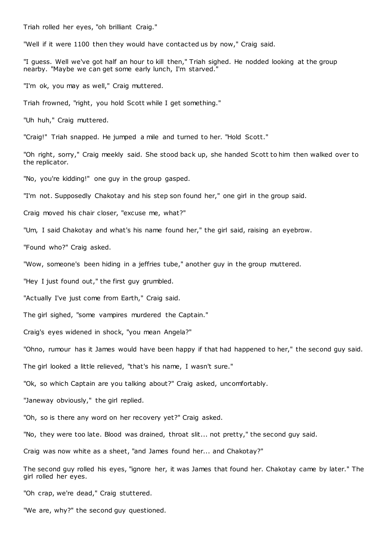Triah rolled her eyes, "oh brilliant Craig."

"Well if it were 1100 then they would have contacted us by now," Craig said.

"I guess. Well we've got half an hour to kill then," Triah sighed. He nodded looking at the group nearby. "Maybe we can get some early lunch, I'm starved."

"I'm ok, you may as well," Craig muttered.

Triah frowned, "right, you hold Scott while I get something."

"Uh huh," Craig muttered.

"Craig!" Triah snapped. He jumped a mile and turned to her. "Hold Scott."

"Oh right, sorry," Craig meekly said. She stood back up, she handed Scott to him then walked over to the replicator.

"No, you're kidding!" one guy in the group gasped.

"I'm not. Supposedly Chakotay and his step son found her," one girl in the group said.

Craig moved his chair closer, "excuse me, what?"

"Um, I said Chakotay and what's his name found her," the girl said, raising an eyebrow.

"Found who?" Craig asked.

"Wow, someone's been hiding in a jeffries tube," another guy in the group muttered.

"Hey I just found out," the first guy grumbled.

"Actually I've just come from Earth," Craig said.

The girl sighed, "some vampires murdered the Captain."

Craig's eyes widened in shock, "you mean Angela?"

"Ohno, rumour has it James would have been happy if that had happened to her," the second guy said.

The girl looked a little relieved, "that's his name, I wasn't sure."

"Ok, so which Captain are you talking about?" Craig asked, uncomfortably.

"Janeway obviously," the girl replied.

"Oh, so is there any word on her recovery yet?" Craig asked.

"No, they were too late. Blood was drained, throat slit... not pretty," the second guy said.

Craig was now white as a sheet, "and James found her... and Chakotay?"

The second guy rolled his eyes, "ignore her, it was James that found her. Chakotay came by later." The girl rolled her eyes.

"Oh crap, we're dead," Craig stuttered.

"We are, why?" the second guy questioned.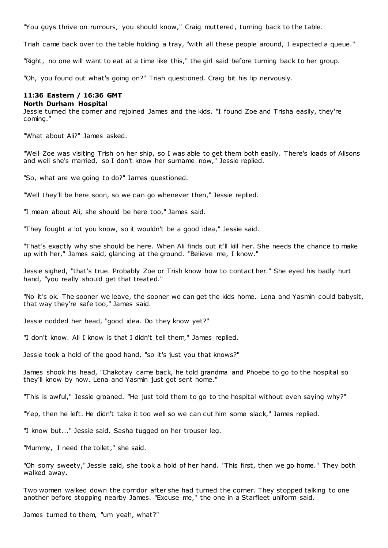"You guys thrive on rumours, you should know," Craig muttered, turning back to the table.

Triah came back over to the table holding a tray, "with all these people around, I expected a queue."

"Right, no one will want to eat at a time like this," the girl said before turning back to her group.

"Oh, you found out what's going on?" Triah questioned. Craig bit his lip nervously.

### **11:36 Eastern / 16:36 GMT**

### **North Durham Hospital**

Jessie turned the corner and rejoined James and the kids. "I found Zoe and Trisha easily, they're coming."

"What about Ali?" James asked.

"Well Zoe was visiting Trish on her ship, so I was able to get them both easily. There's loads of Alisons and well she's married, so I don't know her surname now," Jessie replied.

"So, what are we going to do?" James questioned.

"Well they'll be here soon, so we can go whenever then," Jessie replied.

"I mean about Ali, she should be here too," James said.

"They fought a lot you know, so it wouldn't be a good idea," Jessie said.

"That's exactly why she should be here. When Ali finds out it'll kill her. She needs the chance to make up with her," James said, glancing at the ground. "Believe me, I know."

Jessie sighed, "that's true. Probably Zoe or Trish know how to contact her." She eyed his badly hurt hand, "you really should get that treated."

"No it's ok. The sooner we leave, the sooner we can get the kids home. Lena and Yasmin could babysit, that way they're safe too," James said.

Jessie nodded her head, "good idea. Do they know yet?"

"I don't know. All I know is that I didn't tell them," James replied.

Jessie took a hold of the good hand, "so it's just you that knows?"

James shook his head, "Chakotay came back, he told grandma and Phoebe to go to the hospital so they'll know by now. Lena and Yasmin just got sent home."

"This is awful," Jessie groaned. "He just told them to go to the hospital without even saying why?"

"Yep, then he left. He didn't take it too well so we can cut him some slack," James replied.

"I know but..." Jessie said. Sasha tugged on her trouser leg.

"Mummy, I need the toilet," she said.

"Oh sorry sweety," Jessie said, she took a hold of her hand. "This first, then we go home." They both walked away.

Two women walked down the corridor after she had turned the corner. They stopped talking to one another before stopping nearby James. "Excuse me," the one in a Starfleet uniform said.

James turned to them, "um yeah, what?"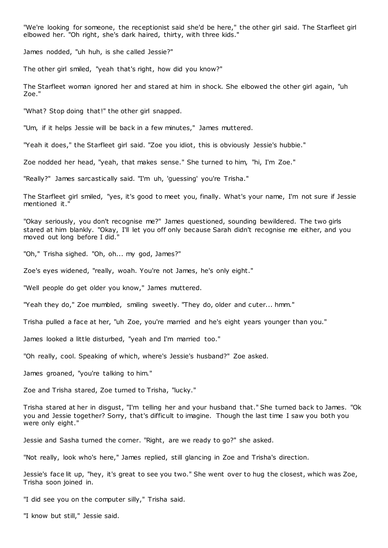"We're looking for someone, the receptionist said she'd be here," the other girl said. The Starfleet girl elbowed her. "Oh right, she's dark haired, thirty, with three kids."

James nodded, "uh huh, is she called Jessie?"

The other girl smiled, "yeah that's right, how did you know?"

The Starfleet woman ignored her and stared at him in shock. She elbowed the other girl again, "uh Zoe."

"What? Stop doing that!" the other girl snapped.

"Um, if it helps Jessie will be back in a few minutes," James muttered.

"Yeah it does," the Starfleet girl said. "Zoe you idiot, this is obviously Jessie's hubbie."

Zoe nodded her head, "yeah, that makes sense." She turned to him, "hi, I'm Zoe."

"Really?" James sarcastically said. "I'm uh, 'guessing' you're Trisha."

The Starfleet girl smiled, "yes, it's good to meet you, finally. What's your name, I'm not sure if Jessie mentioned it."

"Okay seriously, you don't recognise me?" James questioned, sounding bewildered. The two girls stared at him blankly. "Okay, I'll let you off only because Sarah didn't recognise me either, and you moved out long before I did."

"Oh," Trisha sighed. "Oh, oh... my god, James?"

Zoe's eyes widened, "really, woah. You're not James, he's only eight."

"Well people do get older you know," James muttered.

"Yeah they do," Zoe mumbled, smiling sweetly. "They do, older and cuter... hmm."

Trisha pulled a face at her, "uh Zoe, you're married and he's eight years younger than you."

James looked a little disturbed, "yeah and I'm married too."

"Oh really, cool. Speaking of which, where's Jessie's husband?" Zoe asked.

James groaned, "you're talking to him."

Zoe and Trisha stared, Zoe turned to Trisha, "lucky."

Trisha stared at her in disgust, "I'm telling her and your husband that." She turned back to James. "Ok you and Jessie together? Sorry, that's difficult to imagine. Though the last time I saw you both you were only eight."

Jessie and Sasha turned the corner. "Right, are we ready to go?" she asked.

"Not really, look who's here," James replied, still glancing in Zoe and Trisha's direction.

Jessie's face lit up, "hey, it's great to see you two." She went over to hug the closest, which was Zoe, Trisha soon joined in.

"I did see you on the computer silly," Trisha said.

"I know but still," Jessie said.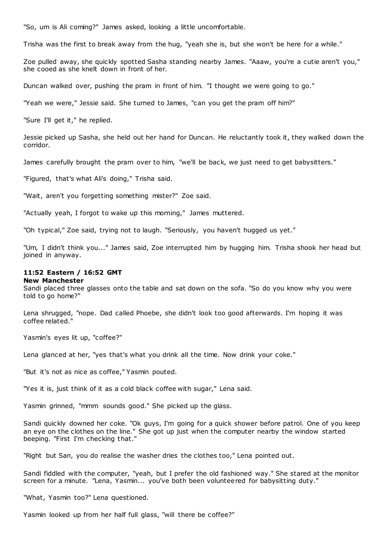"So, um is Ali coming?" James asked, looking a little uncomfortable.

Trisha was the first to break away from the hug, "yeah she is, but she won't be here for a while."

Zoe pulled away, she quickly spotted Sasha standing nearby James. "Aaaw, you're a cutie aren't you," she cooed as she knelt down in front of her.

Duncan walked over, pushing the pram in front of him. "I thought we were going to go."

"Yeah we were," Jessie said. She turned to James, "can you get the pram off him?"

"Sure I'll get it," he replied.

Jessie picked up Sasha, she held out her hand for Duncan. He reluctantly took it, they walked down the corridor.

James carefully brought the pram over to him, "we'll be back, we just need to get babysitters."

"Figured, that's what Ali's doing," Trisha said.

"Wait, aren't you forgetting something mister?" Zoe said.

"Actually yeah, I forgot to wake up this morning," James muttered.

"Oh typical," Zoe said, trying not to laugh. "Seriously, you haven't hugged us yet."

"Um, I didn't think you..." James said, Zoe interrupted him by hugging him. Trisha shook her head but joined in anyway.

# **11:52 Eastern / 16:52 GMT**

#### **New Manchester**

Sandi placed three glasses onto the table and sat down on the sofa. "So do you know why you were told to go home?"

Lena shrugged, "nope. Dad called Phoebe, she didn't look too good afterwards. I'm hoping it was coffee related."

Yasmin's eyes lit up, "coffee?"

Lena glanced at her, "yes that's what you drink all the time. Now drink your coke."

"But it's not as nice as coffee," Yasmin pouted.

"Yes it is, just think of it as a cold black coffee with sugar," Lena said.

Yasmin grinned, "mmm sounds good." She picked up the glass.

Sandi quickly downed her coke. "Ok guys, I'm going for a quick shower before patrol. One of you keep an eye on the clothes on the line." She got up just when the computer nearby the window started beeping. "First I'm checking that."

"Right but San, you do realise the washer dries the clothes too," Lena pointed out.

Sandi fiddled with the computer, "yeah, but I prefer the old fashioned way." She stared at the monitor screen for a minute. "Lena, Yasmin... you've both been volunteered for babysitting duty."

"What, Yasmin too?" Lena questioned.

Yasmin looked up from her half full glass, "will there be coffee?"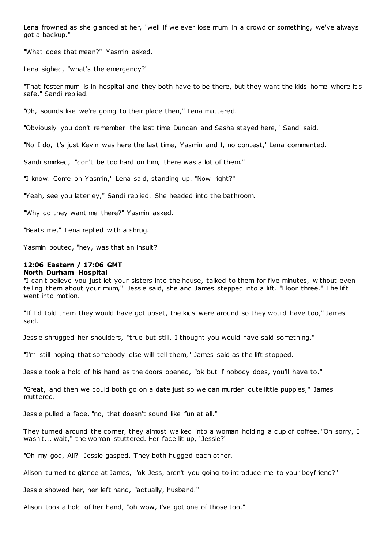Lena frowned as she glanced at her, "well if we ever lose mum in a crowd or something, we've always got a backup."

"What does that mean?" Yasmin asked.

Lena sighed, "what's the emergency?"

"That foster mum is in hospital and they both have to be there, but they want the kids home where it's safe," Sandi replied.

"Oh, sounds like we're going to their place then," Lena muttered.

"Obviously you don't remember the last time Duncan and Sasha stayed here," Sandi said.

"No I do, it's just Kevin was here the last time, Yasmin and I, no contest," Lena commented.

Sandi smirked, "don't be too hard on him, there was a lot of them."

"I know. Come on Yasmin," Lena said, standing up. "Now right?"

"Yeah, see you later ey," Sandi replied. She headed into the bathroom.

"Why do they want me there?" Yasmin asked.

"Beats me," Lena replied with a shrug.

Yasmin pouted, "hey, was that an insult?"

# **12:06 Eastern / 17:06 GMT**

### **North Durham Hospital**

"I can't believe you just let your sisters into the house, talked to them for five minutes, without even telling them about your mum," Jessie said, she and James stepped into a lift. "Floor three." The lift went into motion.

"If I'd told them they would have got upset, the kids were around so they would have too," James said.

Jessie shrugged her shoulders, "true but still, I thought you would have said something."

"I'm still hoping that somebody else will tell them," James said as the lift stopped.

Jessie took a hold of his hand as the doors opened, "ok but if nobody does, you'll have to."

"Great, and then we could both go on a date just so we can murder cute little puppies," James muttered.

Jessie pulled a face, "no, that doesn't sound like fun at all."

They turned around the corner, they almost walked into a woman holding a cup of coffee. "Oh sorry, I wasn't... wait," the woman stuttered. Her face lit up, "Jessie?"

"Oh my god, Ali?" Jessie gasped. They both hugged each other.

Alison turned to glance at James, "ok Jess, aren't you going to introduce me to your boyfriend?"

Jessie showed her, her left hand, "actually, husband."

Alison took a hold of her hand, "oh wow, I've got one of those too."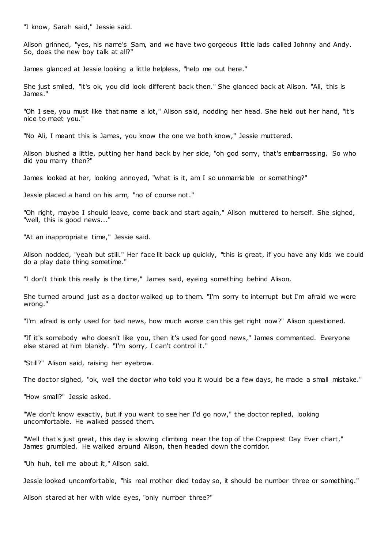"I know, Sarah said," Jessie said.

Alison grinned, "yes, his name's Sam, and we have two gorgeous little lads called Johnny and Andy. So, does the new boy talk at all?"

James glanced at Jessie looking a little helpless, "help me out here."

She just smiled, "it's ok, you did look different back then." She glanced back at Alison. "Ali, this is James."

"Oh I see, you must like that name a lot," Alison said, nodding her head. She held out her hand, "it's nice to meet you."

"No Ali, I meant this is James, you know the one we both know," Jessie muttered.

Alison blushed a little, putting her hand back by her side, "oh god sorry, that's embarrassing. So who did you marry then?"

James looked at her, looking annoyed, "what is it, am I so unmarriable or something?"

Jessie placed a hand on his arm, "no of course not."

"Oh right, maybe I should leave, come back and start again," Alison muttered to herself. She sighed, "well, this is good news..."

"At an inappropriate time," Jessie said.

Alison nodded, "yeah but still." Her face lit back up quickly, "this is great, if you have any kids we could do a play date thing sometime."

"I don't think this really is the time," James said, eyeing something behind Alison.

She turned around just as a doctor walked up to them. "I'm sorry to interrupt but I'm afraid we were wrong."

"I'm afraid is only used for bad news, how much worse can this get right now?" Alison questioned.

"If it's somebody who doesn't like you, then it's used for good news," James commented. Everyone else stared at him blankly. "I'm sorry, I can't control it."

"Still?" Alison said, raising her eyebrow.

The doctor sighed, "ok, well the doctor who told you it would be a few days, he made a small mistake."

"How small?" Jessie asked.

"We don't know exactly, but if you want to see her I'd go now," the doctor replied, looking uncomfortable. He walked passed them.

"Well that's just great, this day is slowing climbing near the top of the Crappiest Day Ever chart," James grumbled. He walked around Alison, then headed down the corridor.

"Uh huh, tell me about it," Alison said.

Jessie looked uncomfortable, "his real mother died today so, it should be number three or something."

Alison stared at her with wide eyes, "only number three?"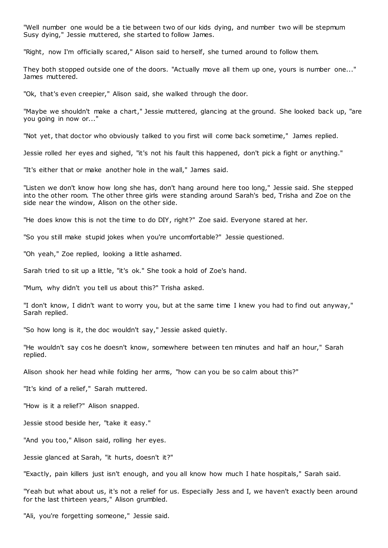"Well number one would be a tie between two of our kids dying, and number two will be stepmum Susy dying," Jessie muttered, she started to follow James.

"Right, now I'm officially scared," Alison said to herself, she turned around to follow them.

They both stopped outside one of the doors. "Actually move all them up one, yours is number one..." James muttered.

"Ok, that's even creepier," Alison said, she walked through the door.

"Maybe we shouldn't make a chart," Jessie muttered, glancing at the ground. She looked back up, "are you going in now or..."

"Not yet, that doctor who obviously talked to you first will come back sometime," James replied.

Jessie rolled her eyes and sighed, "it's not his fault this happened, don't pick a fight or anything."

"It's either that or make another hole in the wall," James said.

"Listen we don't know how long she has, don't hang around here too long," Jessie said. She stepped into the other room. The other three girls were standing around Sarah's bed, Trisha and Zoe on the side near the window, Alison on the other side.

"He does know this is not the time to do DIY, right?" Zoe said. Everyone stared at her.

"So you still make stupid jokes when you're uncomfortable?" Jessie questioned.

"Oh yeah," Zoe replied, looking a little ashamed.

Sarah tried to sit up a little, "it's ok." She took a hold of Zoe's hand.

"Mum, why didn't you tell us about this?" Trisha asked.

"I don't know, I didn't want to worry you, but at the same time I knew you had to find out anyway," Sarah replied.

"So how long is it, the doc wouldn't say," Jessie asked quietly.

"He wouldn't say cos he doesn't know, somewhere between ten minutes and half an hour," Sarah replied.

Alison shook her head while folding her arms, "how can you be so calm about this?"

"It's kind of a relief," Sarah muttered.

"How is it a relief?" Alison snapped.

Jessie stood beside her, "take it easy."

"And you too," Alison said, rolling her eyes.

Jessie glanced at Sarah, "it hurts, doesn't it?"

"Exactly, pain killers just isn't enough, and you all know how much I hate hospitals," Sarah said.

"Yeah but what about us, it's not a relief for us. Especially Jess and I, we haven't exactly been around for the last thirteen years," Alison grumbled.

"Ali, you're forgetting someone," Jessie said.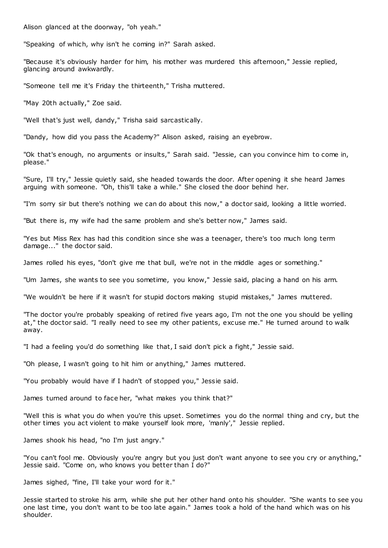Alison glanced at the doorway, "oh yeah."

"Speaking of which, why isn't he coming in?" Sarah asked.

"Because it's obviously harder for him, his mother was murdered this afternoon," Jessie replied, glancing around awkwardly.

"Someone tell me it's Friday the thirteenth," Trisha muttered.

"May 20th actually," Zoe said.

"Well that's just well, dandy," Trisha said sarcastically.

"Dandy, how did you pass the Academy?" Alison asked, raising an eyebrow.

"Ok that's enough, no arguments or insults," Sarah said. "Jessie, can you convince him to come in, please."

"Sure, I'll try," Jessie quietly said, she headed towards the door. After opening it she heard James arguing with someone. "Oh, this'll take a while." She closed the door behind her.

"I'm sorry sir but there's nothing we can do about this now," a doctor said, looking a little worried.

"But there is, my wife had the same problem and she's better now," James said.

"Yes but Miss Rex has had this condition since she was a teenager, there's too much long term damage..." the doctor said.

James rolled his eyes, "don't give me that bull, we're not in the middle ages or something."

"Um James, she wants to see you sometime, you know," Jessie said, placing a hand on his arm.

"We wouldn't be here if it wasn't for stupid doctors making stupid mistakes," James muttered.

"The doctor you're probably speaking of retired five years ago, I'm not the one you should be yelling at," the doctor said. "I really need to see my other patients, excuse me." He turned around to walk away.

"I had a feeling you'd do something like that, I said don't pick a fight," Jessie said.

"Oh please, I wasn't going to hit him or anything," James muttered.

"You probably would have if I hadn't of stopped you," Jessie said.

James turned around to face her, "what makes you think that?"

"Well this is what you do when you're this upset. Sometimes you do the normal thing and cry, but the other times you act violent to make yourself look more, 'manly'," Jessie replied.

James shook his head, "no I'm just angry."

"You can't fool me. Obviously you're angry but you just don't want anyone to see you cry or anything," Jessie said. "Come on, who knows you better than I do?"

James sighed, "fine, I'll take your word for it."

Jessie started to stroke his arm, while she put her other hand onto his shoulder. "She wants to see you one last time, you don't want to be too late again." James took a hold of the hand which was on his shoulder.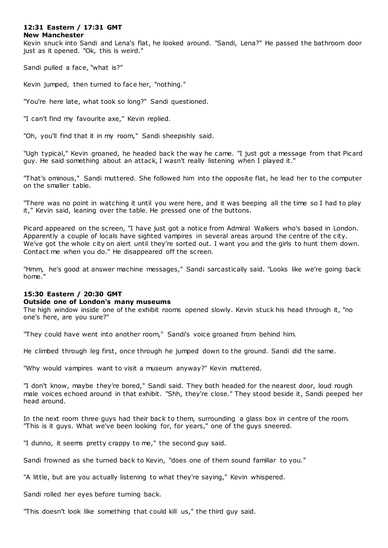# **12:31 Eastern / 17:31 GMT**

### **New Manchester**

Kevin snuck into Sandi and Lena's flat, he looked around. "Sandi, Lena?" He passed the bathroom door just as it opened. "Ok, this is weird."

Sandi pulled a face, "what is?"

Kevin jumped, then turned to face her, "nothing."

"You're here late, what took so long?" Sandi questioned.

"I can't find my favourite axe," Kevin replied.

"Oh, you'll find that it in my room," Sandi sheepishly said.

"Ugh typical," Kevin groaned, he headed back the way he came. "I just got a message from that Picard guy. He said something about an attack, I wasn't really listening when I played it."

"That's ominous," Sandi muttered. She followed him into the opposite flat, he lead her to the computer on the smaller table.

"There was no point in watching it until you were here, and it was beeping all the time so I had to play it," Kevin said, leaning over the table. He pressed one of the buttons.

Picard appeared on the screen, "I have just got a notice from Admiral Walkers who's based in London. Apparently a couple of locals have sighted vampires in several areas around the centre of the city. We've got the whole city on alert until they're sorted out. I want you and the girls to hunt them down. Contact me when you do." He disappeared off the screen.

"Hmm, he's good at answer machine messages," Sandi sarcastically said. "Looks like we're going back home."

# **15:30 Eastern / 20:30 GMT**

# **Outside one of London's many museums**

The high window inside one of the exhibit rooms opened slowly. Kevin stuck his head through it, "no one's here, are you sure?"

"They could have went into another room," Sandi's voice groaned from behind him.

He climbed through leg first, once through he jumped down to the ground. Sandi did the same.

"Why would vampires want to visit a museum anyway?" Kevin muttered.

"I don't know, maybe they're bored," Sandi said. They both headed for the nearest door, loud rough male voices echoed around in that exhibit. "Shh, they're close." They stood beside it, Sandi peeped her head around.

In the next room three guys had their back to them, surrounding a glass box in centre of the room. "This is it guys. What we've been looking for, for years," one of the guys sneered.

"I dunno, it seems pretty crappy to me," the second guy said.

Sandi frowned as she turned back to Kevin, "does one of them sound familiar to you."

"A little, but are you actually listening to what they're saying," Kevin whispered.

Sandi rolled her eyes before turning back.

"This doesn't look like something that could kill us," the third guy said.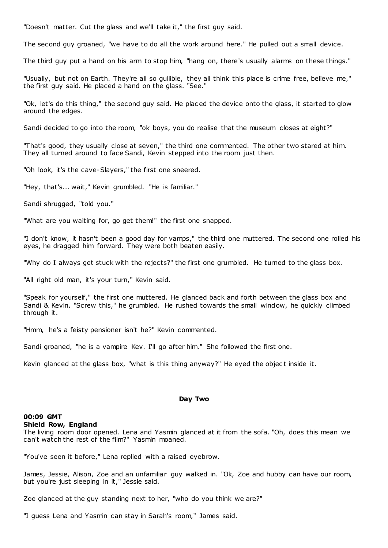"Doesn't matter. Cut the glass and we'll take it," the first guy said.

The second guy groaned, "we have to do all the work around here." He pulled out a small device.

The third guy put a hand on his arm to stop him, "hang on, there's usually alarms on these things."

"Usually, but not on Earth. They're all so gullible, they all think this place is crime free, believe me," the first guy said. He placed a hand on the glass. "See."

"Ok, let's do this thing," the second guy said. He plac ed the device onto the glass, it started to glow around the edges.

Sandi decided to go into the room, "ok boys, you do realise that the museum closes at eight?"

"That's good, they usually close at seven," the third one commented. The other two stared at him. They all turned around to face Sandi, Kevin stepped into the room just then.

"Oh look, it's the cave-Slayers," the first one sneered.

"Hey, that's... wait," Kevin grumbled. "He is familiar."

Sandi shrugged, "told you."

"What are you waiting for, go get them!" the first one snapped.

"I don't know, it hasn't been a good day for vamps," the third one muttered. The second one rolled his eyes, he dragged him forward. They were both beaten easily.

"Why do I always get stuck with the rejects?" the first one grumbled. He turned to the glass box.

"All right old man, it's your turn," Kevin said.

"Speak for yourself," the first one muttered. He glanced back and forth between the glass box and Sandi & Kevin. "Screw this," he grumbled. He rushed towards the small window, he quickly climbed through it.

"Hmm, he's a feisty pensioner isn't he?" Kevin commented.

Sandi groaned, "he is a vampire Kev. I'll go after him." She followed the first one.

Kevin glanced at the glass box, "what is this thing anyway?" He eyed the object inside it.

#### **Day Two**

# **00:09 GMT**

## **Shield Row, England**

The living room door opened. Lena and Yasmin glanced at it from the sofa. "Oh, does this mean we can't watch the rest of the film?" Yasmin moaned.

"You've seen it before," Lena replied with a raised eyebrow.

James, Jessie, Alison, Zoe and an unfamiliar guy walked in. "Ok, Zoe and hubby can have our room, but you're just sleeping in it," Jessie said.

Zoe glanced at the guy standing next to her, "who do you think we are?"

"I guess Lena and Yasmin can stay in Sarah's room," James said.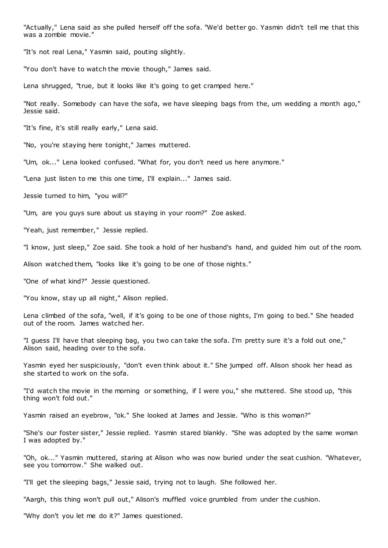"Actually," Lena said as she pulled herself off the sofa. "We'd better go. Yasmin didn't tell me that this was a zombie movie."

"It's not real Lena," Yasmin said, pouting slightly.

"You don't have to watch the movie though," James said.

Lena shrugged, "true, but it looks like it's going to get cramped here."

"Not really. Somebody can have the sofa, we have sleeping bags from the, um wedding a month ago," Jessie said.

"It's fine, it's still really early," Lena said.

"No, you're staying here tonight," James muttered.

"Um, ok..." Lena looked confused. "What for, you don't need us here anymore."

"Lena just listen to me this one time, I'll explain..." James said.

Jessie turned to him, "you will?"

"Um, are you guys sure about us staying in your room?" Zoe asked.

"Yeah, just remember," Jessie replied.

"I know, just sleep," Zoe said. She took a hold of her husband's hand, and guided him out of the room.

Alison watched them, "looks like it's going to be one of those nights."

"One of what kind?" Jessie questioned.

"You know, stay up all night," Alison replied.

Lena climbed of the sofa, "well, if it's going to be one of those nights, I'm going to bed." She headed out of the room. James watched her.

"I guess I'll have that sleeping bag, you two can take the sofa. I'm pretty sure it's a fold out one," Alison said, heading over to the sofa.

Yasmin eyed her suspiciously, "don't even think about it." She jumped off. Alison shook her head as she started to work on the sofa.

"I'd watch the movie in the morning or something, if I were you," she muttered. She stood up, "this thing won't fold out."

Yasmin raised an eyebrow, "ok." She looked at James and Jessie. "Who is this woman?"

"She's our foster sister," Jessie replied. Yasmin stared blankly. "She was adopted by the same woman I was adopted by."

"Oh, ok..." Yasmin muttered, staring at Alison who was now buried under the seat cushion. "Whatever, see you tomorrow." She walked out.

"I'll get the sleeping bags," Jessie said, trying not to laugh. She followed her.

"Aargh, this thing won't pull out," Alison's muffled voice grumbled from under the cushion.

"Why don't you let me do it?" James questioned.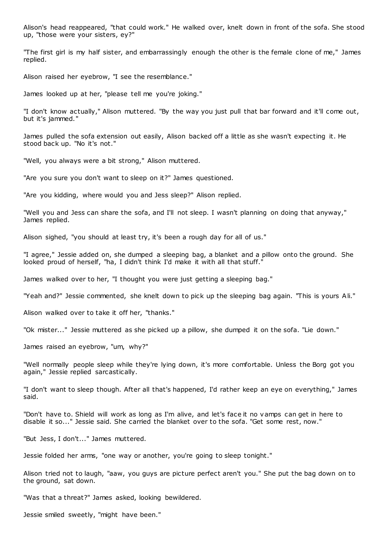Alison's head reappeared, "that could work." He walked over, knelt down in front of the sofa. She stood up, "those were your sisters, ey?"

"The first girl is my half sister, and embarrassingly enough the other is the female clone of me," James replied.

Alison raised her eyebrow, "I see the resemblance."

James looked up at her, "please tell me you're joking."

"I don't know actually," Alison muttered. "By the way you just pull that bar forward and it'll come out, but it's jammed."

James pulled the sofa extension out easily, Alison backed off a little as she wasn't expecting it. He stood back up. "No it's not."

"Well, you always were a bit strong," Alison muttered.

"Are you sure you don't want to sleep on it?" James questioned.

"Are you kidding, where would you and Jess sleep?" Alison replied.

"Well you and Jess can share the sofa, and I'll not sleep. I wasn't planning on doing that anyway," James replied.

Alison sighed, "you should at least try, it's been a rough day for all of us."

"I agree," Jessie added on, she dumped a sleeping bag, a blanket and a pillow onto the ground. She looked proud of herself, "ha, I didn't think I'd make it with all that stuff."

James walked over to her, "I thought you were just getting a sleeping bag."

"Yeah and?" Jessie commented, she knelt down to pick up the sleeping bag again. "This is yours Ali."

Alison walked over to take it off her, "thanks."

"Ok mister..." Jessie muttered as she picked up a pillow, she dumped it on the sofa. "Lie down."

James raised an eyebrow, "um, why?"

"Well normally people sleep while they're lying down, it's more comfortable. Unless the Borg got you again," Jessie replied sarcastically.

"I don't want to sleep though. After all that's happened, I'd rather keep an eye on everything," James said.

"Don't have to. Shield will work as long as I'm alive, and let's face it no vamps can get in here to disable it so..." Jessie said. She carried the blanket over to the sofa. "Get some rest, now."

"But Jess, I don't..." James muttered.

Jessie folded her arms, "one way or another, you're going to sleep tonight."

Alison tried not to laugh, "aaw, you guys are picture perfect aren't you." She put the bag down on to the ground, sat down.

"Was that a threat?" James asked, looking bewildered.

Jessie smiled sweetly, "might have been."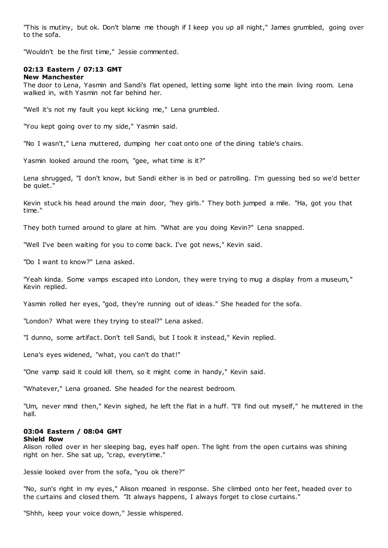"This is mutiny, but ok. Don't blame me though if I keep you up all night," James grumbled, going over to the sofa.

"Wouldn't be the first time," Jessie commented.

### **02:13 Eastern / 07:13 GMT New Manchester**

The door to Lena, Yasmin and Sandi's flat opened, letting some light into the main living room. Lena walked in, with Yasmin not far behind her.

"Well it's not my fault you kept kicking me," Lena grumbled.

"You kept going over to my side," Yasmin said.

"No I wasn't," Lena muttered, dumping her coat onto one of the dining table's chairs.

Yasmin looked around the room, "gee, what time is it?"

Lena shrugged, "I don't know, but Sandi either is in bed or patrolling. I'm guessing bed so we'd better be quiet."

Kevin stuck his head around the main door, "hey girls." They both jumped a mile. "Ha, got you that time."

They both turned around to glare at him. "What are you doing Kevin?" Lena snapped.

"Well I've been waiting for you to come back. I've got news," Kevin said.

"Do I want to know?" Lena asked.

"Yeah kinda. Some vamps escaped into London, they were trying to mug a display from a museum," Kevin replied.

Yasmin rolled her eyes, "god, they're running out of ideas." She headed for the sofa.

"London? What were they trying to steal?" Lena asked.

"I dunno, some artifact. Don't tell Sandi, but I took it instead," Kevin replied.

Lena's eyes widened, "what, you can't do that!"

"One vamp said it could kill them, so it might come in handy," Kevin said.

"Whatever," Lena groaned. She headed for the nearest bedroom.

"Um, never mind then," Kevin sighed, he left the flat in a huff. "I'll find out myself," he muttered in the hall.

#### **03:04 Eastern / 08:04 GMT Shield Row**

Alison rolled over in her sleeping bag, eyes half open. The light from the open curtains was shining right on her. She sat up, "crap, everytime."

Jessie looked over from the sofa, "you ok there?"

"No, sun's right in my eyes," Alison moaned in response. She climbed onto her feet, headed over to the curtains and closed them. "It always happens, I always forget to close curtains."

"Shhh, keep your voice down," Jessie whispered.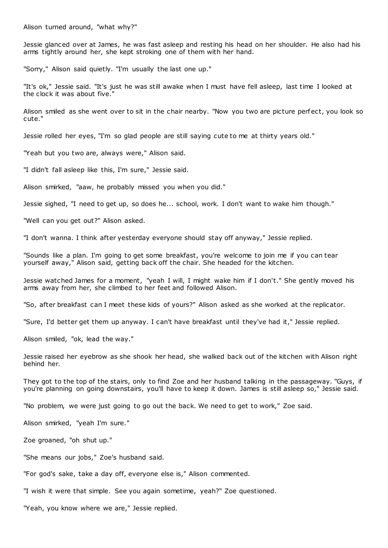Alison turned around, "what why?"

Jessie glanced over at James, he was fast asleep and resting his head on her shoulder. He also had his arms tightly around her, she kept stroking one of them with her hand.

"Sorry," Alison said quietly. "I'm usually the last one up."

"It's ok," Jessie said. "It's just he was still awake when I must have fell asleep, last time I looked at the clock it was about five."

Alison smiled as she went over to sit in the chair nearby. "Now you two are picture perfect, you look so cute."

Jessie rolled her eyes, "I'm so glad people are still saying cute to me at thirty years old."

"Yeah but you two are, always were," Alison said.

"I didn't fall asleep like this, I'm sure," Jessie said.

Alison smirked, "aaw, he probably missed you when you did."

Jessie sighed, "I need to get up, so does he... school, work. I don't want to wake him though."

"Well can you get out?" Alison asked.

"I don't wanna. I think after yesterday everyone should stay off anyway," Jessie replied.

"Sounds like a plan. I'm going to get some breakfast, you're welcome to join me if you can tear yourself away," Alison said, getting back off the chair. She headed for the kitchen.

Jessie watched James for a moment, "yeah I will, I might wake him if I don't." She gently moved his arms away from her, she climbed to her feet and followed Alison.

"So, after breakfast can I meet these kids of yours?" Alison asked as she worked at the replicator.

"Sure, I'd better get them up anyway. I can't have breakfast until they've had it," Jessie replied.

Alison smiled, "ok, lead the way."

Jessie raised her eyebrow as she shook her head, she walked back out of the kitchen with Alison right behind her.

They got to the top of the stairs, only to find Zoe and her husband talking in the passageway. "Guys, if you're planning on going downstairs, you'll have to keep it down. James is still asleep so," Jessie said.

"No problem, we were just going to go out the back. We need to get to work," Zoe said.

Alison smirked, "yeah I'm sure."

Zoe groaned, "oh shut up."

"She means our jobs," Zoe's husband said.

"For god's sake, take a day off, everyone else is," Alison commented.

"I wish it were that simple. See you again sometime, yeah?" Zoe questioned.

"Yeah, you know where we are," Jessie replied.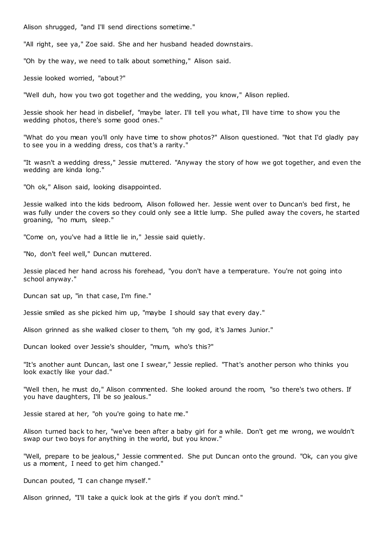Alison shrugged, "and I'll send directions sometime."

"All right, see ya," Zoe said. She and her husband headed downstairs.

"Oh by the way, we need to talk about something," Alison said.

Jessie looked worried, "about?"

"Well duh, how you two got together and the wedding, you know," Alison replied.

Jessie shook her head in disbelief, "maybe later. I'll tell you what, I'll have time to show you the wedding photos, there's some good ones."

"What do you mean you'll only have time to show photos?" Alison questioned. "Not that I'd gladly pay to see you in a wedding dress, cos that's a rarity."

"It wasn't a wedding dress," Jessie muttered. "Anyway the story of how we got together, and even the wedding are kinda long."

"Oh ok," Alison said, looking disappointed.

Jessie walked into the kids bedroom, Alison followed her. Jessie went over to Duncan's bed first, he was fully under the covers so they could only see a little lump. She pulled away the covers, he started groaning, "no mum, sleep."

"Come on, you've had a little lie in," Jessie said quietly.

"No, don't feel well," Duncan muttered.

Jessie placed her hand across his forehead, "you don't have a temperature. You're not going into school anyway."

Duncan sat up, "in that case, I'm fine."

Jessie smiled as she picked him up, "maybe I should say that every day."

Alison grinned as she walked closer to them, "oh my god, it's James Junior."

Duncan looked over Jessie's shoulder, "mum, who's this?"

"It's another aunt Duncan, last one I swear," Jessie replied. "That's another person who thinks you look exactly like your dad.

"Well then, he must do," Alison commented. She looked around the room, "so there's two others. If you have daughters, I'll be so jealous."

Jessie stared at her, "oh you're going to hate me."

Alison turned back to her, "we've been after a baby girl for a while. Don't get me wrong, we wouldn't swap our two boys for anything in the world, but you know."

"Well, prepare to be jealous," Jessie commented. She put Duncan onto the ground. "Ok, can you give us a moment, I need to get him changed."

Duncan pouted, "I can change myself."

Alison grinned, "I'll take a quick look at the girls if you don't mind."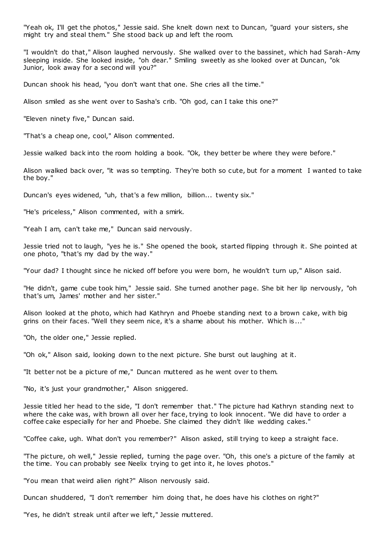"Yeah ok, I'll get the photos," Jessie said. She knelt down next to Duncan, "guard your sisters, she might try and steal them." She stood back up and left the room.

"I wouldn't do that," Alison laughed nervously. She walked over to the bassinet, which had Sarah-Amy sleeping inside. She looked inside, "oh dear." Smiling sweetly as she looked over at Duncan, "ok Junior, look away for a second will you?"

Duncan shook his head, "you don't want that one. She cries all the time."

Alison smiled as she went over to Sasha's crib. "Oh god, can I take this one?"

"Eleven ninety five," Duncan said.

"That's a cheap one, cool," Alison commented.

Jessie walked back into the room holding a book. "Ok, they better be where they were before."

Alison walked back over, "it was so tempting. They're both so cute, but for a moment I wanted to take the boy."

Duncan's eyes widened, "uh, that's a few million, billion... twenty six."

"He's priceless," Alison commented, with a smirk.

"Yeah I am, can't take me," Duncan said nervously.

Jessie tried not to laugh, "yes he is." She opened the book, started flipping through it. She pointed at one photo, "that's my dad by the way."

"Your dad? I thought since he nicked off before you were born, he wouldn't turn up," Alison said.

"He didn't, game cube took him," Jessie said. She turned another page. She bit her lip nervously, "oh that's um, James' mother and her sister."

Alison looked at the photo, which had Kathryn and Phoebe standing next to a brown cake, with big grins on their faces. "Well they seem nice, it's a shame about his mother. Which is..."

"Oh, the older one," Jessie replied.

"Oh ok," Alison said, looking down to the next picture. She burst out laughing at it.

"It better not be a picture of me," Duncan muttered as he went over to them.

"No, it's just your grandmother," Alison sniggered.

Jessie titled her head to the side, "I don't remember that." The picture had Kathryn standing next to where the cake was, with brown all over her face, trying to look innocent. "We did have to order a coffee cake especially for her and Phoebe. She claimed they didn't like wedding cakes."

"Coffee cake, ugh. What don't you remember?" Alison asked, still trying to keep a straight face.

"The picture, oh well," Jessie replied, turning the page over. "Oh, this one's a picture of the family at the time. You can probably see Neelix trying to get into it, he loves photos."

"You mean that weird alien right?" Alison nervously said.

Duncan shuddered, "I don't remember him doing that, he does have his clothes on right?"

"Yes, he didn't streak until after we left," Jessie muttered.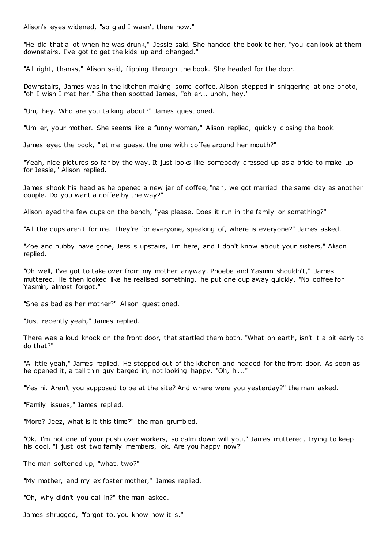Alison's eyes widened, "so glad I wasn't there now."

"He did that a lot when he was drunk," Jessie said. She handed the book to her, "you can look at them downstairs. I've got to get the kids up and changed."

"All right, thanks," Alison said, flipping through the book. She headed for the door.

Downstairs, James was in the kitchen making some coffee. Alison stepped in sniggering at one photo, "oh I wish I met her." She then spotted James, "oh er... uhoh, hey."

"Um, hey. Who are you talking about?" James questioned.

"Um er, your mother. She seems like a funny woman," Alison replied, quickly closing the book.

James eyed the book, "let me guess, the one with coffee around her mouth?"

"Yeah, nice pictures so far by the way. It just looks like somebody dressed up as a bride to make up for Jessie," Alison replied.

James shook his head as he opened a new jar of coffee, "nah, we got married the same day as another couple. Do you want a coffee by the way?"

Alison eyed the few cups on the bench, "yes please. Does it run in the family or something?"

"All the cups aren't for me. They're for everyone, speaking of, where is everyone?" James asked.

"Zoe and hubby have gone, Jess is upstairs, I'm here, and I don't know about your sisters," Alison replied.

"Oh well, I've got to take over from my mother anyway. Phoebe and Yasmin shouldn't," James muttered. He then looked like he realised something, he put one cup away quickly. "No coffee for Yasmin, almost forgot."

"She as bad as her mother?" Alison questioned.

"Just recently yeah," James replied.

There was a loud knock on the front door, that startled them both. "What on earth, isn't it a bit early to do that?"

"A little yeah," James replied. He stepped out of the kitchen and headed for the front door. As soon as he opened it, a tall thin guy barged in, not looking happy. "Oh, hi..."

"Yes hi. Aren't you supposed to be at the site? And where were you yesterday?" the man asked.

"Family issues," James replied.

"More? Jeez, what is it this time?" the man grumbled.

"Ok, I'm not one of your push over workers, so calm down will you," James muttered, trying to keep his cool. "I just lost two family members, ok. Are you happy now?"

The man softened up, "what, two?"

"My mother, and my ex foster mother," James replied.

"Oh, why didn't you call in?" the man asked.

James shrugged, "forgot to, you know how it is."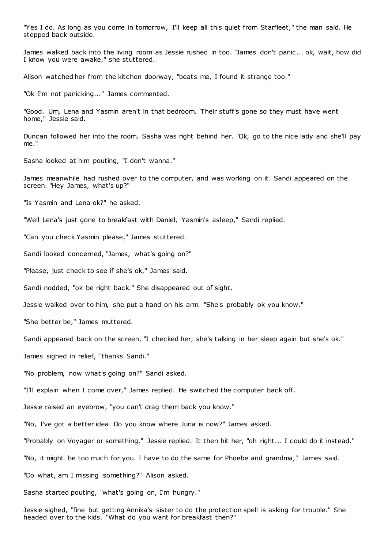"Yes I do. As long as you come in tomorrow, I'll keep all this quiet from Starfleet," the man said. He stepped back outside.

James walked back into the living room as Jessie rushed in too. "James don't panic ... ok, wait, how did I know you were awake," she stuttered.

Alison watched her from the kitchen doorway, "beats me, I found it strange too."

"Ok I'm not panicking..." James commented.

"Good. Um, Lena and Yasmin aren't in that bedroom. Their stuff's gone so they must have went home," Jessie said.

Duncan followed her into the room, Sasha was right behind her. "Ok, go to the nice lady and she'll pay me."

Sasha looked at him pouting, "I don't wanna."

James meanwhile had rushed over to the computer, and was working on it. Sandi appeared on the screen. "Hey James, what's up?"

"Is Yasmin and Lena ok?" he asked.

"Well Lena's just gone to breakfast with Daniel, Yasmin's asleep," Sandi replied.

"Can you check Yasmin please," James stuttered.

Sandi looked concerned, "James, what's going on?"

"Please, just check to see if she's ok," James said.

Sandi nodded, "ok be right back." She disappeared out of sight.

Jessie walked over to him, she put a hand on his arm. "She's probably ok you know."

"She better be," James muttered.

Sandi appeared back on the screen, "I checked her, she's talking in her sleep again but she's ok."

James sighed in relief, "thanks Sandi."

"No problem, now what's going on?" Sandi asked.

"I'll explain when I come over," James replied. He switched the computer back off.

Jessie raised an eyebrow, "you can't drag them back you know."

"No, I've got a better idea. Do you know where Juna is now?" James asked.

"Probably on Voyager or something," Jessie replied. It then hit her, "oh right... I could do it instead."

"No, it might be too much for you. I have to do the same for Phoebe and grandma," James said.

"Do what, am I missing something?" Alison asked.

Sasha started pouting, "what's going on, I'm hungry."

Jessie sighed, "fine but getting Annika's sister to do the protection spell is asking for trouble." She headed over to the kids. "What do you want for breakfast then?"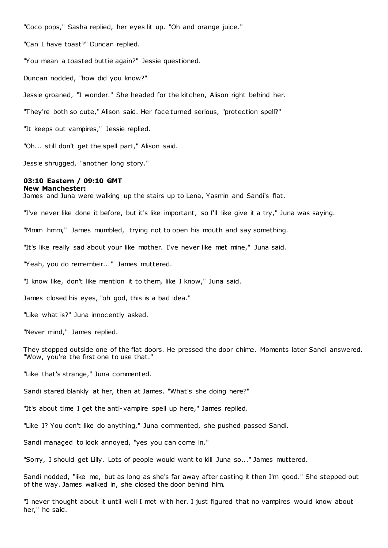"Coco pops," Sasha replied, her eyes lit up. "Oh and orange juice."

"Can I have toast?" Duncan replied.

"You mean a toasted buttie again?" Jessie questioned.

Duncan nodded, "how did you know?"

Jessie groaned, "I wonder." She headed for the kitchen, Alison right behind her.

"They're both so cute," Alison said. Her face turned serious, "protection spell?"

"It keeps out vampires," Jessie replied.

"Oh... still don't get the spell part," Alison said.

Jessie shrugged, "another long story."

#### **03:10 Eastern / 09:10 GMT New Manchester:**

James and Juna were walking up the stairs up to Lena, Yasmin and Sandi's flat.

"I've never like done it before, but it's like important, so I'll like give it a try," Juna was saying.

"Mmm hmm," James mumbled, trying not to open his mouth and say something.

"It's like really sad about your like mother. I've never like met mine," Juna said.

"Yeah, you do remember..." James muttered.

"I know like, don't like mention it to them, like I know," Juna said.

James closed his eyes, "oh god, this is a bad idea."

"Like what is?" Juna innocently asked.

"Never mind," James replied.

They stopped outside one of the flat doors. He pressed the door chime. Moments later Sandi answered. "Wow, you're the first one to use that."

"Like that's strange," Juna commented.

Sandi stared blankly at her, then at James. "What's she doing here?"

"It's about time I get the anti-vampire spell up here," James replied.

"Like I? You don't like do anything," Juna commented, she pushed passed Sandi.

Sandi managed to look annoyed, "yes you can come in."

"Sorry, I should get Lilly. Lots of people would want to kill Juna so..." James muttered.

Sandi nodded, "like me, but as long as she's far away after casting it then I'm good." She stepped out of the way. James walked in, she closed the door behind him.

"I never thought about it until well I met with her. I just figured that no vampires would know about her," he said.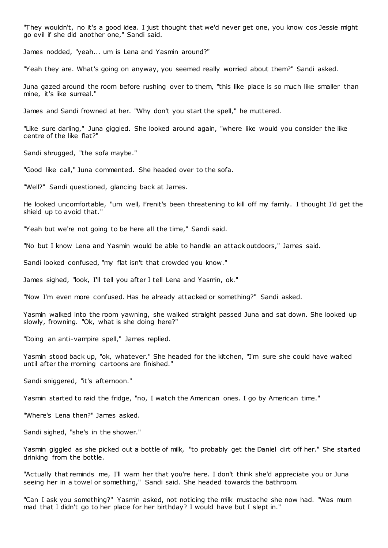"They wouldn't, no it's a good idea. I just thought that we'd never get one, you know cos Jessie might go evil if she did another one," Sandi said.

James nodded, "yeah... um is Lena and Yasmin around?"

"Yeah they are. What's going on anyway, you seemed really worried about them?" Sandi asked.

Juna gazed around the room before rushing over to them, "this like place is so much like smaller than mine, it's like surreal."

James and Sandi frowned at her. "Why don't you start the spell," he muttered.

"Like sure darling," Juna giggled. She looked around again, "where like would you consider the like centre of the like flat?"

Sandi shrugged, "the sofa maybe."

"Good like call," Juna commented. She headed over to the sofa.

"Well?" Sandi questioned, glancing back at James.

He looked uncomfortable, "um well, Frenit's been threatening to kill off my family. I thought I'd get the shield up to avoid that."

"Yeah but we're not going to be here all the time," Sandi said.

"No but I know Lena and Yasmin would be able to handle an attack outdoors," James said.

Sandi looked confused, "my flat isn't that crowded you know."

James sighed, "look, I'll tell you after I tell Lena and Yasmin, ok."

"Now I'm even more confused. Has he already attacked or something?" Sandi asked.

Yasmin walked into the room yawning, she walked straight passed Juna and sat down. She looked up slowly, frowning. "Ok, what is she doing here?"

"Doing an anti-vampire spell," James replied.

Yasmin stood back up, "ok, whatever." She headed for the kitchen, "I'm sure she could have waited until after the morning cartoons are finished."

Sandi sniggered, "it's afternoon."

Yasmin started to raid the fridge, "no, I watch the American ones. I go by American time."

"Where's Lena then?" James asked.

Sandi sighed, "she's in the shower."

Yasmin giggled as she picked out a bottle of milk, "to probably get the Daniel dirt off her." She started drinking from the bottle.

"Actually that reminds me, I'll warn her that you're here. I don't think she'd appreciate you or Juna seeing her in a towel or something," Sandi said. She headed towards the bathroom.

"Can I ask you something?" Yasmin asked, not noticing the milk mustache she now had. "Was mum mad that I didn't go to her place for her birthday? I would have but I slept in."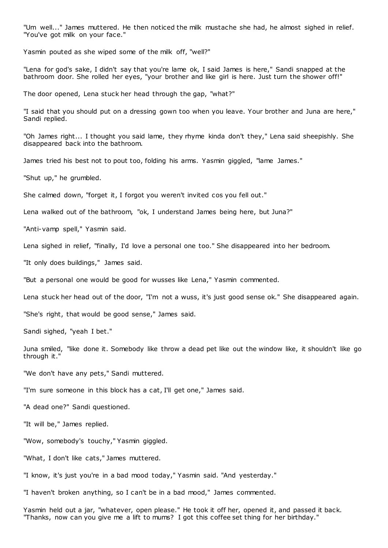"Um well..." James muttered. He then noticed the milk mustache she had, he almost sighed in relief. "You've got milk on your face."

Yasmin pouted as she wiped some of the milk off, "well?"

"Lena for god's sake, I didn't say that you're lame ok, I said James is here," Sandi snapped at the bathroom door. She rolled her eyes, "your brother and like girl is here. Just turn the shower off!"

The door opened, Lena stuck her head through the gap, "what?"

"I said that you should put on a dressing gown too when you leave. Your brother and Juna are here," Sandi replied.

"Oh James right... I thought you said lame, they rhyme kinda don't they," Lena said sheepishly. She disappeared back into the bathroom.

James tried his best not to pout too, folding his arms. Yasmin giggled, "lame James."

"Shut up," he grumbled.

She calmed down, "forget it, I forgot you weren't invited cos you fell out."

Lena walked out of the bathroom, "ok, I understand James being here, but Juna?"

"Anti-vamp spell," Yasmin said.

Lena sighed in relief, "finally, I'd love a personal one too." She disappeared into her bedroom.

"It only does buildings," James said.

"But a personal one would be good for wusses like Lena," Yasmin commented.

Lena stuck her head out of the door, "I'm not a wuss, it's just good sense ok." She disappeared again.

"She's right, that would be good sense," James said.

Sandi sighed, "yeah I bet."

Juna smiled, "like done it. Somebody like throw a dead pet like out the window like, it shouldn't like go through it."

"We don't have any pets," Sandi muttered.

"I'm sure someone in this block has a cat, I'll get one," James said.

"A dead one?" Sandi questioned.

"It will be," James replied.

"Wow, somebody's touchy," Yasmin giggled.

"What, I don't like cats," James muttered.

"I know, it's just you're in a bad mood today," Yasmin said. "And yesterday."

"I haven't broken anything, so I can't be in a bad mood," James commented.

Yasmin held out a jar, "whatever, open please." He took it off her, opened it, and passed it back. "Thanks, now can you give me a lift to mums? I got this coffee set thing for her birthday."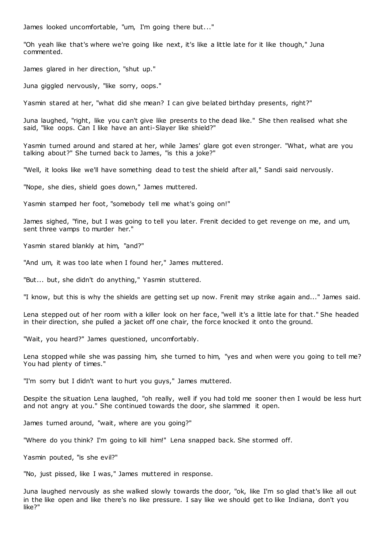James looked uncomfortable, "um, I'm going there but..."

"Oh yeah like that's where we're going like next, it's like a little late for it like though," Juna commented.

James glared in her direction, "shut up."

Juna giggled nervously, "like sorry, oops."

Yasmin stared at her, "what did she mean? I can give belated birthday presents, right?"

Juna laughed, "right, like you can't give like presents to the dead like." She then realised what she said, "like oops. Can I like have an anti-Slayer like shield?"

Yasmin turned around and stared at her, while James' glare got even stronger. "What, what are you talking about?" She turned back to James, "is this a joke?"

"Well, it looks like we'll have something dead to test the shield after all," Sandi said nervously.

"Nope, she dies, shield goes down," James muttered.

Yasmin stamped her foot, "somebody tell me what's going on!"

James sighed, "fine, but I was going to tell you later. Frenit decided to get revenge on me, and um, sent three vamps to murder her."

Yasmin stared blankly at him, "and?"

"And um, it was too late when I found her," James muttered.

"But... but, she didn't do anything," Yasmin stuttered.

"I know, but this is why the shields are getting set up now. Frenit may strike again and..." James said.

Lena stepped out of her room with a killer look on her face, "well it's a little late for that." She headed in their direction, she pulled a jacket off one chair, the force knocked it onto the ground.

"Wait, you heard?" James questioned, uncomfortably.

Lena stopped while she was passing him, she turned to him, "yes and when were you going to tell me? You had plenty of times."

"I'm sorry but I didn't want to hurt you guys," James muttered.

Despite the situation Lena laughed, "oh really, well if you had told me sooner then I would be less hurt and not angry at you." She continued towards the door, she slammed it open.

James turned around, "wait, where are you going?"

"Where do you think? I'm going to kill him!" Lena snapped back. She stormed off.

Yasmin pouted, "is she evil?"

"No, just pissed, like I was," James muttered in response.

Juna laughed nervously as she walked slowly towards the door, "ok, like I'm so glad that's like all out in the like open and like there's no like pressure. I say like we should get to like Indiana, don't you like?"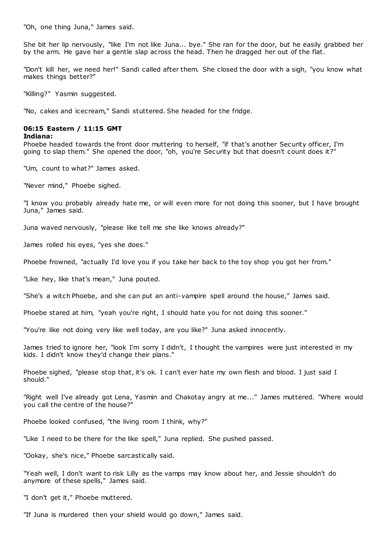"Oh, one thing Juna," James said.

She bit her lip nervously, "like I'm not like Juna... bye." She ran for the door, but he easily grabbed her by the arm. He gave her a gentle slap across the head. Then he dragged her out of the flat.

"Don't kill her, we need her!" Sandi called after them. She closed the door with a sigh, "you know what makes things better?"

"Killing?" Yasmin suggested.

"No, cakes and icecream," Sandi stuttered. She headed for the fridge.

#### **06:15 Eastern / 11:15 GMT**

#### **Indiana:**

Phoebe headed towards the front door muttering to herself, "if that's another Security officer, I'm going to slap them." She opened the door, "oh, you're Security but that doesn't count does it?"

"Um, count to what?" James asked.

"Never mind," Phoebe sighed.

"I know you probably already hate me, or will even more for not doing this sooner, but I have brought Juna," James said.

Juna waved nervously, "please like tell me she like knows already?"

James rolled his eyes, "yes she does."

Phoebe frowned, "actually I'd love you if you take her back to the toy shop you got her from."

"Like hey, like that's mean," Juna pouted.

"She's a witch Phoebe, and she can put an anti-vampire spell around the house," James said.

Phoebe stared at him, "yeah you're right, I should hate you for not doing this sooner."

"You're like not doing very like well today, are you like?" Juna asked innocently.

James tried to ignore her, "look I'm sorry I didn't, I thought the vampires were just interested in my kids. I didn't know they'd change their plans."

Phoebe sighed, "please stop that, it's ok. I can't ever hate my own flesh and blood. I just said I should."

"Right well I've already got Lena, Yasmin and Chakotay angry at me..." James muttered. "Where would you call the centre of the house?"

Phoebe looked confused, "the living room I think, why?"

"Like I need to be there for the like spell," Juna replied. She pushed passed.

"Ookay, she's nice," Phoebe sarcastically said.

"Yeah well, I don't want to risk Lilly as the vamps may know about her, and Jessie shouldn't do anymore of these spells," James said.

"I don't get it," Phoebe muttered.

"If Juna is murdered then your shield would go down," James said.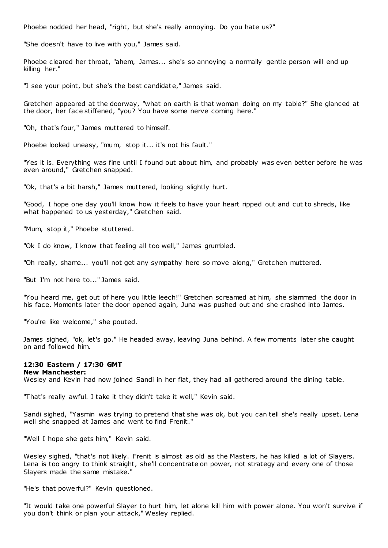Phoebe nodded her head, "right, but she's really annoying. Do you hate us?"

"She doesn't have to live with you," James said.

Phoebe cleared her throat, "ahem, James... she's so annoying a normally gentle person will end up killing her."

"I see your point, but she's the best candidate," James said.

Gretchen appeared at the doorway, "what on earth is that woman doing on my table?" She glanced at the door, her face stiffened, "you? You have some nerve coming here."

"Oh, that's four," James muttered to himself.

Phoebe looked uneasy, "mum, stop it... it's not his fault."

"Yes it is. Everything was fine until I found out about him, and probably was even better before he was even around," Gretchen snapped.

"Ok, that's a bit harsh," James muttered, looking slightly hurt.

"Good, I hope one day you'll know how it feels to have your heart ripped out and cut to shreds, like what happened to us yesterday," Gretchen said.

"Mum, stop it," Phoebe stuttered.

"Ok I do know, I know that feeling all too well," James grumbled.

"Oh really, shame... you'll not get any sympathy here so move along," Gretchen muttered.

"But I'm not here to..." James said.

"You heard me, get out of here you little leech!" Gretchen screamed at him, she slammed the door in his face. Moments later the door opened again, Juna was pushed out and she crashed into James.

"You're like welcome," she pouted.

James sighed, "ok, let's go." He headed away, leaving Juna behind. A few moments later she caught on and followed him.

## **12:30 Eastern / 17:30 GMT**

#### **New Manchester:**

Wesley and Kevin had now joined Sandi in her flat, they had all gathered around the dining table.

"That's really awful. I take it they didn't take it well," Kevin said.

Sandi sighed, "Yasmin was trying to pretend that she was ok, but you can tell she's really upset. Lena well she snapped at James and went to find Frenit."

"Well I hope she gets him," Kevin said.

Wesley sighed, "that's not likely. Frenit is almost as old as the Masters, he has killed a lot of Slayers. Lena is too angry to think straight, she'll concentrate on power, not strategy and every one of those Slayers made the same mistake."

"He's that powerful?" Kevin questioned.

"It would take one powerful Slayer to hurt him, let alone kill him with power alone. You won't survive if you don't think or plan your attack," Wesley replied.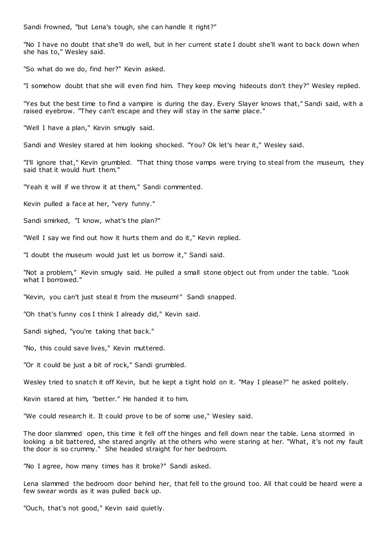Sandi frowned, "but Lena's tough, she can handle it right?"

"No I have no doubt that she'll do well, but in her current state I doubt she'll want to back down when she has to," Wesley said.

"So what do we do, find her?" Kevin asked.

"I somehow doubt that she will even find him. They keep moving hideouts don't they?" Wesley replied.

"Yes but the best time to find a vampire is during the day. Every Slayer knows that," Sandi said, with a raised eyebrow. "They can't escape and they will stay in the same place."

"Well I have a plan," Kevin smugly said.

Sandi and Wesley stared at him looking shocked. "You? Ok let's hear it," Wesley said.

"I'll ignore that," Kevin grumbled. "That thing those vamps were trying to steal from the museum, they said that it would hurt them."

"Yeah it will if we throw it at them," Sandi commented.

Kevin pulled a face at her, "very funny."

Sandi smirked, "I know, what's the plan?"

"Well I say we find out how it hurts them and do it," Kevin replied.

"I doubt the museum would just let us borrow it," Sandi said.

"Not a problem," Kevin smugly said. He pulled a small stone object out from under the table. "Look what I borrowed."

"Kevin, you can't just steal it from the museum!" Sandi snapped.

"Oh that's funny cos I think I already did," Kevin said.

Sandi sighed, "you're taking that back."

"No, this could save lives," Kevin muttered.

"Or it could be just a bit of rock," Sandi grumbled.

Wesley tried to snatch it off Kevin, but he kept a tight hold on it. "May I please?" he asked politely.

Kevin stared at him, "better." He handed it to him.

"We could research it. It could prove to be of some use," Wesley said.

The door slammed open, this time it fell off the hinges and fell down near the table. Lena stormed in looking a bit battered, she stared angrily at the others who were staring at her. "What, it's not my fault the door is so crummy." She headed straight for her bedroom.

"No I agree, how many times has it broke?" Sandi asked.

Lena slammed the bedroom door behind her, that fell to the ground too. All that could be heard were a few swear words as it was pulled back up.

"Ouch, that's not good," Kevin said quietly.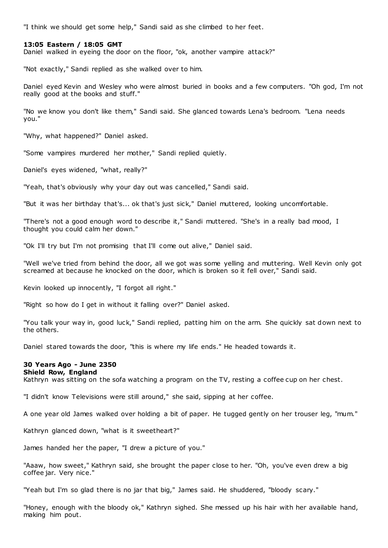"I think we should get some help," Sandi said as she climbed to her feet.

## **13:05 Eastern / 18:05 GMT**

Daniel walked in eyeing the door on the floor, "ok, another vampire attack?"

"Not exactly," Sandi replied as she walked over to him.

Daniel eyed Kevin and Wesley who were almost buried in books and a few computers. "Oh god, I'm not really good at the books and stuff."

"No we know you don't like them," Sandi said. She glanced towards Lena's bedroom. "Lena needs you."

"Why, what happened?" Daniel asked.

"Some vampires murdered her mother," Sandi replied quietly.

Daniel's eyes widened, "what, really?"

"Yeah, that's obviously why your day out was cancelled," Sandi said.

"But it was her birthday that's... ok that's just sick," Daniel muttered, looking uncomfortable.

"There's not a good enough word to describe it," Sandi muttered. "She's in a really bad mood, I thought you could calm her down."

"Ok I'll try but I'm not promising that I'll come out alive," Daniel said.

"Well we've tried from behind the door, all we got was some yelling and muttering. Well Kevin only got screamed at because he knocked on the door, which is broken so it fell over," Sandi said.

Kevin looked up innocently, "I forgot all right."

"Right so how do I get in without it falling over?" Daniel asked.

"You talk your way in, good luck," Sandi replied, patting him on the arm. She quickly sat down next to the others.

Daniel stared towards the door, "this is where my life ends." He headed towards it.

# **30 Years Ago - June 2350**

#### **Shield Row, England**

Kathryn was sitting on the sofa watching a program on the TV, resting a coffee cup on her chest.

"I didn't know Televisions were still around," she said, sipping at her coffee.

A one year old James walked over holding a bit of paper. He tugged gently on her trouser leg, "mum."

Kathryn glanced down, "what is it sweetheart?"

James handed her the paper, "I drew a picture of you."

"Aaaw, how sweet," Kathryn said, she brought the paper close to her. "Oh, you've even drew a big coffee jar. Very nice."

"Yeah but I'm so glad there is no jar that big," James said. He shuddered, "bloody scary."

"Honey, enough with the bloody ok," Kathryn sighed. She messed up his hair with her available hand, making him pout.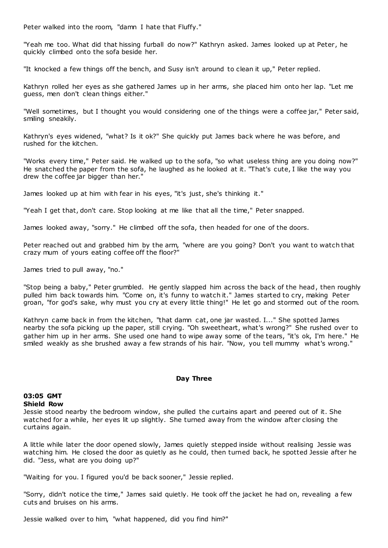Peter walked into the room, "damn I hate that Fluffy."

"Yeah me too. What did that hissing furball do now?" Kathryn asked. James looked up at Peter, he quickly climbed onto the sofa beside her.

"It knocked a few things off the bench, and Susy isn't around to clean it up," Peter replied.

Kathryn rolled her eyes as she gathered James up in her arms, she placed him onto her lap. "Let me guess, men don't clean things either."

"Well sometimes, but I thought you would considering one of the things were a coffee jar," Peter said, smiling sneakily.

Kathryn's eyes widened, "what? Is it ok?" She quickly put James back where he was before, and rushed for the kitchen.

"Works every time," Peter said. He walked up to the sofa, "so what useless thing are you doing now?" He snatched the paper from the sofa, he laughed as he looked at it. "That's cute, I like the way you drew the coffee jar bigger than her."

James looked up at him with fear in his eyes, "it's just, she's thinking it."

"Yeah I get that, don't care. Stop looking at me like that all the time," Peter snapped.

James looked away, "sorry." He climbed off the sofa, then headed for one of the doors.

Peter reached out and grabbed him by the arm, "where are you going? Don't you want to watch that crazy mum of yours eating coffee off the floor?"

James tried to pull away, "no."

"Stop being a baby," Peter grumbled. He gently slapped him across the back of the head, then roughly pulled him back towards him. "Come on, it's funny to watch it." James started to cry, making Peter groan, "for god's sake, why must you cry at every little thing!" He let go and stormed out of the room.

Kathryn came back in from the kitchen, "that damn cat, one jar wasted. I..." She spotted James nearby the sofa picking up the paper, still crying. "Oh sweetheart, what's wrong?" She rushed over to gather him up in her arms. She used one hand to wipe away some of the tears, "it's ok, I'm here." He smiled weakly as she brushed away a few strands of his hair. "Now, you tell mummy what's wrong."

## **Day Three**

#### **03:05 GMT Shield Row**

Jessie stood nearby the bedroom window, she pulled the curtains apart and peered out of it. She watched for a while, her eyes lit up slightly. She turned away from the window after closing the curtains again.

A little while later the door opened slowly, James quietly stepped inside without realising Jessie was watching him. He closed the door as quietly as he could, then turned back, he spotted Jessie after he did. "Jess, what are you doing up?"

"Waiting for you. I figured you'd be back sooner," Jessie replied.

"Sorry, didn't notice the time," James said quietly. He took off the jacket he had on, revealing a few cuts and bruises on his arms.

Jessie walked over to him, "what happened, did you find him?"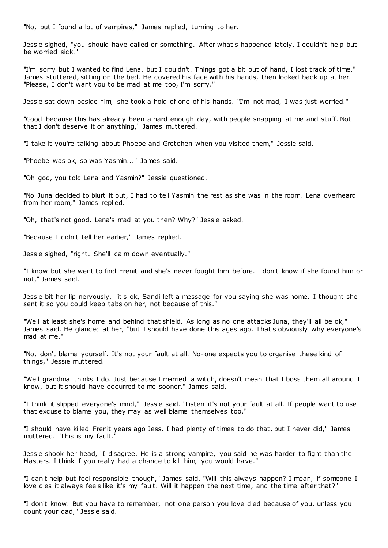"No, but I found a lot of vampires," James replied, turning to her.

Jessie sighed, "you should have called or something. After what's happened lately, I couldn't help but be worried sick."

"I'm sorry but I wanted to find Lena, but I couldn't. Things got a bit out of hand, I lost track of time," James stuttered, sitting on the bed. He covered his face with his hands, then looked back up at her. "Please, I don't want you to be mad at me too, I'm sorry."

Jessie sat down beside him, she took a hold of one of his hands. "I'm not mad, I was just worried."

"Good because this has already been a hard enough day, with people snapping at me and stuff. Not that I don't deserve it or anything," James muttered.

"I take it you're talking about Phoebe and Gretchen when you visited them," Jessie said.

"Phoebe was ok, so was Yasmin..." James said.

"Oh god, you told Lena and Yasmin?" Jessie questioned.

"No Juna decided to blurt it out, I had to tell Yasmin the rest as she was in the room. Lena overheard from her room," James replied.

"Oh, that's not good. Lena's mad at you then? Why?" Jessie asked.

"Because I didn't tell her earlier," James replied.

Jessie sighed, "right. She'll calm down eventually."

"I know but she went to find Frenit and she's never fought him before. I don't know if she found him or not," James said.

Jessie bit her lip nervously, "it's ok, Sandi left a message for you saying she was home. I thought she sent it so you could keep tabs on her, not because of this."

"Well at least she's home and behind that shield. As long as no one attacks Juna, they'll all be ok," James said. He glanced at her, "but I should have done this ages ago. That's obviously why everyone's mad at me."

"No, don't blame yourself. It's not your fault at all. No-one expects you to organise these kind of things," Jessie muttered.

"Well grandma thinks I do. Just because I married a witch, doesn't mean that I boss them all around I know, but it should have oc curred to me sooner," James said.

"I think it slipped everyone's mind," Jessie said. "Listen it's not your fault at all. If people want to use that excuse to blame you, they may as well blame themselves too."

"I should have killed Frenit years ago Jess. I had plenty of times to do that, but I never did," James muttered. "This is my fault."

Jessie shook her head, "I disagree. He is a strong vampire, you said he was harder to fight than the Masters. I think if you really had a chance to kill him, you would have."

"I can't help but feel responsible though," James said. "Will this always happen? I mean, if someone I love dies it always feels like it's my fault. Will it happen the next time, and the time after that?"

"I don't know. But you have to remember, not one person you love died because of you, unless you count your dad," Jessie said.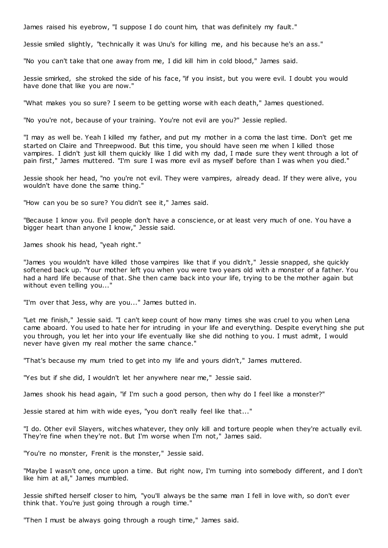James raised his eyebrow, "I suppose I do count him, that was definitely my fault."

Jessie smiled slightly, "technically it was Unu's for killing me, and his because he's an ass."

"No you can't take that one away from me, I did kill him in cold blood," James said.

Jessie smirked, she stroked the side of his face, "if you insist, but you were evil. I doubt you would have done that like you are now."

"What makes you so sure? I seem to be getting worse with each death," James questioned.

"No you're not, because of your training. You're not evil are you?" Jessie replied.

"I may as well be. Yeah I killed my father, and put my mother in a coma the last time. Don't get me started on Claire and Threepwood. But this time, you should have seen me when I killed those vampires. I didn't just kill them quickly like I did with my dad, I made sure they went through a lot of pain first," James muttered. "I'm sure I was more evil as myself before than I was when you died."

Jessie shook her head, "no you're not evil. They were vampires, already dead. If they were alive, you wouldn't have done the same thing."

"How can you be so sure? You didn't see it," James said.

"Because I know you. Evil people don't have a conscience, or at least very much of one. You have a bigger heart than anyone I know," Jessie said.

James shook his head, "yeah right."

"James you wouldn't have killed those vampires like that if you didn't," Jessie snapped, she quickly softened back up. "Your mother left you when you were two years old with a monster of a father. You had a hard life because of that. She then came back into your life, trying to be the mother again but without even telling you..."

"I'm over that Jess, why are you..." James butted in.

"Let me finish," Jessie said. "I can't keep count of how many times she was cruel to you when Lena came aboard. You used to hate her for intruding in your life and everything. Despite everyt hing she put you through, you let her into your life eventually like she did nothing to you. I must admit, I would never have given my real mother the same chance."

"That's because my mum tried to get into my life and yours didn't," James muttered.

"Yes but if she did, I wouldn't let her anywhere near me," Jessie said.

James shook his head again, "if I'm such a good person, then why do I feel like a monster?"

Jessie stared at him with wide eyes, "you don't really feel like that..."

"I do. Other evil Slayers, witches whatever, they only kill and torture people when they're actually evil. They're fine when they're not. But I'm worse when I'm not," James said.

"You're no monster, Frenit is the monster," Jessie said.

"Maybe I wasn't one, once upon a time. But right now, I'm turning into somebody different, and I don't like him at all," James mumbled.

Jessie shifted herself closer to him, "you'll always be the same man I fell in love with, so don't ever think that. You're just going through a rough time."

"Then I must be always going through a rough time," James said.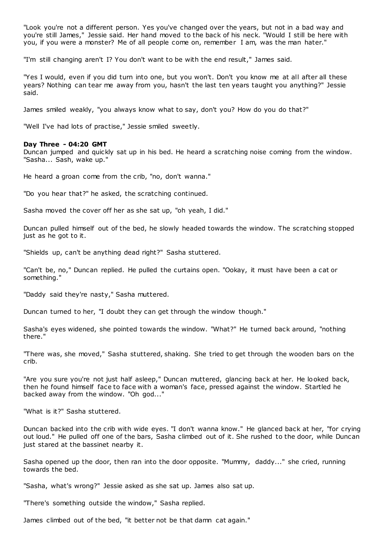"Look you're not a different person. Yes you've changed over the years, but not in a bad way and you're still James," Jessie said. Her hand moved to the back of his neck. "Would I still be here with you, if you were a monster? Me of all people come on, remember I am, was the man hater."

"I'm still changing aren't I? You don't want to be with the end result," James said.

"Yes I would, even if you did turn into one, but you won't. Don't you know me at all after all these years? Nothing can tear me away from you, hasn't the last ten years taught you anything?" Jessie said.

James smiled weakly, "you always know what to say, don't you? How do you do that?"

"Well I've had lots of practise," Jessie smiled sweetly.

## **Day Three - 04:20 GMT**

Duncan jumped and quickly sat up in his bed. He heard a scratching noise coming from the window. "Sasha... Sash, wake up."

He heard a groan come from the crib, "no, don't wanna."

"Do you hear that?" he asked, the scratching continued.

Sasha moved the cover off her as she sat up, "oh yeah, I did."

Duncan pulled himself out of the bed, he slowly headed towards the window. The scratching stopped just as he got to it.

"Shields up, can't be anything dead right?" Sasha stuttered.

"Can't be, no," Duncan replied. He pulled the curtains open. "Ookay, it must have been a cat or something."

"Daddy said they're nasty," Sasha muttered.

Duncan turned to her, "I doubt they can get through the window though."

Sasha's eyes widened, she pointed towards the window. "What?" He turned back around, "nothing there."

"There was, she moved," Sasha stuttered, shaking. She tried to get through the wooden bars on the crib.

"Are you sure you're not just half asleep," Duncan muttered, glancing back at her. He looked back, then he found himself face to face with a woman's face, pressed against the window. Startled he backed away from the window. "Oh god..."

"What is it?" Sasha stuttered.

Duncan backed into the crib with wide eyes. "I don't wanna know." He glanced back at her, "for crying out loud." He pulled off one of the bars, Sasha climbed out of it. She rushed to the door, while Duncan just stared at the bassinet nearby it.

Sasha opened up the door, then ran into the door opposite. "Mummy, daddy..." she cried, running towards the bed.

"Sasha, what's wrong?" Jessie asked as she sat up. James also sat up.

"There's something outside the window," Sasha replied.

James climbed out of the bed, "it better not be that damn cat again."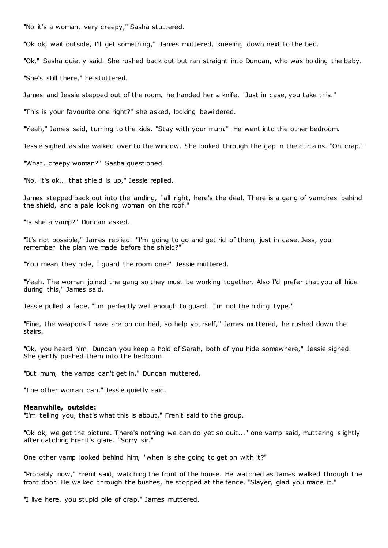"No it's a woman, very creepy," Sasha stuttered.

"Ok ok, wait outside, I'll get something," James muttered, kneeling down next to the bed.

"Ok," Sasha quietly said. She rushed back out but ran straight into Duncan, who was holding the baby.

"She's still there," he stuttered.

James and Jessie stepped out of the room, he handed her a knife. "Just in case, you take this."

"This is your favourite one right?" she asked, looking bewildered.

"Yeah," James said, turning to the kids. "Stay with your mum." He went into the other bedroom.

Jessie sighed as she walked over to the window. She looked through the gap in the curtains. "Oh crap."

"What, creepy woman?" Sasha questioned.

"No, it's ok... that shield is up," Jessie replied.

James stepped back out into the landing, "all right, here's the deal. There is a gang of vampires behind the shield, and a pale looking woman on the roof."

"Is she a vamp?" Duncan asked.

"It's not possible," James replied. "I'm going to go and get rid of them, just in case. Jess, you remember the plan we made before the shield?"

"You mean they hide, I guard the room one?" Jessie muttered.

"Yeah. The woman joined the gang so they must be working together. Also I'd prefer that you all hide during this," James said.

Jessie pulled a face, "I'm perfectly well enough to guard. I'm not the hiding type."

"Fine, the weapons I have are on our bed, so help yourself," James muttered, he rushed down the stairs.

"Ok, you heard him. Duncan you keep a hold of Sarah, both of you hide somewhere," Jessie sighed. She gently pushed them into the bedroom.

"But mum, the vamps can't get in," Duncan muttered.

"The other woman can," Jessie quietly said.

#### **Meanwhile, outside:**

"I'm telling you, that's what this is about," Frenit said to the group.

"Ok ok, we get the picture. There's nothing we can do yet so quit..." one vamp said, muttering slightly after catching Frenit's glare. "Sorry sir."

One other vamp looked behind him, "when is she going to get on with it?"

"Probably now," Frenit said, watching the front of the house. He watched as James walked through the front door. He walked through the bushes, he stopped at the fence. "Slayer, glad you made it."

"I live here, you stupid pile of crap," James muttered.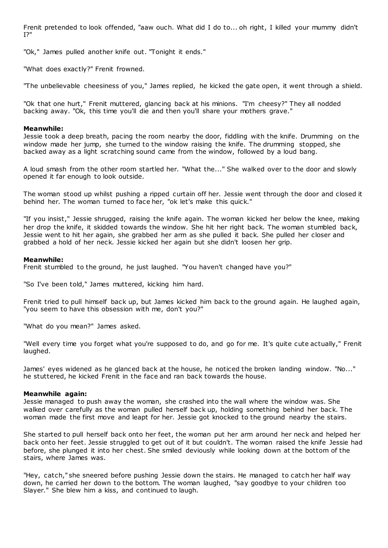Frenit pretended to look offended, "aaw ouch. What did I do to... oh right, I killed your mummy didn't I?"

"Ok," James pulled another knife out. "Tonight it ends."

"What does exactly?" Frenit frowned.

"The unbelievable cheesiness of you," James replied, he kicked the gate open, it went through a shield.

"Ok that one hurt," Frenit muttered, glancing back at his minions. "I'm cheesy?" They all nodded backing away. "Ok, this time you'll die and then you'll share your mothers grave."

#### **Meanwhile:**

Jessie took a deep breath, pacing the room nearby the door, fiddling with the knife. Drumming on the window made her jump, she turned to the window raising the knife. The drumming stopped, she backed away as a light scratching sound came from the window, followed by a loud bang.

A loud smash from the other room startled her. "What the..." She walked over to the door and slowly opened it far enough to look outside.

The woman stood up whilst pushing a ripped curtain off her. Jessie went through the door and closed it behind her. The woman turned to face her, "ok let's make this quick."

"If you insist," Jessie shrugged, raising the knife again. The woman kicked her below the knee, making her drop the knife, it skidded towards the window. She hit her right back. The woman stumbled back, Jessie went to hit her again, she grabbed her arm as she pulled it back. She pulled her closer and grabbed a hold of her neck. Jessie kicked her again but she didn't loosen her grip.

#### **Meanwhile:**

Frenit stumbled to the ground, he just laughed. "You haven't changed have you?"

"So I've been told," James muttered, kicking him hard.

Frenit tried to pull himself back up, but James kicked him back to the ground again. He laughed again, "you seem to have this obsession with me, don't you?"

"What do you mean?" James asked.

"Well every time you forget what you're supposed to do, and go for me. It's quite cute actually," Frenit laughed.

James' eyes widened as he glanced back at the house, he noticed the broken landing window. "No..." he stuttered, he kicked Frenit in the face and ran back towards the house.

#### **Meanwhile again:**

Jessie managed to push away the woman, she crashed into the wall where the window was. She walked over carefully as the woman pulled herself back up, holding something behind her back. The woman made the first move and leapt for her. Jessie got knocked to the ground nearby the stairs.

She started to pull herself back onto her feet, the woman put her arm around her neck and helped her back onto her feet. Jessie struggled to get out of it but couldn't. The woman raised the knife Jessie had before, she plunged it into her chest. She smiled deviously while looking down at the bottom of the stairs, where James was.

"Hey, catch," she sneered before pushing Jessie down the stairs. He managed to catch her half way down, he carried her down to the bottom. The woman laughed, "say goodbye to your children too Slayer." She blew him a kiss, and continued to laugh.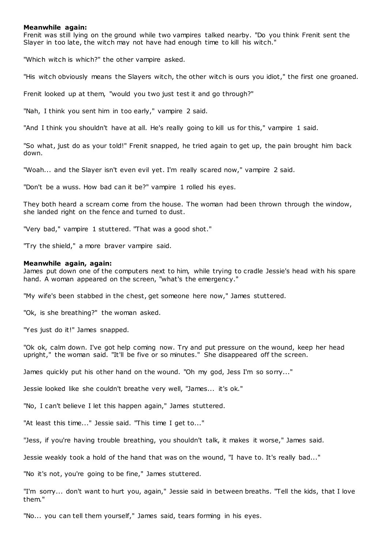#### **Meanwhile again:**

Frenit was still lying on the ground while two vampires talked nearby. "Do you think Frenit sent the Slayer in too late, the witch may not have had enough time to kill his witch."

"Which witch is which?" the other vampire asked.

"His witch obviously means the Slayers witch, the other witch is ours you idiot," the first one groaned.

Frenit looked up at them, "would you two just test it and go through?"

"Nah, I think you sent him in too early," vampire 2 said.

"And I think you shouldn't have at all. He's really going to kill us for this," vampire 1 said.

"So what, just do as your told!" Frenit snapped, he tried again to get up, the pain brought him back down.

"Woah... and the Slayer isn't even evil yet. I'm really scared now," vampire 2 said.

"Don't be a wuss. How bad can it be?" vampire 1 rolled his eyes.

They both heard a scream come from the house. The woman had been thrown through the window, she landed right on the fence and turned to dust.

"Very bad," vampire 1 stuttered. "That was a good shot."

"Try the shield," a more braver vampire said.

#### **Meanwhile again, again:**

James put down one of the computers next to him, while trying to cradle Jessie's head with his spare hand. A woman appeared on the screen, "what's the emergency."

"My wife's been stabbed in the chest, get someone here now," James stuttered.

"Ok, is she breathing?" the woman asked.

"Yes just do it!" James snapped.

"Ok ok, calm down. I've got help coming now. Try and put pressure on the wound, keep her head upright," the woman said. "It'll be five or so minutes." She disappeared off the screen.

James quickly put his other hand on the wound. "Oh my god, Jess I'm so sorry..."

Jessie looked like she couldn't breathe very well, "James... it's ok."

"No, I can't believe I let this happen again," James stuttered.

"At least this time..." Jessie said. "This time I get to..."

"Jess, if you're having trouble breathing, you shouldn't talk, it makes it worse," James said.

Jessie weakly took a hold of the hand that was on the wound, "I have to. It's really bad..."

"No it's not, you're going to be fine," James stuttered.

"I'm sorry... don't want to hurt you, again," Jessie said in between breaths. "Tell the kids, that I love them."

"No... you can tell them yourself," James said, tears forming in his eyes.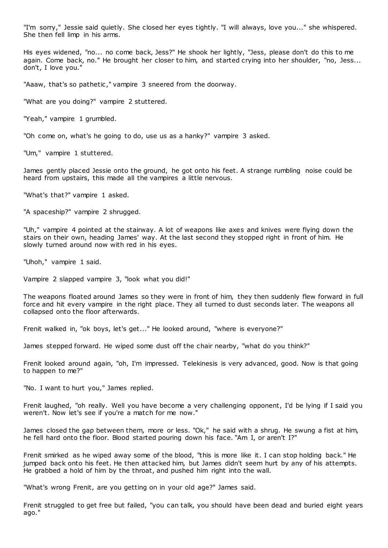"I'm sorry," Jessie said quietly. She closed her eyes tightly. "I will always, love you..." she whispered. She then fell limp in his arms.

His eyes widened, "no... no come back, Jess?" He shook her lightly, "Jess, please don't do this to me again. Come back, no." He brought her closer to him, and started crying into her shoulder, "no, Jess... don't, I love you."

"Aaaw, that's so pathetic," vampire 3 sneered from the doorway.

"What are you doing?" vampire 2 stuttered.

"Yeah," vampire 1 grumbled.

"Oh come on, what's he going to do, use us as a hanky?" vampire 3 asked.

"Um," vampire 1 stuttered.

James gently placed Jessie onto the ground, he got onto his feet. A strange rumbling noise could be heard from upstairs, this made all the vampires a little nervous.

"What's that?" vampire 1 asked.

"A spaceship?" vampire 2 shrugged.

"Uh," vampire 4 pointed at the stairway. A lot of weapons like axes and knives were flying down the stairs on their own, heading James' way. At the last second they stopped right in front of him. He slowly turned around now with red in his eyes.

"Uhoh," vampire 1 said.

Vampire 2 slapped vampire 3, "look what you did!"

The weapons floated around James so they were in front of him, they then suddenly flew forward in full force and hit every vampire in the right place. They all turned to dust seconds later. The weapons all collapsed onto the floor afterwards.

Frenit walked in, "ok boys, let's get..." He looked around, "where is everyone?"

James stepped forward. He wiped some dust off the chair nearby, "what do you think?"

Frenit looked around again, "oh, I'm impressed. Telekinesis is very advanced, good. Now is that going to happen to me?"

"No. I want to hurt you," James replied.

Frenit laughed, "oh really. Well you have become a very challenging opponent, I'd be lying if I said you weren't. Now let's see if you're a match for me now."

James closed the gap between them, more or less. "Ok," he said with a shrug. He swung a fist at him, he fell hard onto the floor. Blood started pouring down his face. "Am I, or aren't I?"

Frenit smirked as he wiped away some of the blood, "this is more like it. I can stop holding back." He jumped back onto his feet. He then attacked him, but James didn't seem hurt by any of his attempts. He grabbed a hold of him by the throat, and pushed him right into the wall.

"What's wrong Frenit, are you getting on in your old age?" James said.

Frenit struggled to get free but failed, "you can talk, you should have been dead and buried eight years ago."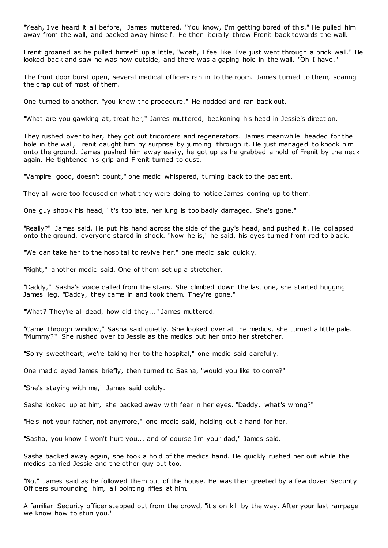"Yeah, I've heard it all before," James muttered. "You know, I'm getting bored of this." He pulled him away from the wall, and backed away himself. He then literally threw Frenit back towards the wall.

Frenit groaned as he pulled himself up a little, "woah, I feel like I've just went through a brick wall." He looked back and saw he was now outside, and there was a gaping hole in the wall. "Oh I have."

The front door burst open, several medical officers ran in to the room. James turned to them, scaring the crap out of most of them.

One turned to another, "you know the procedure." He nodded and ran back out.

"What are you gawking at, treat her," James muttered, beckoning his head in Jessie's direction.

They rushed over to her, they got out tricorders and regenerators. James meanwhile headed for the hole in the wall, Frenit caught him by surprise by jumping through it. He just managed to knock him onto the ground. James pushed him away easily, he got up as he grabbed a hold of Frenit by the neck again. He tightened his grip and Frenit turned to dust.

"Vampire good, doesn't count," one medic whispered, turning back to the patient.

They all were too focused on what they were doing to notice James coming up to them.

One guy shook his head, "it's too late, her lung is too badly damaged. She's gone."

"Really?" James said. He put his hand across the side of the guy's head, and pushed it. He collapsed onto the ground, everyone stared in shock. "Now he is," he said, his eyes turned from red to black.

"We can take her to the hospital to revive her," one medic said quickly.

"Right," another medic said. One of them set up a stretcher.

"Daddy," Sasha's voice called from the stairs. She climbed down the last one, she started hugging James' leg. "Daddy, they came in and took them. They're gone."

"What? They're all dead, how did they..." James muttered.

"Came through window," Sasha said quietly. She looked over at the medics, she turned a little pale. "Mummy?" She rushed over to Jessie as the medics put her onto her stretcher.

"Sorry sweetheart, we're taking her to the hospital," one medic said carefully.

One medic eyed James briefly, then turned to Sasha, "would you like to come?"

"She's staying with me," James said coldly.

Sasha looked up at him, she backed away with fear in her eyes. "Daddy, what's wrong?"

"He's not your father, not anymore," one medic said, holding out a hand for her.

"Sasha, you know I won't hurt you... and of course I'm your dad," James said.

Sasha backed away again, she took a hold of the medics hand. He quickly rushed her out while the medics carried Jessie and the other guy out too.

"No," James said as he followed them out of the house. He was then greeted by a few dozen Security Officers surrounding him, all pointing rifles at him.

A familiar Security officer stepped out from the crowd, "it's on kill by the way. After your last rampage we know how to stun you."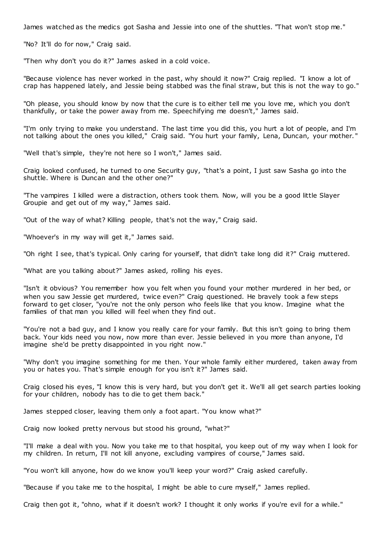James watched as the medics got Sasha and Jessie into one of the shuttles. "That won't stop me."

"No? It'll do for now," Craig said.

"Then why don't you do it?" James asked in a cold voice.

"Because violence has never worked in the past, why should it now?" Craig replied. "I know a lot of crap has happened lately, and Jessie being stabbed was the final straw, but this is not the way to go."

"Oh please, you should know by now that the cure is to either tell me you love me, which you don't thankfully, or take the power away from me. Speechifying me doesn't," James said.

"I'm only trying to make you understand. The last time you did this, you hurt a lot of people, and I'm not talking about the ones you killed," Craig said. "You hurt your family, Lena, Duncan, your mother. "

"Well that's simple, they're not here so I won't," James said.

Craig looked confused, he turned to one Security guy, "that's a point, I just saw Sasha go into the shuttle. Where is Duncan and the other one?"

"The vampires I killed were a distraction, others took them. Now, will you be a good little Slayer Groupie and get out of my way," James said.

"Out of the way of what? Killing people, that's not the way," Craig said.

"Whoever's in my way will get it," James said.

"Oh right I see, that's typical. Only caring for yourself, that didn't take long did it?" Craig muttered.

"What are you talking about?" James asked, rolling his eyes.

"Isn't it obvious? You remember how you felt when you found your mother murdered in her bed, or when you saw Jessie get murdered, twice even?" Craig questioned. He bravely took a few steps forward to get closer, "you're not the only person who feels like that you know. Imagine what the families of that man you killed will feel when they find out.

"You're not a bad guy, and I know you really care for your family. But this isn't going to bring them back. Your kids need you now, now more than ever. Jessie believed in you more than anyone, I'd imagine she'd be pretty disappointed in you right now."

"Why don't you imagine something for me then. Your whole family either murdered, taken away from you or hates you. That's simple enough for you isn't it?" James said.

Craig closed his eyes, "I know this is very hard, but you don't get it. We'll all get search parties looking for your children, nobody has to die to get them back."

James stepped closer, leaving them only a foot apart. "You know what?"

Craig now looked pretty nervous but stood his ground, "what?"

"I'll make a deal with you. Now you take me to that hospital, you keep out of my way when I look for my children. In return, I'll not kill anyone, excluding vampires of course," James said.

"You won't kill anyone, how do we know you'll keep your word?" Craig asked carefully.

"Because if you take me to the hospital, I might be able to cure myself," James replied.

Craig then got it, "ohno, what if it doesn't work? I thought it only works if you're evil for a while."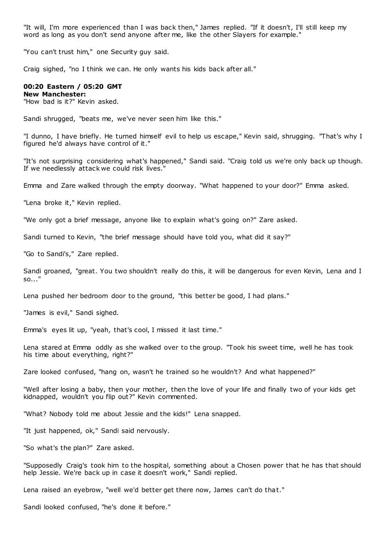"It will, I'm more experienced than I was back then," James replied. "If it doesn't, I'll still keep my word as long as you don't send anyone after me, like the other Slayers for example."

"You can't trust him," one Security guy said.

Craig sighed, "no I think we can. He only wants his kids back after all."

## **00:20 Eastern / 05:20 GMT**

**New Manchester:**

"How bad is it?" Kevin asked.

Sandi shrugged, "beats me, we've never seen him like this."

"I dunno, I have briefly. He turned himself evil to help us escape," Kevin said, shrugging. "That's why I figured he'd always have control of it."

"It's not surprising considering what's happened," Sandi said. "Craig told us we're only back up though. If we needlessly attack we could risk lives."

Emma and Zare walked through the empty doorway. "What happened to your door?" Emma asked.

"Lena broke it," Kevin replied.

"We only got a brief message, anyone like to explain what's going on?" Zare asked.

Sandi turned to Kevin, "the brief message should have told you, what did it say?"

"Go to Sandi's," Zare replied.

Sandi groaned, "great. You two shouldn't really do this, it will be dangerous for even Kevin, Lena and I so..."

Lena pushed her bedroom door to the ground, "this better be good, I had plans."

"James is evil," Sandi sighed.

Emma's eyes lit up, "yeah, that's cool, I missed it last time."

Lena stared at Emma oddly as she walked over to the group. "Took his sweet time, well he has took his time about everything, right?"

Zare looked confused, "hang on, wasn't he trained so he wouldn't? And what happened?"

"Well after losing a baby, then your mother, then the love of your life and finally two of your kids get kidnapped, wouldn't you flip out?" Kevin commented.

"What? Nobody told me about Jessie and the kids!" Lena snapped.

"It just happened, ok," Sandi said nervously.

"So what's the plan?" Zare asked.

"Supposedly Craig's took him to the hospital, something about a Chosen power that he has that should help Jessie. We're back up in case it doesn't work," Sandi replied.

Lena raised an eyebrow, "well we'd better get there now, James can't do that."

Sandi looked confused, "he's done it before."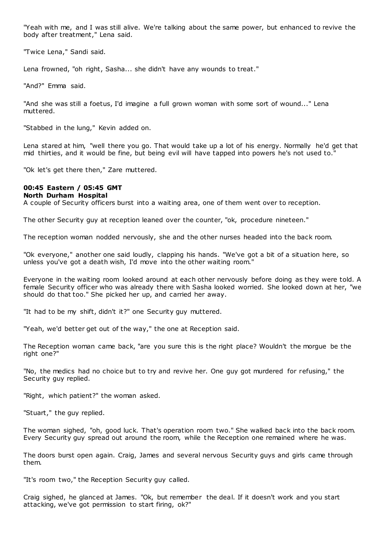"Yeah with me, and I was still alive. We're talking about the same power, but enhanced to revive the body after treatment," Lena said.

"Twice Lena," Sandi said.

Lena frowned, "oh right, Sasha... she didn't have any wounds to treat."

"And?" Emma said.

"And she was still a foetus, I'd imagine a full grown woman with some sort of wound..." Lena muttered.

"Stabbed in the lung," Kevin added on.

Lena stared at him, "well there you go. That would take up a lot of his energy. Normally he'd get that mid thirties, and it would be fine, but being evil will have tapped into powers he's not used to."

"Ok let's get there then," Zare muttered.

# **00:45 Eastern / 05:45 GMT**

## **North Durham Hospital**

A couple of Security officers burst into a waiting area, one of them went over to reception.

The other Security guy at reception leaned over the counter, "ok, procedure nineteen."

The reception woman nodded nervously, she and the other nurses headed into the back room.

"Ok everyone," another one said loudly, clapping his hands. "We've got a bit of a situation here, so unless you've got a death wish, I'd move into the other waiting room."

Everyone in the waiting room looked around at each other nervously before doing as they were told. A female Security officer who was already there with Sasha looked worried. She looked down at her, "we should do that too." She picked her up, and carried her away.

"It had to be my shift, didn't it?" one Security guy muttered.

"Yeah, we'd better get out of the way," the one at Reception said.

The Reception woman came back, "are you sure this is the right place? Wouldn't the morgue be the right one?"

"No, the medics had no choice but to try and revive her. One guy got murdered for refusing," the Security guy replied.

"Right, which patient?" the woman asked.

"Stuart," the guy replied.

The woman sighed, "oh, good luck. That's operation room two." She walked back into the back room. Every Security guy spread out around the room, while the Reception one remained where he was.

The doors burst open again. Craig, James and several nervous Security guys and girls came through them.

"It's room two," the Reception Security guy called.

Craig sighed, he glanced at James. "Ok, but remember the deal. If it doesn't work and you start attacking, we've got permission to start firing, ok?"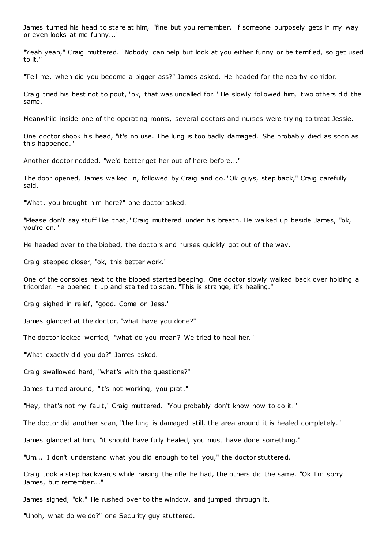James turned his head to stare at him, "fine but you remember, if someone purposely gets in my way or even looks at me funny..."

"Yeah yeah," Craig muttered. "Nobody can help but look at you either funny or be terrified, so get used to it."

"Tell me, when did you become a bigger ass?" James asked. He headed for the nearby corridor.

Craig tried his best not to pout, "ok, that was uncalled for." He slowly followed him, t wo others did the same.

Meanwhile inside one of the operating rooms, several doctors and nurses were trying to treat Jessie.

One doctor shook his head, "it's no use. The lung is too badly damaged. She probably died as soon as this happened."

Another doctor nodded, "we'd better get her out of here before..."

The door opened, James walked in, followed by Craig and co. "Ok guys, step back," Craig carefully said.

"What, you brought him here?" one doctor asked.

"Please don't say stuff like that," Craig muttered under his breath. He walked up beside James, "ok, you're on."

He headed over to the biobed, the doctors and nurses quickly got out of the way.

Craig stepped closer, "ok, this better work."

One of the consoles next to the biobed started beeping. One doctor slowly walked back over holding a tricorder. He opened it up and started to scan. "This is strange, it's healing."

Craig sighed in relief, "good. Come on Jess."

James glanced at the doctor, "what have you done?"

The doctor looked worried, "what do you mean? We tried to heal her."

"What exactly did you do?" James asked.

Craig swallowed hard, "what's with the questions?"

James turned around, "it's not working, you prat."

"Hey, that's not my fault," Craig muttered. "You probably don't know how to do it."

The doctor did another scan, "the lung is damaged still, the area around it is healed completely."

James glanced at him, "it should have fully healed, you must have done something."

"Um... I don't understand what you did enough to tell you," the doctor stuttered.

Craig took a step backwards while raising the rifle he had, the others did the same. "Ok I'm sorry James, but remember..."

James sighed, "ok." He rushed over to the window, and jumped through it.

"Uhoh, what do we do?" one Security guy stuttered.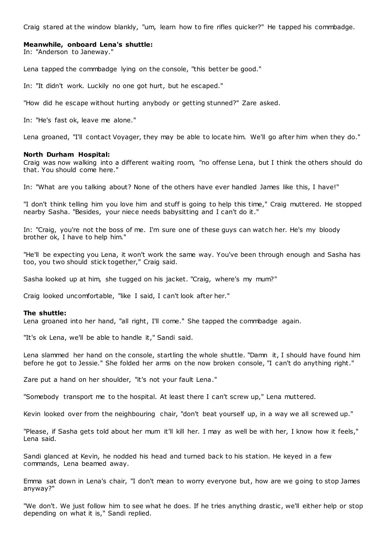Craig stared at the window blankly, "um, learn how to fire rifles quicker?" He tapped his commbadge.

#### **Meanwhile, onboard Lena's shuttle:**

In: "Anderson to Janeway."

Lena tapped the commbadge lying on the console, "this better be good."

In: "It didn't work. Luckily no one got hurt, but he escaped."

"How did he escape without hurting anybody or getting stunned?" Zare asked.

In: "He's fast ok, leave me alone."

Lena groaned, "I'll contact Voyager, they may be able to locate him. We'll go after him when they do."

#### **North Durham Hospital:**

Craig was now walking into a different waiting room, "no offense Lena, but I think the others should do that. You should come here."

In: "What are you talking about? None of the others have ever handled James like this, I have!"

"I don't think telling him you love him and stuff is going to help this time," Craig muttered. He stopped nearby Sasha. "Besides, your niece needs babysitting and I can't do it."

In: "Craig, you're not the boss of me. I'm sure one of these guys can watch her. He's my bloody brother ok, I have to help him."

"He'll be expecting you Lena, it won't work the same way. You've been through enough and Sasha has too, you two should stick together," Craig said.

Sasha looked up at him, she tugged on his jacket. "Craig, where's my mum?"

Craig looked uncomfortable, "like I said, I can't look after her."

#### **The shuttle:**

Lena groaned into her hand, "all right, I'll come." She tapped the commbadge again.

"It's ok Lena, we'll be able to handle it," Sandi said.

Lena slammed her hand on the console, startling the whole shuttle. "Damn it, I should have found him before he got to Jessie." She folded her arms on the now broken console, "I can't do anything right."

Zare put a hand on her shoulder, "it's not your fault Lena."

"Somebody transport me to the hospital. At least there I can't screw up," Lena muttered.

Kevin looked over from the neighbouring chair, "don't beat yourself up, in a way we all screwed up."

"Please, if Sasha gets told about her mum it'll kill her. I may as well be with her, I know how it feels," Lena said.

Sandi glanced at Kevin, he nodded his head and turned back to his station. He keyed in a few commands, Lena beamed away.

Emma sat down in Lena's chair, "I don't mean to worry everyone but, how are we going to stop James anyway?"

"We don't. We just follow him to see what he does. If he tries anything drastic, we'll either help or stop depending on what it is," Sandi replied.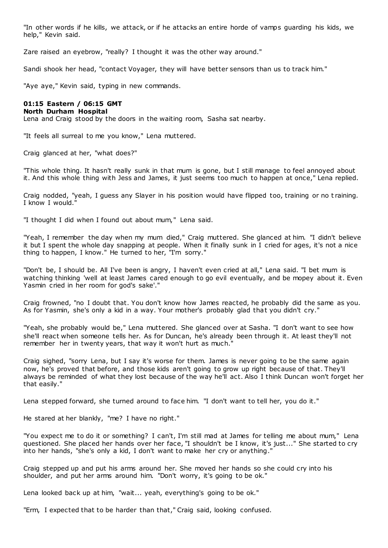"In other words if he kills, we attack, or if he attacks an entire horde of vamps guarding his kids, we help," Kevin said.

Zare raised an eyebrow, "really? I thought it was the other way around."

Sandi shook her head, "contact Voyager, they will have better sensors than us to track him."

"Aye aye," Kevin said, typing in new commands.

# **01:15 Eastern / 06:15 GMT**

# **North Durham Hospital**

Lena and Craig stood by the doors in the waiting room, Sasha sat nearby.

"It feels all surreal to me you know," Lena muttered.

Craig glanced at her, "what does?"

"This whole thing. It hasn't really sunk in that mum is gone, but I still manage to feel annoyed about it. And this whole thing with Jess and James, it just seems too much to happen at once," Lena replied.

Craig nodded, "yeah, I guess any Slayer in his position would have flipped too, training or no t raining. I know I would."

"I thought I did when I found out about mum," Lena said.

"Yeah, I remember the day when my mum died," Craig muttered. She glanced at him. "I didn't believe it but I spent the whole day snapping at people. When it finally sunk in I cried for ages, it's not a nice thing to happen, I know." He turned to her, "I'm sorry."

"Don't be, I should be. All I've been is angry, I haven't even cried at all," Lena said. "I bet mum is watching thinking 'well at least James cared enough to go evil eventually, and be mopey about it. Even Yasmin cried in her room for god's sake'."

Craig frowned, "no I doubt that. You don't know how James reacted, he probably did the same as you. As for Yasmin, she's only a kid in a way. Your mother's probably glad that you didn't cry."

"Yeah, she probably would be," Lena muttered. She glanced over at Sasha. "I don't want to see how she'll react when someone tells her. As for Duncan, he's already been through it. At least they'll not remember her in twenty years, that way it won't hurt as much."

Craig sighed, "sorry Lena, but I say it's worse for them. James is never going to be the same again now, he's proved that before, and those kids aren't going to grow up right because of that. They'll always be reminded of what they lost because of the way he'll act. Also I think Duncan won't forget her that easily."

Lena stepped forward, she turned around to face him. "I don't want to tell her, you do it."

He stared at her blankly, "me? I have no right."

"You expect me to do it or something? I can't, I'm still mad at James for telling me about mum," Lena questioned. She placed her hands over her face, "I shouldn't be I know, it's just..." She started to cry into her hands, "she's only a kid, I don't want to make her cry or anything."

Craig stepped up and put his arms around her. She moved her hands so she could cry into his shoulder, and put her arms around him. "Don't worry, it's going to be ok."

Lena looked back up at him, "wait... yeah, everything's going to be ok."

"Erm, I expected that to be harder than that," Craig said, looking confused.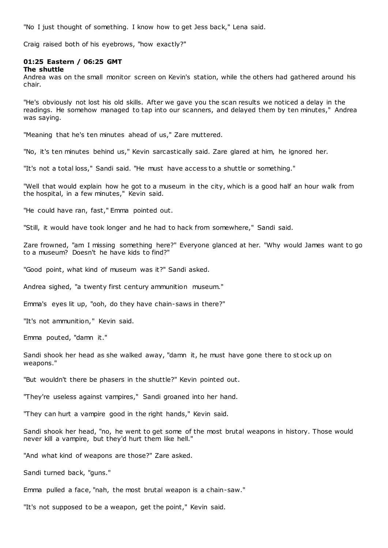"No I just thought of something. I know how to get Jess back," Lena said.

Craig raised both of his eyebrows, "how exactly?"

# **01:25 Eastern / 06:25 GMT**

**The shuttle**

Andrea was on the small monitor screen on Kevin's station, while the others had gathered around his chair.

"He's obviously not lost his old skills. After we gave you the scan results we noticed a delay in the readings. He somehow managed to tap into our scanners, and delayed them by ten minutes," Andrea was saying.

"Meaning that he's ten minutes ahead of us," Zare muttered.

"No, it's ten minutes behind us," Kevin sarcastically said. Zare glared at him, he ignored her.

"It's not a total loss," Sandi said. "He must have access to a shuttle or something."

"Well that would explain how he got to a museum in the city, which is a good half an hour walk from the hospital, in a few minutes," Kevin said.

"He could have ran, fast," Emma pointed out.

"Still, it would have took longer and he had to hack from somewhere," Sandi said.

Zare frowned, "am I missing something here?" Everyone glanced at her. "Why would James want to go to a museum? Doesn't he have kids to find?"

"Good point, what kind of museum was it?" Sandi asked.

Andrea sighed, "a twenty first century ammunition museum."

Emma's eyes lit up, "ooh, do they have chain-saws in there?"

"It's not ammunition," Kevin said.

Emma pouted, "damn it."

Sandi shook her head as she walked away, "damn it, he must have gone there to st ock up on weapons."

"But wouldn't there be phasers in the shuttle?" Kevin pointed out.

"They're useless against vampires," Sandi groaned into her hand.

"They can hurt a vampire good in the right hands," Kevin said.

Sandi shook her head, "no, he went to get some of the most brutal weapons in history. Those would never kill a vampire, but they'd hurt them like hell."

"And what kind of weapons are those?" Zare asked.

Sandi turned back, "guns."

Emma pulled a face, "nah, the most brutal weapon is a chain-saw."

"It's not supposed to be a weapon, get the point," Kevin said.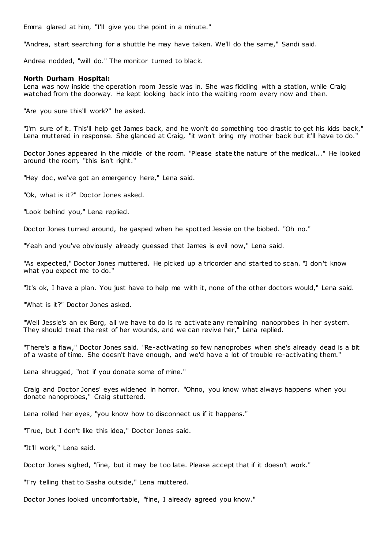Emma glared at him, "I'll give you the point in a minute."

"Andrea, start searching for a shuttle he may have taken. We'll do the same," Sandi said.

Andrea nodded, "will do." The monitor turned to black.

#### **North Durham Hospital:**

Lena was now inside the operation room Jessie was in. She was fiddling with a station, while Craig watched from the doorway. He kept looking back into the waiting room every now and then.

"Are you sure this'll work?" he asked.

"I'm sure of it. This'll help get James back, and he won't do something too drastic to get his kids back," Lena muttered in response. She glanced at Craig, "it won't bring my mother back but it'll have to do."

Doctor Jones appeared in the middle of the room. "Please state the nature of the medical..." He looked around the room, "this isn't right."

"Hey doc, we've got an emergency here," Lena said.

"Ok, what is it?" Doctor Jones asked.

"Look behind you," Lena replied.

Doctor Jones turned around, he gasped when he spotted Jessie on the biobed. "Oh no."

"Yeah and you've obviously already guessed that James is evil now," Lena said.

"As expected," Doctor Jones muttered. He picked up a tricorder and started to scan. "I don't know what you expect me to do."

"It's ok, I have a plan. You just have to help me with it, none of the other doctors would," Lena said.

"What is it?" Doctor Jones asked.

"Well Jessie's an ex Borg, all we have to do is re activate any remaining nanoprobes in her system. They should treat the rest of her wounds, and we can revive her," Lena replied.

"There's a flaw," Doctor Jones said. "Re-activating so few nanoprobes when she's already dead is a bit of a waste of time. She doesn't have enough, and we'd have a lot of trouble re-activating them."

Lena shrugged, "not if you donate some of mine."

Craig and Doctor Jones' eyes widened in horror. "Ohno, you know what always happens when you donate nanoprobes," Craig stuttered.

Lena rolled her eyes, "you know how to disconnect us if it happens."

"True, but I don't like this idea," Doctor Jones said.

"It'll work," Lena said.

Doctor Jones sighed, "fine, but it may be too late. Please accept that if it doesn't work."

"Try telling that to Sasha outside," Lena muttered.

Doctor Jones looked uncomfortable, "fine, I already agreed you know."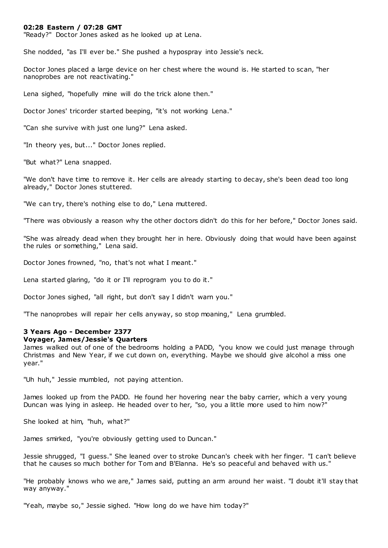#### **02:28 Eastern / 07:28 GMT**

"Ready?" Doctor Jones asked as he looked up at Lena.

She nodded, "as I'll ever be." She pushed a hypospray into Jessie's neck.

Doctor Jones placed a large device on her chest where the wound is. He started to scan, "her nanoprobes are not reactivating."

Lena sighed, "hopefully mine will do the trick alone then."

Doctor Jones' tricorder started beeping, "it's not working Lena."

"Can she survive with just one lung?" Lena asked.

"In theory yes, but..." Doctor Jones replied.

"But what?" Lena snapped.

"We don't have time to remove it. Her cells are already starting to decay, she's been dead too long already," Doctor Jones stuttered.

"We can try, there's nothing else to do," Lena muttered.

"There was obviously a reason why the other doctors didn't do this for her before," Doctor Jones said.

"She was already dead when they brought her in here. Obviously doing that would have been against the rules or something," Lena said.

Doctor Jones frowned, "no, that's not what I meant."

Lena started glaring, "do it or I'll reprogram you to do it."

Doctor Jones sighed, "all right, but don't say I didn't warn you."

"The nanoprobes will repair her cells anyway, so stop moaning," Lena grumbled.

## **3 Years Ago - December 2377**

## **Voyager, James/Jessie's Quarters**

James walked out of one of the bedrooms holding a PADD, "you know we could just manage through Christmas and New Year, if we cut down on, everything. Maybe we should give alcohol a miss one year."

"Uh huh," Jessie mumbled, not paying attention.

James looked up from the PADD. He found her hovering near the baby carrier, which a very young Duncan was lying in asleep. He headed over to her, "so, you a little more used to him now?"

She looked at him, "huh, what?"

James smirked, "you're obviously getting used to Duncan."

Jessie shrugged, "I guess." She leaned over to stroke Duncan's cheek with her finger. "I can't believe that he causes so much bother for Tom and B'Elanna. He's so peaceful and behaved with us."

"He probably knows who we are," James said, putting an arm around her waist. "I doubt it'll stay that way anyway."

"Yeah, maybe so," Jessie sighed. "How long do we have him today?"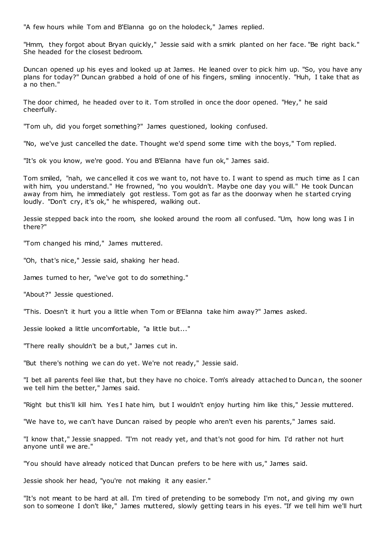"A few hours while Tom and B'Elanna go on the holodeck," James replied.

"Hmm, they forgot about Bryan quickly," Jessie said with a smirk planted on her face. "Be right back." She headed for the closest bedroom.

Duncan opened up his eyes and looked up at James. He leaned over to pick him up. "So, you have any plans for today?" Duncan grabbed a hold of one of his fingers, smiling innocently. "Huh, I take that as a no then."

The door chimed, he headed over to it. Tom strolled in once the door opened. "Hey," he said cheerfully.

"Tom uh, did you forget something?" James questioned, looking confused.

"No, we've just cancelled the date. Thought we'd spend some time with the boys," Tom replied.

"It's ok you know, we're good. You and B'Elanna have fun ok," James said.

Tom smiled, "nah, we cancelled it cos we want to, not have to. I want to spend as much time as I can with him, you understand." He frowned, "no you wouldn't. Maybe one day you will." He took Duncan away from him, he immediately got restless. Tom got as far as the doorway when he started crying loudly. "Don't cry, it's ok," he whispered, walking out.

Jessie stepped back into the room, she looked around the room all confused. "Um, how long was I in there?"

"Tom changed his mind," James muttered.

"Oh, that's nice," Jessie said, shaking her head.

James turned to her, "we've got to do something."

"About?" Jessie questioned.

"This. Doesn't it hurt you a little when Tom or B'Elanna take him away?" James asked.

Jessie looked a little uncomfortable, "a little but..."

"There really shouldn't be a but," James cut in.

"But there's nothing we can do yet. We're not ready," Jessie said.

"I bet all parents feel like that, but they have no choice. Tom's already attached to Duncan, the sooner we tell him the better," James said.

"Right but this'll kill him. Yes I hate him, but I wouldn't enjoy hurting him like this," Jessie muttered.

"We have to, we can't have Duncan raised by people who aren't even his parents," James said.

"I know that," Jessie snapped. "I'm not ready yet, and that's not good for him. I'd rather not hurt anyone until we are."

"You should have already noticed that Duncan prefers to be here with us," James said.

Jessie shook her head, "you're not making it any easier."

"It's not meant to be hard at all. I'm tired of pretending to be somebody I'm not, and giving my own son to someone I don't like," James muttered, slowly getting tears in his eyes. "If we tell him we'll hurt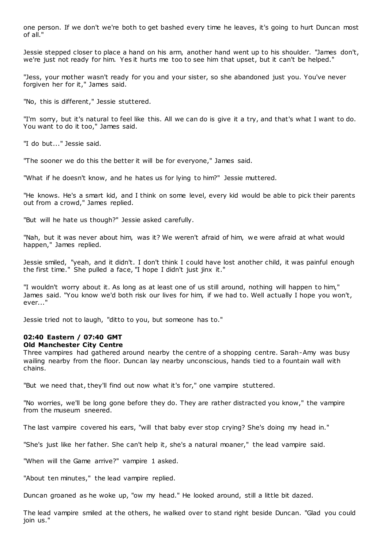one person. If we don't we're both to get bashed every time he leaves, it's going to hurt Duncan most of all."

Jessie stepped closer to place a hand on his arm, another hand went up to his shoulder. "James don't, we're just not ready for him. Yes it hurts me too to see him that upset, but it can't be helped."

"Jess, your mother wasn't ready for you and your sister, so she abandoned just you. You've never forgiven her for it," James said.

"No, this is different," Jessie stuttered.

"I'm sorry, but it's natural to feel like this. All we can do is give it a try, and that's what I want to do. You want to do it too," James said.

"I do but..." Jessie said.

"The sooner we do this the better it will be for everyone," James said.

"What if he doesn't know, and he hates us for lying to him?" Jessie muttered.

"He knows. He's a smart kid, and I think on some level, every kid would be able to pick their parents out from a crowd," James replied.

"But will he hate us though?" Jessie asked carefully.

"Nah, but it was never about him, was it? We weren't afraid of him, we were afraid at what would happen," James replied.

Jessie smiled, "yeah, and it didn't. I don't think I could have lost another child, it was painful enough the first time." She pulled a face, "I hope I didn't just jinx it."

"I wouldn't worry about it. As long as at least one of us still around, nothing will happen to him," James said. "You know we'd both risk our lives for him, if we had to. Well actually I hope you won't, ever..."

Jessie tried not to laugh, "ditto to you, but someone has to."

## **02:40 Eastern / 07:40 GMT**

#### **Old Manchester City Centre**

Three vampires had gathered around nearby the centre of a shopping centre. Sarah-Amy was busy wailing nearby from the floor. Duncan lay nearby unconscious, hands tied to a fountain wall with chains.

"But we need that, they'll find out now what it's for," one vampire stuttered.

"No worries, we'll be long gone before they do. They are rather distracted you know," the vampire from the museum sneered.

The last vampire covered his ears, "will that baby ever stop crying? She's doing my head in."

"She's just like her father. She can't help it, she's a natural moaner," the lead vampire said.

"When will the Game arrive?" vampire 1 asked.

"About ten minutes," the lead vampire replied.

Duncan groaned as he woke up, "ow my head." He looked around, still a little bit dazed.

The lead vampire smiled at the others, he walked over to stand right beside Duncan. "Glad you could join us."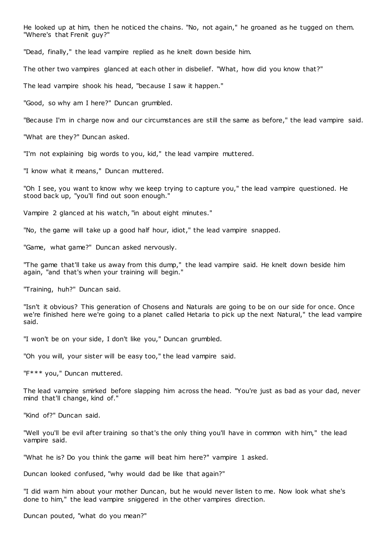He looked up at him, then he noticed the chains. "No, not again," he groaned as he tugged on them. "Where's that Frenit guy?"

"Dead, finally," the lead vampire replied as he knelt down beside him.

The other two vampires glanced at each other in disbelief. "What, how did you know that?"

The lead vampire shook his head, "because I saw it happen."

"Good, so why am I here?" Duncan grumbled.

"Because I'm in charge now and our circumstances are still the same as before," the lead vampire said.

"What are they?" Duncan asked.

"I'm not explaining big words to you, kid," the lead vampire muttered.

"I know what it means," Duncan muttered.

"Oh I see, you want to know why we keep trying to capture you," the lead vampire questioned. He stood back up, "you'll find out soon enough."

Vampire 2 glanced at his watch, "in about eight minutes."

"No, the game will take up a good half hour, idiot," the lead vampire snapped.

"Game, what game?" Duncan asked nervously.

"The game that'll take us away from this dump," the lead vampire said. He knelt down beside him again, "and that's when your training will begin."

"Training, huh?" Duncan said.

"Isn't it obvious? This generation of Chosens and Naturals are going to be on our side for once. Once we're finished here we're going to a planet called Hetaria to pick up the next Natural," the lead vampire said.

"I won't be on your side, I don't like you," Duncan grumbled.

"Oh you will, your sister will be easy too," the lead vampire said.

"F\*\*\* you," Duncan muttered.

The lead vampire smirked before slapping him across the head. "You're just as bad as your dad, never mind that'll change, kind of."

"Kind of?" Duncan said.

"Well you'll be evil after training so that's the only thing you'll have in common with him," the lead vampire said.

"What he is? Do you think the game will beat him here?" vampire 1 asked.

Duncan looked confused, "why would dad be like that again?"

"I did warn him about your mother Duncan, but he would never listen to me. Now look what she's done to him," the lead vampire sniggered in the other vampires direction.

Duncan pouted, "what do you mean?"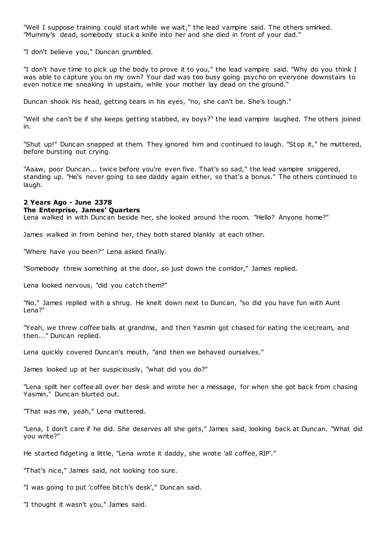"Well I suppose training could start while we wait," the lead vampire said. The others smirked. "Mummy's dead, somebody stuck a knife into her and she died in front of your dad."

"I don't believe you," Duncan grumbled.

"I don't have time to pick up the body to prove it to you," the lead vampire said. "Why do you think I was able to capture you on my own? Your dad was too busy going psycho on everyone downstairs to even notice me sneaking in upstairs, while your mother lay dead on the ground."

Duncan shook his head, getting tears in his eyes, "no, she can't be. She's tough."

"Well she can't be if she keeps getting stabbed, ey boys?" the lead vampire laughed. The others joined in.

"Shut up!" Duncan snapped at them. They ignored him and continued to laugh. "St op it," he muttered, before bursting out crying.

"Aaaw, poor Duncan... twice before you're even five. That's so sad," the lead vampire sniggered, standing up. "He's never going to see daddy again either, so that's a bonus." The others continued to laugh.

## **2 Years Ago - June 2378 The Enterprise, James' Quarters**

Lena walked in with Duncan beside her, she looked around the room. "Hello? Anyone home?"

James walked in from behind her, they both stared blankly at each other.

"Where have you been?" Lena asked finally.

"Somebody threw something at the door, so just down the corridor," James replied.

Lena looked nervous, "did you catch them?"

"No," James replied with a shrug. He knelt down next to Duncan, "so did you have fun with Aunt Lena?"

"Yeah, we threw coffee balls at grandma, and then Yasmin got chased for eating the icecream, and then..." Duncan replied.

Lena quickly covered Duncan's mouth, "and then we behaved ourselves."

James looked up at her suspiciously, "what did you do?"

"Lena spilt her coffee all over her desk and wrote her a message, for when she got back from chasing Yasmin," Duncan blurted out.

"That was me, yeah," Lena muttered.

"Lena, I don't care if he did. She deserves all she gets," James said, looking back at Duncan. "What did you write?"

He started fidgeting a little, "Lena wrote it daddy, she wrote 'all coffee, RIP'."

"That's nice," James said, not looking too sure.

"I was going to put 'coffee bitch's desk'," Duncan said.

"I thought it wasn't you," James said.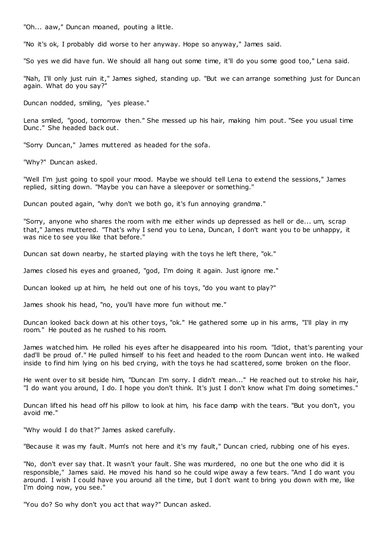"Oh... aaw," Duncan moaned, pouting a little.

"No it's ok, I probably did worse to her anyway. Hope so anyway," James said.

"So yes we did have fun. We should all hang out some time, it'll do you some good too," Lena said.

"Nah, I'll only just ruin it," James sighed, standing up. "But we can arrange something just for Duncan again. What do you say?"

Duncan nodded, smiling, "yes please."

Lena smiled, "good, tomorrow then." She messed up his hair, making him pout. "See you usual time Dunc ." She headed back out.

"Sorry Duncan," James muttered as headed for the sofa.

"Why?" Duncan asked.

"Well I'm just going to spoil your mood. Maybe we should tell Lena to extend the sessions," James replied, sitting down. "Maybe you can have a sleepover or something."

Duncan pouted again, "why don't we both go, it's fun annoying grandma."

"Sorry, anyone who shares the room with me either winds up depressed as hell or de... um, scrap that," James muttered. "That's why I send you to Lena, Duncan, I don't want you to be unhappy, it was nice to see you like that before."

Duncan sat down nearby, he started playing with the toys he left there, "ok."

James closed his eyes and groaned, "god, I'm doing it again. Just ignore me."

Duncan looked up at him, he held out one of his toys, "do you want to play?"

James shook his head, "no, you'll have more fun without me."

Duncan looked back down at his other toys, "ok." He gathered some up in his arms, "I'll play in my room." He pouted as he rushed to his room.

James watched him. He rolled his eyes after he disappeared into his room. "Idiot, that's parenting your dad'll be proud of." He pulled himself to his feet and headed to the room Duncan went into. He walked inside to find him lying on his bed crying, with the toys he had scattered, some broken on the floor.

He went over to sit beside him, "Duncan I'm sorry. I didn't mean..." He reached out to stroke his hair, "I do want you around, I do. I hope you don't think. It's just I don't know what I'm doing sometimes."

Duncan lifted his head off his pillow to look at him, his face damp with the tears. "But you don't, you avoid me."

"Why would I do that?" James asked carefully.

"Because it was my fault. Mum's not here and it's my fault," Duncan cried, rubbing one of his eyes.

"No, don't ever say that. It wasn't your fault. She was murdered, no one but the one who did it is responsible," James said. He moved his hand so he could wipe away a few tears. "And I do want you around. I wish I could have you around all the time, but I don't want to bring you down with me, like I'm doing now, you see."

"You do? So why don't you act that way?" Duncan asked.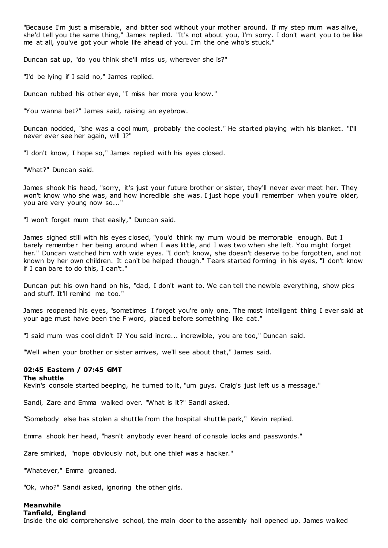"Because I'm just a miserable, and bitter sod without your mother around. If my step mum was alive, she'd tell you the same thing," James replied. "It's not about you, I'm sorry. I don't want you to be like me at all, you've got your whole life ahead of you. I'm the one who's stuck."

Duncan sat up, "do you think she'll miss us, wherever she is?"

"I'd be lying if I said no," James replied.

Duncan rubbed his other eye, "I miss her more you know."

"You wanna bet?" James said, raising an eyebrow.

Duncan nodded, "she was a cool mum, probably the coolest." He started playing with his blanket. "I'll never ever see her again, will I?"

"I don't know, I hope so," James replied with his eyes closed.

"What?" Duncan said.

James shook his head, "sorry, it's just your future brother or sister, they'll never ever meet her. They won't know who she was, and how incredible she was. I just hope you'll remember when you're older, you are very young now so..."

"I won't forget mum that easily," Duncan said.

James sighed still with his eyes closed, "you'd think my mum would be memorable enough. But I barely remember her being around when I was little, and I was two when she left. You might forget her." Duncan watched him with wide eyes. "I don't know, she doesn't deserve to be forgotten, and not known by her own children. It can't be helped though." Tears started forming in his eyes, "I don't know if I can bare to do this, I can't."

Duncan put his own hand on his, "dad, I don't want to. We can tell the newbie everything, show pics and stuff. It'll remind me too."

James reopened his eyes, "sometimes I forget you're only one. The most intelligent thing I ever said at your age must have been the F word, placed before something like cat."

"I said mum was cool didn't I? You said incre... increwible, you are too," Duncan said.

"Well when your brother or sister arrives, we'll see about that," James said.

## **02:45 Eastern / 07:45 GMT**

#### **The shuttle**

Kevin's console started beeping, he turned to it, "um guys. Craig's just left us a message."

Sandi, Zare and Emma walked over. "What is it?" Sandi asked.

"Somebody else has stolen a shuttle from the hospital shuttle park," Kevin replied.

Emma shook her head, "hasn't anybody ever heard of console locks and passwords."

Zare smirked, "nope obviously not, but one thief was a hacker."

"Whatever," Emma groaned.

"Ok, who?" Sandi asked, ignoring the other girls.

## **Meanwhile**

**Tanfield, England**

Inside the old comprehensive school, the main door to the assembly hall opened up. James walked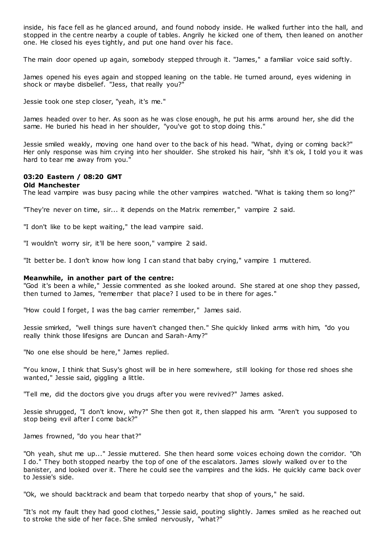inside, his face fell as he glanced around, and found nobody inside. He walked further into the hall, and stopped in the centre nearby a couple of tables. Angrily he kicked one of them, then leaned on another one. He closed his eyes tightly, and put one hand over his face.

The main door opened up again, somebody stepped through it. "James," a familiar voice said softly.

James opened his eyes again and stopped leaning on the table. He turned around, eyes widening in shock or maybe disbelief. "Jess, that really you?"

Jessie took one step closer, "yeah, it's me."

James headed over to her. As soon as he was close enough, he put his arms around her, she did the same. He buried his head in her shoulder, "you've got to stop doing this."

Jessie smiled weakly, moving one hand over to the back of his head. "What, dying or coming back?" Her only response was him crying into her shoulder. She stroked his hair, "shh it's ok, I told you it was hard to tear me away from you."

## **03:20 Eastern / 08:20 GMT**

#### **Old Manchester**

The lead vampire was busy pacing while the other vampires watched. "What is taking them so long?"

"They're never on time, sir... it depends on the Matrix remember," vampire 2 said.

"I don't like to be kept waiting," the lead vampire said.

"I wouldn't worry sir, it'll be here soon," vampire 2 said.

"It better be. I don't know how long I can stand that baby crying," vampire 1 muttered.

#### **Meanwhile, in another part of the centre:**

"God it's been a while," Jessie commented as she looked around. She stared at one shop they passed, then turned to James, "remember that place? I used to be in there for ages."

"How could I forget, I was the bag carrier remember," James said.

Jessie smirked, "well things sure haven't changed then." She quickly linked arms with him, "do you really think those lifesigns are Duncan and Sarah-Amy?"

"No one else should be here," James replied.

"You know, I think that Susy's ghost will be in here somewhere, still looking for those red shoes she wanted," Jessie said, giggling a little.

"Tell me, did the doctors give you drugs after you were revived?" James asked.

Jessie shrugged, "I don't know, why?" She then got it, then slapped his arm. "Aren't you supposed to stop being evil after I come back?"

James frowned, "do you hear that?"

"Oh yeah, shut me up..." Jessie muttered. She then heard some voices echoing down the corridor. "Oh I do." They both stopped nearby the top of one of the escalators. James slowly walked over to the banister, and looked over it. There he could see the vampires and the kids. He quickly came back over to Jessie's side.

"Ok, we should backtrack and beam that torpedo nearby that shop of yours," he said.

"It's not my fault they had good clothes," Jessie said, pouting slightly. James smiled as he reached out to stroke the side of her face. She smiled nervously, "what?"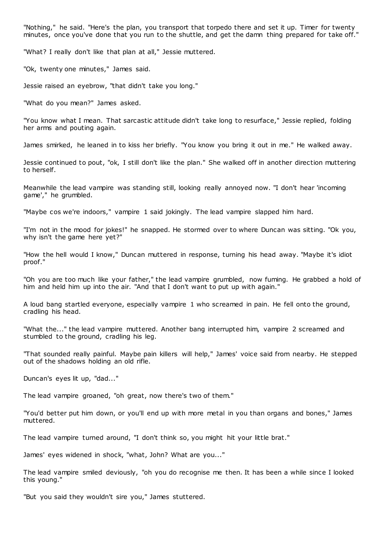"Nothing," he said. "Here's the plan, you transport that torpedo there and set it up. Timer for twenty minutes, once you've done that you run to the shuttle, and get the damn thing prepared for take off."

"What? I really don't like that plan at all," Jessie muttered.

"Ok, twenty one minutes," James said.

Jessie raised an eyebrow, "that didn't take you long."

"What do you mean?" James asked.

"You know what I mean. That sarcastic attitude didn't take long to resurface," Jessie replied, folding her arms and pouting again.

James smirked, he leaned in to kiss her briefly. "You know you bring it out in me." He walked away.

Jessie continued to pout, "ok, I still don't like the plan." She walked off in another direction muttering to herself.

Meanwhile the lead vampire was standing still, looking really annoyed now. "I don't hear 'incoming game'," he grumbled.

"Maybe cos we're indoors," vampire 1 said jokingly. The lead vampire slapped him hard.

"I'm not in the mood for jokes!" he snapped. He stormed over to where Duncan was sitting. "Ok you, why isn't the game here yet?"

"How the hell would I know," Duncan muttered in response, turning his head away. "Maybe it's idiot proof."

"Oh you are too much like your father," the lead vampire grumbled, now fuming. He grabbed a hold of him and held him up into the air. "And that I don't want to put up with again."

A loud bang startled everyone, especially vampire 1 who screamed in pain. He fell onto the ground, cradling his head.

"What the..." the lead vampire muttered. Another bang interrupted him, vampire 2 screamed and stumbled to the ground, cradling his leg.

"That sounded really painful. Maybe pain killers will help," James' voice said from nearby. He stepped out of the shadows holding an old rifle.

Duncan's eyes lit up, "dad..."

The lead vampire groaned, "oh great, now there's two of them."

"You'd better put him down, or you'll end up with more metal in you than organs and bones," James muttered.

The lead vampire turned around, "I don't think so, you might hit your little brat."

James' eyes widened in shock, "what, John? What are you..."

The lead vampire smiled deviously, "oh you do recognise me then. It has been a while since I looked this young."

"But you said they wouldn't sire you," James stuttered.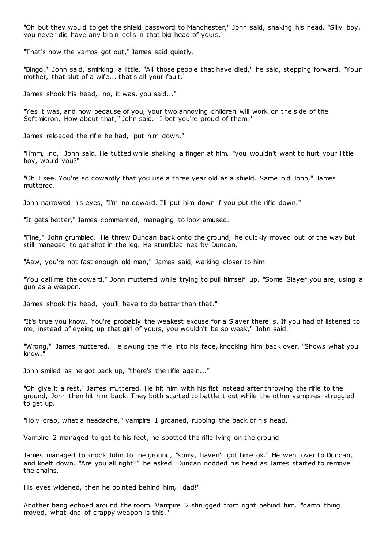"Oh but they would to get the shield password to Manchester," John said, shaking his head. "Silly boy, you never did have any brain cells in that big head of yours."

"That's how the vamps got out," James said quietly.

"Bingo," John said, smirking a little. "All those people that have died," he said, stepping forward. "Your mother, that slut of a wife... that's all your fault."

James shook his head, "no, it was, you said..."

"Yes it was, and now because of you, your two annoying children will work on the side of the Softmicron. How about that," John said. "I bet you're proud of them."

James reloaded the rifle he had, "put him down."

"Hmm, no," John said. He tutted while shaking a finger at him, "you wouldn't want to hurt your little boy, would you?"

"Oh I see. You're so cowardly that you use a three year old as a shield. Same old John," James muttered.

John narrowed his eyes, "I'm no coward. I'll put him down if you put the rifle down."

"It gets better," James commented, managing to look amused.

"Fine," John grumbled. He threw Duncan back onto the ground, he quickly moved out of the way but still managed to get shot in the leg. He stumbled nearby Duncan.

"Aaw, you're not fast enough old man," James said, walking closer to him.

"You call me the coward," John muttered while trying to pull himself up. "Some Slayer you are, using a gun as a weapon."

James shook his head, "you'll have to do better than that."

"It's true you know. You're probably the weakest excuse for a Slayer there is. If you had of listened to me, instead of eyeing up that girl of yours, you wouldn't be so weak," John said.

"Wrong," James muttered. He swung the rifle into his face, knocking him back over. "Shows what you know."

John smiled as he got back up, "there's the rifle again..."

"Oh give it a rest," James muttered. He hit him with his fist instead after throwing the rifle to the ground, John then hit him back. They both started to battle it out while the other vampires struggled to get up.

"Holy crap, what a headache," vampire 1 groaned, rubbing the back of his head.

Vampire 2 managed to get to his feet, he spotted the rifle lying on the ground.

James managed to knock John to the ground, "sorry, haven't got time ok." He went over to Duncan, and knelt down. "Are you all right?" he asked. Duncan nodded his head as James started to remove the chains.

His eyes widened, then he pointed behind him, "dad!"

Another bang echoed around the room. Vampire 2 shrugged from right behind him, "damn thing moved, what kind of crappy weapon is this."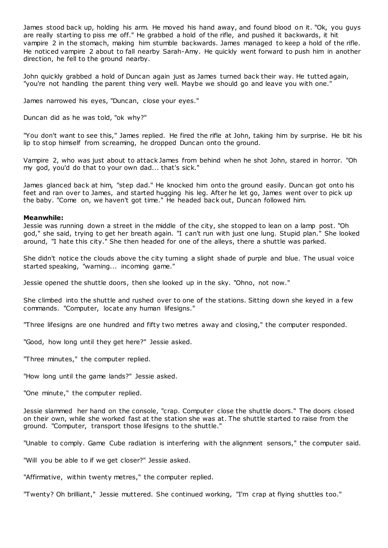James stood back up, holding his arm. He moved his hand away, and found blood on it. "Ok, you guys are really starting to piss me off." He grabbed a hold of the rifle, and pushed it backwards, it hit vampire 2 in the stomach, making him stumble backwards. James managed to keep a hold of the rifle. He noticed vampire 2 about to fall nearby Sarah-Amy. He quickly went forward to push him in another direction, he fell to the ground nearby.

John quickly grabbed a hold of Duncan again just as James turned back their way. He tutted again, "you're not handling the parent thing very well. Maybe we should go and leave you with one."

James narrowed his eyes, "Duncan, close your eyes."

Duncan did as he was told, "ok why?"

"You don't want to see this," James replied. He fired the rifle at John, taking him by surprise. He bit his lip to stop himself from screaming, he dropped Duncan onto the ground.

Vampire 2, who was just about to attack James from behind when he shot John, stared in horror. "Oh my god, you'd do that to your own dad... that's sick."

James glanced back at him, "step dad." He knocked him onto the ground easily. Duncan got onto his feet and ran over to James, and started hugging his leg. After he let go, James went over to pick up the baby. "Come on, we haven't got time." He headed back out, Duncan followed him.

### **Meanwhile:**

Jessie was running down a street in the middle of the city, she stopped to lean on a lamp post. "Oh god," she said, trying to get her breath again. "I can't run with just one lung. Stupid plan." She looked around, "I hate this city." She then headed for one of the alleys, there a shuttle was parked.

She didn't notice the clouds above the city turning a slight shade of purple and blue. The usual voice started speaking, "warning... incoming game."

Jessie opened the shuttle doors, then she looked up in the sky. "Ohno, not now."

She climbed into the shuttle and rushed over to one of the stations. Sitting down she keyed in a few commands. "Computer, locate any human lifesigns."

"Three lifesigns are one hundred and fifty two metres away and closing," the computer responded.

"Good, how long until they get here?" Jessie asked.

"Three minutes," the computer replied.

"How long until the game lands?" Jessie asked.

"One minute," the computer replied.

Jessie slammed her hand on the console, "crap. Computer close the shuttle doors." The doors closed on their own, while she worked fast at the station she was at. The shuttle started to raise from the ground. "Computer, transport those lifesigns to the shuttle."

"Unable to comply. Game Cube radiation is interfering with the alignment sensors," the computer said.

"Will you be able to if we get closer?" Jessie asked.

"Affirmative, within twenty metres," the computer replied.

"Twenty? Oh brilliant," Jessie muttered. She continued working, "I'm crap at flying shuttles too."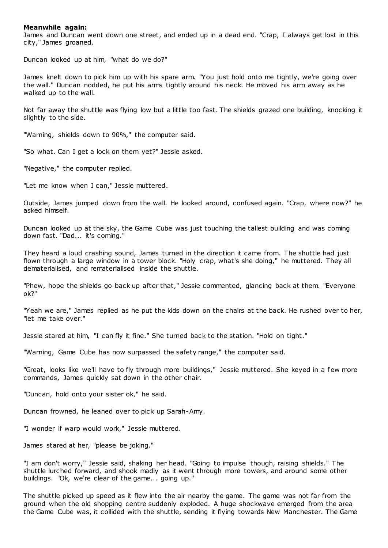## **Meanwhile again:**

James and Duncan went down one street, and ended up in a dead end. "Crap, I always get lost in this city," James groaned.

Duncan looked up at him, "what do we do?"

James knelt down to pick him up with his spare arm. "You just hold onto me tightly, we're going over the wall." Duncan nodded, he put his arms tightly around his neck. He moved his arm away as he walked up to the wall.

Not far away the shuttle was flying low but a little too fast. The shields grazed one building, knocking it slightly to the side.

"Warning, shields down to 90%," the computer said.

"So what. Can I get a lock on them yet?" Jessie asked.

"Negative," the computer replied.

"Let me know when I can," Jessie muttered.

Outside, James jumped down from the wall. He looked around, confused again. "Crap, where now?" he asked himself.

Duncan looked up at the sky, the Game Cube was just touching the tallest building and was coming down fast. "Dad... it's coming."

They heard a loud crashing sound, James turned in the direction it came from. The shuttle had just flown through a large window in a tower block. "Holy crap, what's she doing," he muttered. They all dematerialised, and rematerialised inside the shuttle.

"Phew, hope the shields go back up after that," Jessie commented, glancing back at them. "Everyone ok?"

"Yeah we are," James replied as he put the kids down on the chairs at the back. He rushed over to her, "let me take over."

Jessie stared at him, "I can fly it fine." She turned back to the station. "Hold on tight."

"Warning, Game Cube has now surpassed the safety range," the computer said.

"Great, looks like we'll have to fly through more buildings," Jessie muttered. She keyed in a few more commands, James quickly sat down in the other chair.

"Duncan, hold onto your sister ok," he said.

Duncan frowned, he leaned over to pick up Sarah-Amy.

"I wonder if warp would work," Jessie muttered.

James stared at her, "please be joking."

"I am don't worry," Jessie said, shaking her head. "Going to impulse though, raising shields." The shuttle lurched forward, and shook madly as it went through more towers, and around some other buildings. "Ok, we're clear of the game... going up."

The shuttle picked up speed as it flew into the air nearby the game. The game was not far from the ground when the old shopping centre suddenly exploded. A huge shockwave emerged from the area the Game Cube was, it collided with the shuttle, sending it flying towards New Manchester. The Game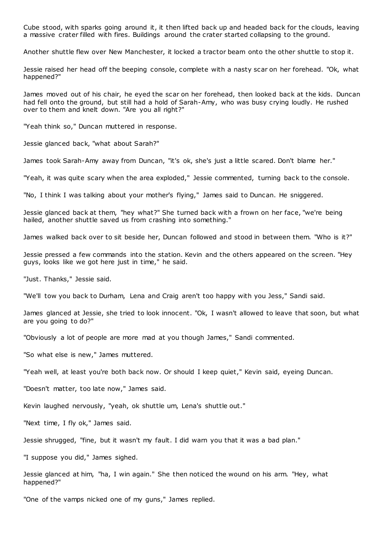Cube stood, with sparks going around it, it then lifted back up and headed back for the clouds, leaving a massive crater filled with fires. Buildings around the crater started collapsing to the ground.

Another shuttle flew over New Manchester, it locked a tractor beam onto the other shuttle to stop it.

Jessie raised her head off the beeping console, complete with a nasty scar on her forehead. "Ok, what happened?"

James moved out of his chair, he eyed the scar on her forehead, then looked back at the kids. Duncan had fell onto the ground, but still had a hold of Sarah-Amy, who was busy crying loudly. He rushed over to them and knelt down. "Are you all right?"

"Yeah think so," Duncan muttered in response.

Jessie glanced back, "what about Sarah?"

James took Sarah-Amy away from Duncan, "it's ok, she's just a little scared. Don't blame her."

"Yeah, it was quite scary when the area exploded," Jessie commented, turning back to the console.

"No, I think I was talking about your mother's flying," James said to Duncan. He sniggered.

Jessie glanced back at them, "hey what?" She turned back with a frown on her face, "we're being hailed, another shuttle saved us from crashing into something."

James walked back over to sit beside her, Duncan followed and stood in between them. "Who is it?"

Jessie pressed a few commands into the station. Kevin and the others appeared on the screen. "Hey guys, looks like we got here just in time," he said.

"Just. Thanks," Jessie said.

"We'll tow you back to Durham, Lena and Craig aren't too happy with you Jess," Sandi said.

James glanced at Jessie, she tried to look innocent. "Ok, I wasn't allowed to leave that soon, but what are you going to do?"

"Obviously a lot of people are more mad at you though James," Sandi commented.

"So what else is new," James muttered.

"Yeah well, at least you're both back now. Or should I keep quiet," Kevin said, eyeing Duncan.

"Doesn't matter, too late now," James said.

Kevin laughed nervously, "yeah, ok shuttle um, Lena's shuttle out."

"Next time, I fly ok," James said.

Jessie shrugged, "fine, but it wasn't my fault. I did warn you that it was a bad plan."

"I suppose you did," James sighed.

Jessie glanced at him, "ha, I win again." She then noticed the wound on his arm. "Hey, what happened?"

"One of the vamps nicked one of my guns," James replied.